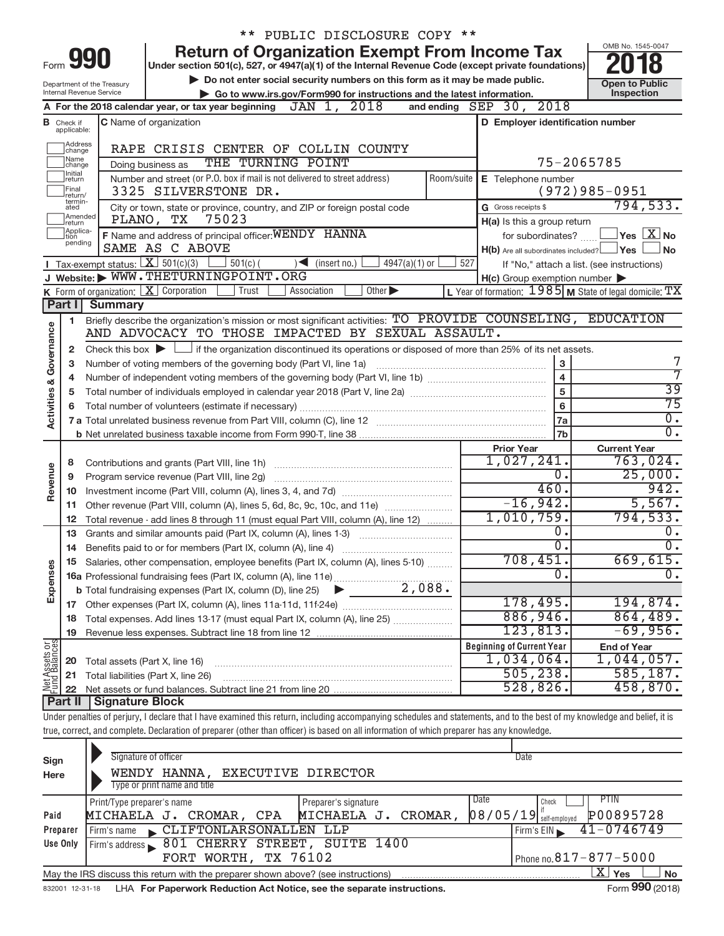|                                |                                                                                                           | ** PUBLIC DISCLOSURE COPY **                                                                                                                                               |                                                           |                                                                  |  |  |  |  |  |
|--------------------------------|-----------------------------------------------------------------------------------------------------------|----------------------------------------------------------------------------------------------------------------------------------------------------------------------------|-----------------------------------------------------------|------------------------------------------------------------------|--|--|--|--|--|
|                                |                                                                                                           | <b>Return of Organization Exempt From Income Tax</b><br>990                                                                                                                |                                                           | OMB No. 1545-0047                                                |  |  |  |  |  |
| Form                           | Under section 501(c), 527, or 4947(a)(1) of the Internal Revenue Code (except private foundations)        |                                                                                                                                                                            |                                                           |                                                                  |  |  |  |  |  |
|                                | Do not enter social security numbers on this form as it may be made public.<br>Department of the Treasury |                                                                                                                                                                            |                                                           |                                                                  |  |  |  |  |  |
|                                | Internal Revenue Service<br>Go to www.irs.gov/Form990 for instructions and the latest information.        |                                                                                                                                                                            |                                                           |                                                                  |  |  |  |  |  |
|                                |                                                                                                           | A For the 2018 calendar year, or tax year beginning $JAN$ 1, $2018$                                                                                                        | and ending SEP 30, 2018                                   |                                                                  |  |  |  |  |  |
|                                | <b>B</b> Check if<br>applicable:                                                                          | C Name of organization                                                                                                                                                     | D Employer identification number                          |                                                                  |  |  |  |  |  |
|                                | Address<br>change                                                                                         | RAPE CRISIS CENTER OF COLLIN COUNTY                                                                                                                                        |                                                           |                                                                  |  |  |  |  |  |
|                                | Name<br>change                                                                                            | THE TURNING POINT<br>Doing business as                                                                                                                                     | 75-2065785                                                |                                                                  |  |  |  |  |  |
|                                | Initial<br>return                                                                                         | Number and street (or P.O. box if mail is not delivered to street address)<br>Room/suite                                                                                   | E Telephone number                                        |                                                                  |  |  |  |  |  |
|                                | Final<br>return/                                                                                          | 3325 SILVERSTONE DR.                                                                                                                                                       |                                                           | $(972)985 - 0951$                                                |  |  |  |  |  |
|                                | termin-<br>ated                                                                                           | City or town, state or province, country, and ZIP or foreign postal code                                                                                                   | G Gross receipts \$                                       | 794, 533.                                                        |  |  |  |  |  |
|                                | Amended<br>return                                                                                         | 75023<br>PLANO, TX                                                                                                                                                         | H(a) Is this a group return                               |                                                                  |  |  |  |  |  |
|                                | Applica-<br>tion<br>pending                                                                               | F Name and address of principal officer: WENDY HANNA                                                                                                                       | for subordinates?                                         | $ {\mathsf Y}{\mathsf e}{\mathsf s} \ \overline{{\mathsf X}}$ No |  |  |  |  |  |
|                                |                                                                                                           | SAME AS C ABOVE                                                                                                                                                            | $H(b)$ Are all subordinates included?                     | ⊥Yes<br><b>No</b>                                                |  |  |  |  |  |
|                                |                                                                                                           | Tax-exempt status: $X \over 301(c)(3)$<br>$501(c)$ (<br>$\sum$ (insert no.)<br>$4947(a)(1)$ or                                                                             | 527<br>If "No," attach a list. (see instructions)         |                                                                  |  |  |  |  |  |
|                                |                                                                                                           | J Website: WWW.THETURNINGPOINT.ORG                                                                                                                                         | $H(c)$ Group exemption number $\blacktriangleright$       |                                                                  |  |  |  |  |  |
|                                |                                                                                                           | K Form of organization: X Corporation<br>Other ><br>Trust<br>Association                                                                                                   | L Year of formation: $1985$ M State of legal domicile: TX |                                                                  |  |  |  |  |  |
|                                | Part I                                                                                                    | <b>Summary</b>                                                                                                                                                             |                                                           |                                                                  |  |  |  |  |  |
|                                | 1.                                                                                                        | Briefly describe the organization's mission or most significant activities: TO PROVIDE COUNSELING, EDUCATION<br>AND ADVOCACY TO THOSE IMPACTED BY SEXUAL ASSAULT.          |                                                           |                                                                  |  |  |  |  |  |
|                                |                                                                                                           |                                                                                                                                                                            |                                                           |                                                                  |  |  |  |  |  |
|                                | 2                                                                                                         | Check this box $\blacktriangleright$ $\Box$ if the organization discontinued its operations or disposed of more than 25% of its net assets.                                |                                                           | 7                                                                |  |  |  |  |  |
|                                | 3<br>4                                                                                                    | Number of voting members of the governing body (Part VI, line 1a)                                                                                                          | 3<br>$\overline{\mathbf{4}}$                              | 7                                                                |  |  |  |  |  |
|                                | 5                                                                                                         |                                                                                                                                                                            | $\overline{39}$                                           |                                                                  |  |  |  |  |  |
| Activities & Governance        | 6                                                                                                         |                                                                                                                                                                            | 5<br>6                                                    | $\overline{75}$                                                  |  |  |  |  |  |
|                                |                                                                                                           |                                                                                                                                                                            | 7a                                                        | $\overline{0}$ .                                                 |  |  |  |  |  |
|                                |                                                                                                           |                                                                                                                                                                            | 7b                                                        | $\overline{0}$ .                                                 |  |  |  |  |  |
|                                |                                                                                                           |                                                                                                                                                                            | <b>Prior Year</b>                                         | <b>Current Year</b>                                              |  |  |  |  |  |
|                                | 8                                                                                                         |                                                                                                                                                                            | 1,027,241.                                                | 763,024.                                                         |  |  |  |  |  |
|                                | 9                                                                                                         |                                                                                                                                                                            | 0.                                                        | 25,000.                                                          |  |  |  |  |  |
| Revenue                        | 10                                                                                                        |                                                                                                                                                                            | 460.                                                      | 942.                                                             |  |  |  |  |  |
|                                | 11                                                                                                        | Other revenue (Part VIII, column (A), lines 5, 6d, 8c, 9c, 10c, and 11e)                                                                                                   | $-16,942.$                                                | 5,567.                                                           |  |  |  |  |  |
|                                | 12                                                                                                        | Total revenue - add lines 8 through 11 (must equal Part VIII, column (A), line 12)                                                                                         | 1,010,759.                                                | 794,533.                                                         |  |  |  |  |  |
|                                | 13                                                                                                        | Grants and similar amounts paid (Part IX, column (A), lines 1-3)                                                                                                           | 0.                                                        | 0.                                                               |  |  |  |  |  |
|                                | 14                                                                                                        | Benefits paid to or for members (Part IX, column (A), line 4)                                                                                                              | σ.                                                        | $\overline{0}$ .                                                 |  |  |  |  |  |
|                                |                                                                                                           | 15 Salaries, other compensation, employee benefits (Part IX, column (A), lines 5-10)                                                                                       | 708,451。                                                  | 669,615.                                                         |  |  |  |  |  |
| Expenses                       |                                                                                                           |                                                                                                                                                                            | 0                                                         | $\overline{0}$ .                                                 |  |  |  |  |  |
|                                |                                                                                                           |                                                                                                                                                                            |                                                           |                                                                  |  |  |  |  |  |
|                                |                                                                                                           |                                                                                                                                                                            | 178,495.                                                  | 194,874.<br>864,489.                                             |  |  |  |  |  |
|                                | 18                                                                                                        | Total expenses. Add lines 13-17 (must equal Part IX, column (A), line 25)                                                                                                  | 886,946.<br>123,813.                                      | $-69,956.$                                                       |  |  |  |  |  |
|                                | 19                                                                                                        |                                                                                                                                                                            |                                                           |                                                                  |  |  |  |  |  |
|                                |                                                                                                           |                                                                                                                                                                            | <b>Beginning of Current Year</b><br>$1,034,064$ .         | <b>End of Year</b><br>1,044,057.                                 |  |  |  |  |  |
|                                | 20                                                                                                        | Total assets (Part X, line 16)                                                                                                                                             | 505, 238.                                                 | 585, 187.                                                        |  |  |  |  |  |
| Net Assets or<br>Fund Balances | 21                                                                                                        | Total liabilities (Part X, line 26)                                                                                                                                        | 528,826.                                                  | 458,870.                                                         |  |  |  |  |  |
|                                | 22<br>Part II                                                                                             | Signature Block                                                                                                                                                            |                                                           |                                                                  |  |  |  |  |  |
|                                |                                                                                                           | Under penalties of perjury, I declare that I have examined this return, including accompanying schedules and statements, and to the best of my knowledge and belief, it is |                                                           |                                                                  |  |  |  |  |  |
|                                |                                                                                                           | true, correct, and complete. Declaration of preparer (other than officer) is based on all information of which preparer has any knowledge.                                 |                                                           |                                                                  |  |  |  |  |  |
|                                |                                                                                                           |                                                                                                                                                                            |                                                           |                                                                  |  |  |  |  |  |
| Sign                           |                                                                                                           | Signature of officer                                                                                                                                                       | Date                                                      |                                                                  |  |  |  |  |  |

| ייפי     |                                                                                   |                      |                                                    |
|----------|-----------------------------------------------------------------------------------|----------------------|----------------------------------------------------|
| Here     | WENDY HANNA, EXECUTIVE DIRECTOR                                                   |                      |                                                    |
|          | Type or print name and title                                                      |                      |                                                    |
|          | Print/Type preparer's name                                                        | Preparer's signature | PTIN<br>Date<br>Check                              |
| Paid     | MICHAELA J. CROMAR, CPA                                                           | MICHAELA J. CROMAR,  | P00895728<br>$\left[08/05/19\right]$ self-employed |
| Preparer | CLIFTONLARSONALLEN LLP<br>Firm's name                                             |                      | $41 - 0746749$<br>Firm's EIN                       |
| Use Only | Firm's address \ 801 CHERRY STREET, SUITE 1400                                    |                      |                                                    |
|          | FORT WORTH, TX 76102                                                              |                      | Phone no. $817 - 877 - 5000$                       |
|          | May the IRS discuss this return with the preparer shown above? (see instructions) |                      | ΧI<br>Yes<br><b>No</b>                             |
|          |                                                                                   |                      | $\mathbf{A}$<br>$\overline{\phantom{a}}$           |

832001 12-31-18 **For Paperwork Reduction Act Notice, see the separate instructions.**  LHA Form (2018)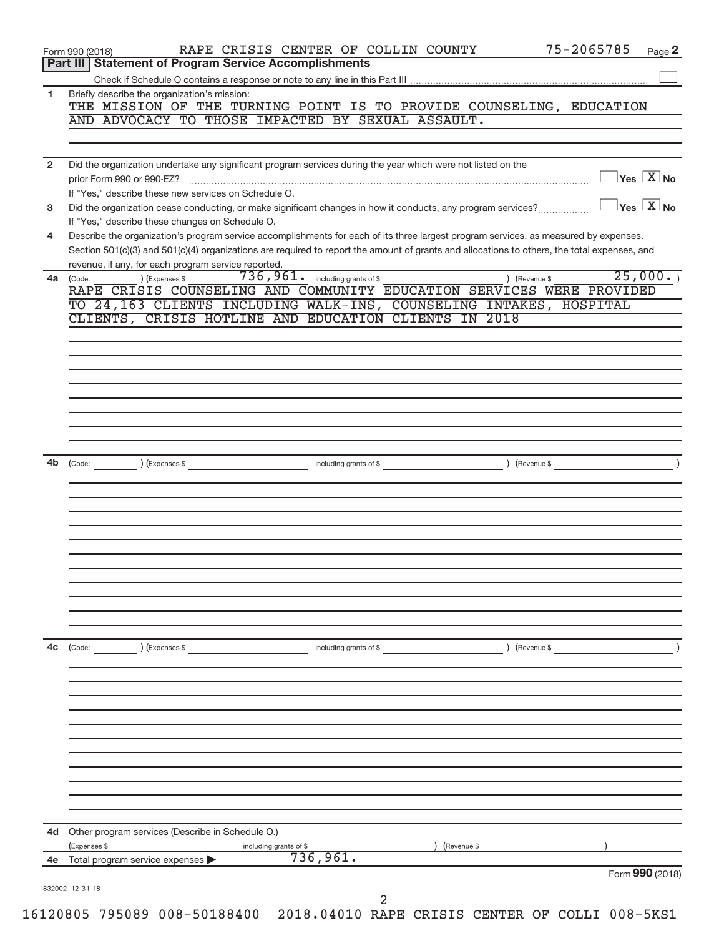|                | 75-2065785<br>RAPE CRISIS CENTER OF COLLIN COUNTY<br>Page 2<br>Form 990 (2018)                                                                                                                                                                                                       |
|----------------|--------------------------------------------------------------------------------------------------------------------------------------------------------------------------------------------------------------------------------------------------------------------------------------|
|                | <b>Statement of Program Service Accomplishments</b><br>Part III                                                                                                                                                                                                                      |
| 1              | Briefly describe the organization's mission:                                                                                                                                                                                                                                         |
|                | THE MISSION OF THE TURNING POINT IS TO PROVIDE COUNSELING, EDUCATION                                                                                                                                                                                                                 |
|                | AND ADVOCACY TO THOSE IMPACTED BY SEXUAL ASSAULT.                                                                                                                                                                                                                                    |
|                |                                                                                                                                                                                                                                                                                      |
| $\overline{2}$ | Did the organization undertake any significant program services during the year which were not listed on the                                                                                                                                                                         |
|                | $\overline{\ }$ Yes $\overline{\rm X}$ No<br>prior Form 990 or 990-EZ?<br>If "Yes," describe these new services on Schedule O.                                                                                                                                                       |
| 3              | $\gamma_{\text{es}}$ $\overline{X}$ No<br>Did the organization cease conducting, or make significant changes in how it conducts, any program services?                                                                                                                               |
|                | If "Yes," describe these changes on Schedule O.                                                                                                                                                                                                                                      |
| 4              | Describe the organization's program service accomplishments for each of its three largest program services, as measured by expenses.<br>Section 501(c)(3) and 501(c)(4) organizations are required to report the amount of grants and allocations to others, the total expenses, and |
|                | revenue, if any, for each program service reported.                                                                                                                                                                                                                                  |
| 4a             | 25,000.<br>736,961.<br>including grants of \$<br>) (Revenue \$<br>) (Expenses \$<br>(Code:                                                                                                                                                                                           |
|                | RAPE CRISIS COUNSELING AND COMMUNITY EDUCATION SERVICES WERE PROVIDED<br>TO 24,163 CLIENTS INCLUDING WALK-INS, COUNSELING INTAKES, HOSPITAL                                                                                                                                          |
|                | CLIENTS, CRISIS HOTLINE AND EDUCATION CLIENTS IN 2018                                                                                                                                                                                                                                |
|                |                                                                                                                                                                                                                                                                                      |
|                |                                                                                                                                                                                                                                                                                      |
|                |                                                                                                                                                                                                                                                                                      |
|                |                                                                                                                                                                                                                                                                                      |
|                |                                                                                                                                                                                                                                                                                      |
|                |                                                                                                                                                                                                                                                                                      |
|                |                                                                                                                                                                                                                                                                                      |
|                |                                                                                                                                                                                                                                                                                      |
| 4b             | (Code: ) (Expenses \$ containing grants of \$<br>) (Revenue \$                                                                                                                                                                                                                       |
|                |                                                                                                                                                                                                                                                                                      |
|                |                                                                                                                                                                                                                                                                                      |
|                |                                                                                                                                                                                                                                                                                      |
|                |                                                                                                                                                                                                                                                                                      |
|                |                                                                                                                                                                                                                                                                                      |
|                |                                                                                                                                                                                                                                                                                      |
|                |                                                                                                                                                                                                                                                                                      |
|                |                                                                                                                                                                                                                                                                                      |
|                |                                                                                                                                                                                                                                                                                      |
| 4c             | (Code: ) (Expenses \$<br>) (Revenue \$<br>including grants of \$                                                                                                                                                                                                                     |
|                |                                                                                                                                                                                                                                                                                      |
|                |                                                                                                                                                                                                                                                                                      |
|                |                                                                                                                                                                                                                                                                                      |
|                |                                                                                                                                                                                                                                                                                      |
|                |                                                                                                                                                                                                                                                                                      |
|                |                                                                                                                                                                                                                                                                                      |
|                |                                                                                                                                                                                                                                                                                      |
|                |                                                                                                                                                                                                                                                                                      |
|                |                                                                                                                                                                                                                                                                                      |
|                |                                                                                                                                                                                                                                                                                      |
|                |                                                                                                                                                                                                                                                                                      |
|                | Other program services (Describe in Schedule O.)<br>(Expenses \$<br>(Revenue \$<br>including grants of \$                                                                                                                                                                            |
| 4d<br>4e       | 736,961.<br>Total program service expenses<br>Form 990 (2018)                                                                                                                                                                                                                        |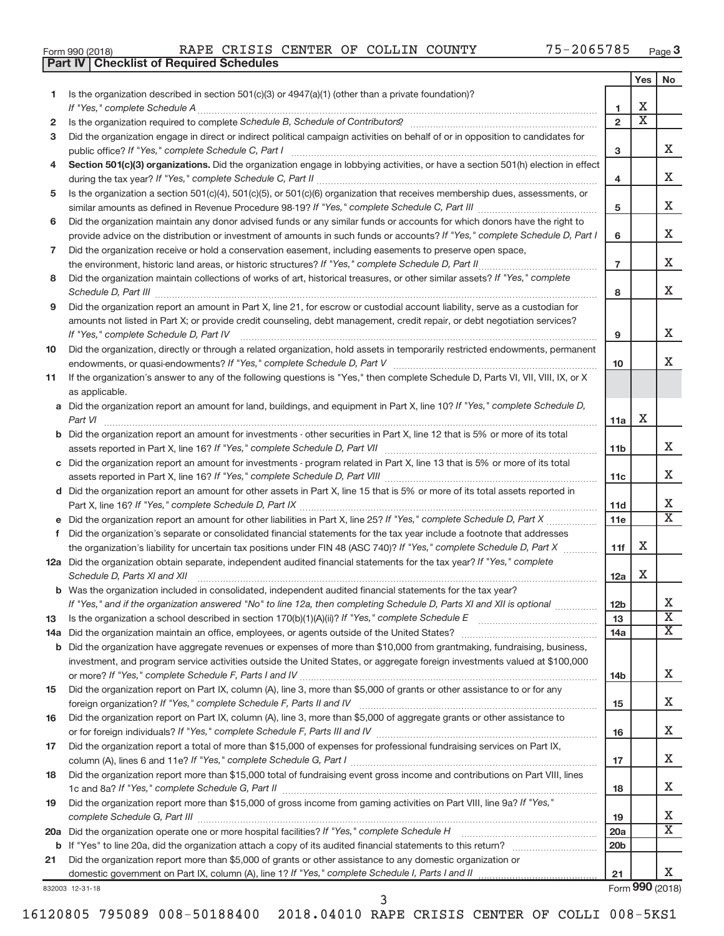|  | Form 990 (2018) |  |
|--|-----------------|--|
|  |                 |  |

**Part IV Checklist of Required Schedules**

|                |                                                                                                                                                                                                                                |                 | Yes                   | No                         |
|----------------|--------------------------------------------------------------------------------------------------------------------------------------------------------------------------------------------------------------------------------|-----------------|-----------------------|----------------------------|
| 1              | Is the organization described in section 501(c)(3) or $4947(a)(1)$ (other than a private foundation)?                                                                                                                          |                 |                       |                            |
|                |                                                                                                                                                                                                                                | 1               | х                     |                            |
| $\mathbf{2}$   | Is the organization required to complete Schedule B, Schedule of Contributors? [111] [12] the organization required to complete Schedule B, Schedule of Contributors? [11] [12] [12] the organization required to complete Sch | $\overline{2}$  | $\overline{\text{x}}$ |                            |
| 3              | Did the organization engage in direct or indirect political campaign activities on behalf of or in opposition to candidates for                                                                                                |                 |                       |                            |
|                |                                                                                                                                                                                                                                | 3               |                       | X                          |
| 4              | Section 501(c)(3) organizations. Did the organization engage in lobbying activities, or have a section 501(h) election in effect                                                                                               |                 |                       |                            |
|                |                                                                                                                                                                                                                                | 4               |                       | x                          |
| 5              | Is the organization a section 501(c)(4), 501(c)(5), or 501(c)(6) organization that receives membership dues, assessments, or                                                                                                   |                 |                       |                            |
|                |                                                                                                                                                                                                                                | 5               |                       | X                          |
| 6              | Did the organization maintain any donor advised funds or any similar funds or accounts for which donors have the right to                                                                                                      |                 |                       |                            |
|                | provide advice on the distribution or investment of amounts in such funds or accounts? If "Yes," complete Schedule D, Part I                                                                                                   | 6               |                       | X                          |
| $\overline{7}$ | Did the organization receive or hold a conservation easement, including easements to preserve open space,                                                                                                                      |                 |                       |                            |
|                |                                                                                                                                                                                                                                | $\overline{7}$  |                       | X                          |
| 8              | Did the organization maintain collections of works of art, historical treasures, or other similar assets? If "Yes," complete                                                                                                   |                 |                       |                            |
|                |                                                                                                                                                                                                                                | 8               |                       | X                          |
| 9              | Did the organization report an amount in Part X, line 21, for escrow or custodial account liability, serve as a custodian for                                                                                                  |                 |                       |                            |
|                | amounts not listed in Part X; or provide credit counseling, debt management, credit repair, or debt negotiation services?                                                                                                      |                 |                       |                            |
|                | If "Yes," complete Schedule D, Part IV                                                                                                                                                                                         | 9               |                       | x                          |
| 10             | Did the organization, directly or through a related organization, hold assets in temporarily restricted endowments, permanent                                                                                                  |                 |                       |                            |
|                |                                                                                                                                                                                                                                | 10              |                       | x                          |
| 11             | If the organization's answer to any of the following questions is "Yes," then complete Schedule D, Parts VI, VII, VIII, IX, or X                                                                                               |                 |                       |                            |
|                | as applicable.                                                                                                                                                                                                                 |                 |                       |                            |
|                | a Did the organization report an amount for land, buildings, and equipment in Part X, line 10? If "Yes," complete Schedule D,                                                                                                  |                 |                       |                            |
|                | Part VI                                                                                                                                                                                                                        | 11a             | х                     |                            |
|                | <b>b</b> Did the organization report an amount for investments - other securities in Part X, line 12 that is 5% or more of its total                                                                                           |                 |                       |                            |
|                |                                                                                                                                                                                                                                | 11 <sub>b</sub> |                       | x                          |
|                | c Did the organization report an amount for investments - program related in Part X, line 13 that is 5% or more of its total                                                                                                   |                 |                       |                            |
|                |                                                                                                                                                                                                                                | 11c             |                       | х                          |
|                | d Did the organization report an amount for other assets in Part X, line 15 that is 5% or more of its total assets reported in                                                                                                 |                 |                       |                            |
|                |                                                                                                                                                                                                                                | 11d             |                       | X<br>$\overline{\text{X}}$ |
|                | e Did the organization report an amount for other liabilities in Part X, line 25? If "Yes," complete Schedule D, Part X                                                                                                        | 11e             |                       |                            |
| f.             | Did the organization's separate or consolidated financial statements for the tax year include a footnote that addresses                                                                                                        |                 |                       |                            |
|                | the organization's liability for uncertain tax positions under FIN 48 (ASC 740)? If "Yes," complete Schedule D, Part X                                                                                                         | 11f             | х                     |                            |
|                | 12a Did the organization obtain separate, independent audited financial statements for the tax year? If "Yes," complete                                                                                                        |                 |                       |                            |
|                | Schedule D, Parts XI and XII                                                                                                                                                                                                   | 12a             | х                     |                            |
|                | <b>b</b> Was the organization included in consolidated, independent audited financial statements for the tax year?                                                                                                             |                 |                       |                            |
|                | If "Yes," and if the organization answered "No" to line 12a, then completing Schedule D, Parts XI and XII is optional                                                                                                          | 12D             |                       | ▵<br>$\overline{\text{x}}$ |
| 13             |                                                                                                                                                                                                                                | 13              |                       | $\overline{\mathbf{X}}$    |
|                | 14a Did the organization maintain an office, employees, or agents outside of the United States?                                                                                                                                | 14a             |                       |                            |
|                | <b>b</b> Did the organization have aggregate revenues or expenses of more than \$10,000 from grantmaking, fundraising, business,                                                                                               |                 |                       |                            |
|                | investment, and program service activities outside the United States, or aggregate foreign investments valued at \$100,000                                                                                                     | 14 <sub>b</sub> |                       | х                          |
| 15             | Did the organization report on Part IX, column (A), line 3, more than \$5,000 of grants or other assistance to or for any                                                                                                      |                 |                       |                            |
|                |                                                                                                                                                                                                                                | 15              |                       | х                          |
| 16             | Did the organization report on Part IX, column (A), line 3, more than \$5,000 of aggregate grants or other assistance to                                                                                                       |                 |                       |                            |
|                |                                                                                                                                                                                                                                | 16              |                       | x                          |
| 17             | Did the organization report a total of more than \$15,000 of expenses for professional fundraising services on Part IX,                                                                                                        |                 |                       |                            |
|                |                                                                                                                                                                                                                                | 17              |                       | x                          |
| 18             | Did the organization report more than \$15,000 total of fundraising event gross income and contributions on Part VIII, lines                                                                                                   |                 |                       |                            |
|                |                                                                                                                                                                                                                                | 18              |                       | х                          |
| 19             | Did the organization report more than \$15,000 of gross income from gaming activities on Part VIII, line 9a? If "Yes,"                                                                                                         |                 |                       |                            |
|                |                                                                                                                                                                                                                                | 19              |                       | х                          |
|                | 20a Did the organization operate one or more hospital facilities? If "Yes," complete Schedule H                                                                                                                                | 20a             |                       | $\overline{\text{x}}$      |
|                |                                                                                                                                                                                                                                | 20 <sub>b</sub> |                       |                            |
| 21             | Did the organization report more than \$5,000 of grants or other assistance to any domestic organization or                                                                                                                    |                 |                       |                            |
|                | domestic government on Part IX, column (A), line 1? If "Yes," complete Schedule I, Parts I and II                                                                                                                              | 21              |                       | X.                         |
|                |                                                                                                                                                                                                                                |                 |                       |                            |

832003 12-31-18

Form **990** (2018)

16120805 795089 008-50188400 2018.04010 RAPE CRISIS CENTER OF COLLI 008-5KS1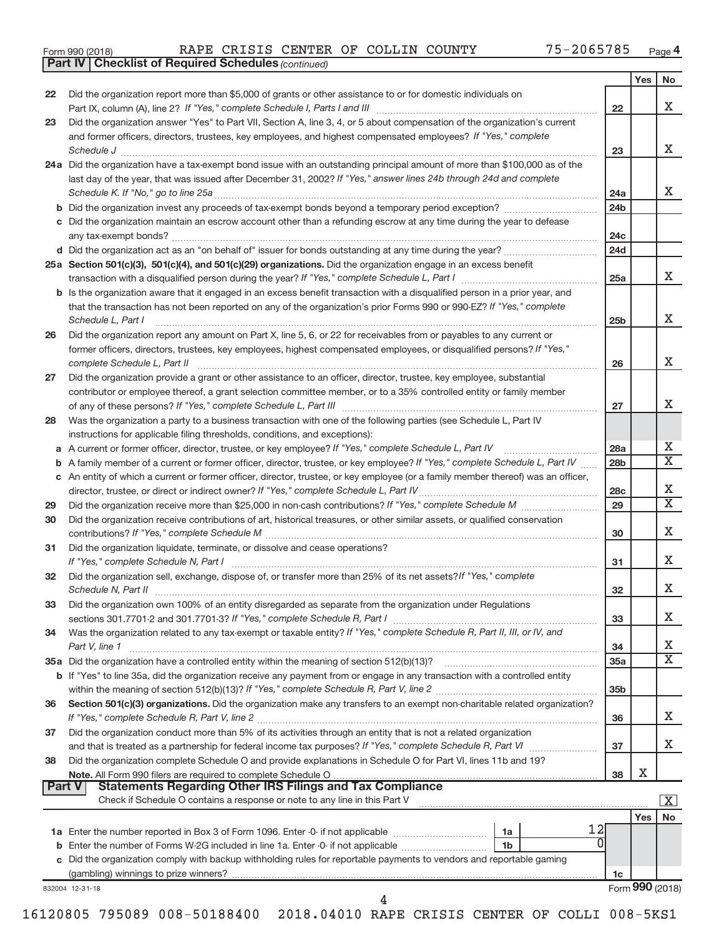|  | Form 990 (2018) |
|--|-----------------|
|  |                 |

*(continued)* **Part IV Checklist of Required Schedules**

|               |                                                                                                                                                                                                                                |                 | Yes | No                          |
|---------------|--------------------------------------------------------------------------------------------------------------------------------------------------------------------------------------------------------------------------------|-----------------|-----|-----------------------------|
| 22            | Did the organization report more than \$5,000 of grants or other assistance to or for domestic individuals on                                                                                                                  |                 |     |                             |
|               |                                                                                                                                                                                                                                | 22              |     | х                           |
| 23            | Did the organization answer "Yes" to Part VII, Section A, line 3, 4, or 5 about compensation of the organization's current                                                                                                     |                 |     |                             |
|               | and former officers, directors, trustees, key employees, and highest compensated employees? If "Yes," complete                                                                                                                 |                 |     | х                           |
|               | Schedule J <b>www.communications.communications.communications</b> .com                                                                                                                                                        | 23              |     |                             |
|               | 24a Did the organization have a tax-exempt bond issue with an outstanding principal amount of more than \$100,000 as of the                                                                                                    |                 |     |                             |
|               | last day of the year, that was issued after December 31, 2002? If "Yes," answer lines 24b through 24d and complete                                                                                                             |                 |     | X.                          |
|               |                                                                                                                                                                                                                                | 24a<br>24b      |     |                             |
|               | c Did the organization maintain an escrow account other than a refunding escrow at any time during the year to defease                                                                                                         |                 |     |                             |
|               |                                                                                                                                                                                                                                | 24c             |     |                             |
|               |                                                                                                                                                                                                                                | 24d             |     |                             |
|               | 25a Section 501(c)(3), 501(c)(4), and 501(c)(29) organizations. Did the organization engage in an excess benefit                                                                                                               |                 |     |                             |
|               |                                                                                                                                                                                                                                | 25a             |     | X.                          |
|               | b Is the organization aware that it engaged in an excess benefit transaction with a disqualified person in a prior year, and                                                                                                   |                 |     |                             |
|               | that the transaction has not been reported on any of the organization's prior Forms 990 or 990-EZ? If "Yes," complete                                                                                                          |                 |     |                             |
|               | Schedule L, Part I                                                                                                                                                                                                             | 25 <sub>b</sub> |     | х                           |
| 26            | Did the organization report any amount on Part X, line 5, 6, or 22 for receivables from or payables to any current or                                                                                                          |                 |     |                             |
|               | former officers, directors, trustees, key employees, highest compensated employees, or disqualified persons? If "Yes,"                                                                                                         |                 |     |                             |
|               | complete Schedule L, Part II                                                                                                                                                                                                   | 26              |     | Χ                           |
| 27            | Did the organization provide a grant or other assistance to an officer, director, trustee, key employee, substantial                                                                                                           |                 |     |                             |
|               | contributor or employee thereof, a grant selection committee member, or to a 35% controlled entity or family member                                                                                                            |                 |     | Χ                           |
|               |                                                                                                                                                                                                                                | 27              |     |                             |
| 28            | Was the organization a party to a business transaction with one of the following parties (see Schedule L, Part IV<br>instructions for applicable filing thresholds, conditions, and exceptions):                               |                 |     |                             |
|               | a A current or former officer, director, trustee, or key employee? If "Yes," complete Schedule L, Part IV                                                                                                                      | 28a             |     | х                           |
| b             | A family member of a current or former officer, director, trustee, or key employee? If "Yes," complete Schedule L, Part IV                                                                                                     | 28 <sub>b</sub> |     | $\overline{\textnormal{x}}$ |
|               | c An entity of which a current or former officer, director, trustee, or key employee (or a family member thereof) was an officer,                                                                                              |                 |     |                             |
|               |                                                                                                                                                                                                                                | 28c             |     | х                           |
| 29            |                                                                                                                                                                                                                                | 29              |     | $\overline{\textnormal{x}}$ |
| 30            | Did the organization receive contributions of art, historical treasures, or other similar assets, or qualified conservation                                                                                                    |                 |     |                             |
|               |                                                                                                                                                                                                                                | 30              |     | Χ                           |
| 31            | Did the organization liquidate, terminate, or dissolve and cease operations?                                                                                                                                                   |                 |     |                             |
|               | If "Yes," complete Schedule N, Part I manufactured and a substitution of the Schedule N, Part I manufactured and the Schedule N, Part I manufactured and the Schedule N, Part I manufactured and the Schedule N, Part I manufa | 31              |     | x                           |
| 32            | Did the organization sell, exchange, dispose of, or transfer more than 25% of its net assets? If "Yes," complete                                                                                                               |                 |     |                             |
|               |                                                                                                                                                                                                                                | 32              |     | Χ                           |
| 33            | Did the organization own 100% of an entity disregarded as separate from the organization under Regulations                                                                                                                     |                 |     |                             |
|               |                                                                                                                                                                                                                                | 33              |     | х                           |
| 34            | Was the organization related to any tax-exempt or taxable entity? If "Yes," complete Schedule R, Part II, III, or IV, and                                                                                                      |                 |     | х                           |
|               | Part V, line 1                                                                                                                                                                                                                 | 34              |     | X                           |
|               | b If "Yes" to line 35a, did the organization receive any payment from or engage in any transaction with a controlled entity                                                                                                    | <b>35a</b>      |     |                             |
|               |                                                                                                                                                                                                                                | 35 <sub>b</sub> |     |                             |
| 36            | Section 501(c)(3) organizations. Did the organization make any transfers to an exempt non-charitable related organization?                                                                                                     |                 |     |                             |
|               |                                                                                                                                                                                                                                | 36              |     | X.                          |
| 37            | Did the organization conduct more than 5% of its activities through an entity that is not a related organization                                                                                                               |                 |     |                             |
|               |                                                                                                                                                                                                                                | 37              |     | X.                          |
| 38            | Did the organization complete Schedule O and provide explanations in Schedule O for Part VI, lines 11b and 19?                                                                                                                 |                 |     |                             |
|               | Note. All Form 990 filers are required to complete Schedule O                                                                                                                                                                  | 38              | X   |                             |
| <b>Part V</b> | <b>Statements Regarding Other IRS Filings and Tax Compliance</b>                                                                                                                                                               |                 |     |                             |
|               | Check if Schedule O contains a response or note to any line in this Part V                                                                                                                                                     |                 |     | $\mathbf{X}$                |
|               |                                                                                                                                                                                                                                |                 | Yes | <b>No</b>                   |
|               | 1a                                                                                                                                                                                                                             |                 |     |                             |
|               | <b>b</b> Enter the number of Forms W-2G included in line 1a. Enter -0- if not applicable<br>1b<br>c Did the organization comply with backup withholding rules for reportable payments to vendors and reportable gaming         |                 |     |                             |
|               |                                                                                                                                                                                                                                | 1c              |     |                             |
|               | 832004 12-31-18                                                                                                                                                                                                                |                 |     | Form 990 (2018)             |
|               | 4                                                                                                                                                                                                                              |                 |     |                             |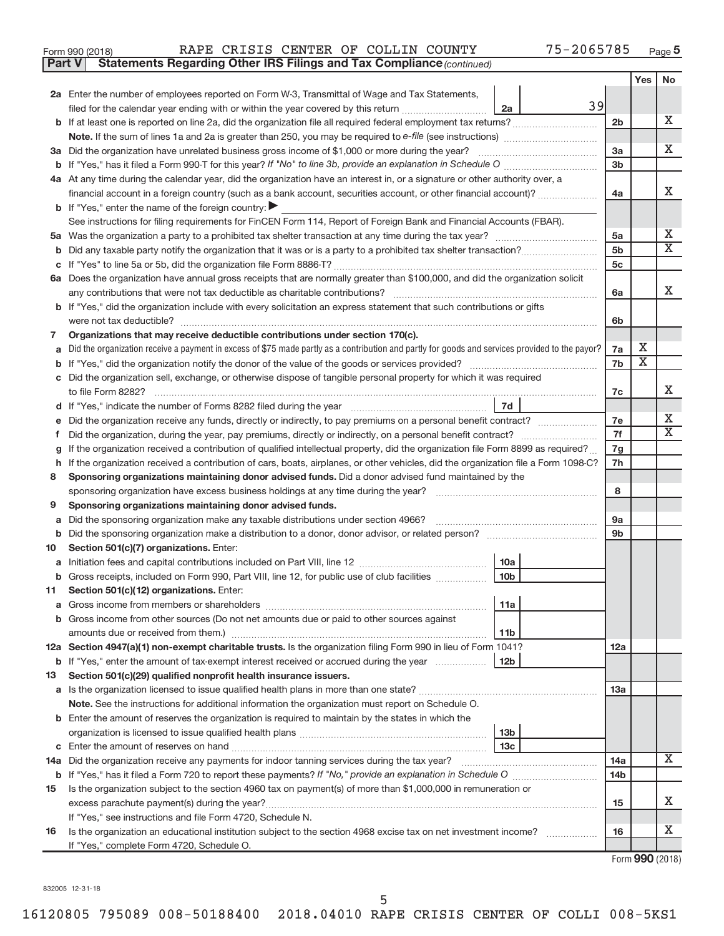| Form 990 (2018) |  | RAPE CRISIS CENTER OF COLLIN COUNTY |  |  |  |  | 75-2065785 | Page |
|-----------------|--|-------------------------------------|--|--|--|--|------------|------|
|-----------------|--|-------------------------------------|--|--|--|--|------------|------|

**Part V** Statements Regarding Other IRS Filings and Tax Compliance (continued)

|    |                                                                                                                                                 |                | Yes                     | No                           |  |  |
|----|-------------------------------------------------------------------------------------------------------------------------------------------------|----------------|-------------------------|------------------------------|--|--|
|    | 2a Enter the number of employees reported on Form W-3, Transmittal of Wage and Tax Statements,                                                  |                |                         |                              |  |  |
|    | 39<br>filed for the calendar year ending with or within the year covered by this return<br>2a                                                   |                |                         |                              |  |  |
|    |                                                                                                                                                 | 2 <sub>b</sub> |                         | х                            |  |  |
|    |                                                                                                                                                 |                |                         |                              |  |  |
|    | 3a Did the organization have unrelated business gross income of \$1,000 or more during the year?                                                | 3a             |                         | x                            |  |  |
|    |                                                                                                                                                 | 3 <sub>b</sub> |                         |                              |  |  |
|    | 4a At any time during the calendar year, did the organization have an interest in, or a signature or other authority over, a                    |                |                         |                              |  |  |
|    | financial account in a foreign country (such as a bank account, securities account, or other financial account)?                                | 4a             |                         | X                            |  |  |
|    | <b>b</b> If "Yes," enter the name of the foreign country:                                                                                       |                |                         |                              |  |  |
|    | See instructions for filing requirements for FinCEN Form 114, Report of Foreign Bank and Financial Accounts (FBAR).                             |                |                         |                              |  |  |
| 5a |                                                                                                                                                 | 5a             |                         | Х<br>$\overline{\mathbf{X}}$ |  |  |
| b  |                                                                                                                                                 |                |                         |                              |  |  |
|    |                                                                                                                                                 |                |                         |                              |  |  |
|    | 6a Does the organization have annual gross receipts that are normally greater than \$100,000, and did the organization solicit                  |                |                         |                              |  |  |
|    |                                                                                                                                                 | 6a             |                         | X                            |  |  |
|    | <b>b</b> If "Yes," did the organization include with every solicitation an express statement that such contributions or gifts                   |                |                         |                              |  |  |
|    | were not tax deductible?                                                                                                                        | 6b             |                         |                              |  |  |
| 7  | Organizations that may receive deductible contributions under section 170(c).                                                                   |                |                         |                              |  |  |
| a  | Did the organization receive a payment in excess of \$75 made partly as a contribution and partly for goods and services provided to the payor? | 7a             | х                       |                              |  |  |
| b  |                                                                                                                                                 | 7b             | $\overline{\textbf{x}}$ |                              |  |  |
|    | c Did the organization sell, exchange, or otherwise dispose of tangible personal property for which it was required                             |                |                         |                              |  |  |
|    |                                                                                                                                                 | 7c             |                         | х                            |  |  |
|    | 7d                                                                                                                                              |                |                         |                              |  |  |
|    | Did the organization receive any funds, directly or indirectly, to pay premiums on a personal benefit contract?                                 | 7e             |                         | x                            |  |  |
| f  | Did the organization, during the year, pay premiums, directly or indirectly, on a personal benefit contract?                                    | 7f             |                         | X                            |  |  |
|    | If the organization received a contribution of qualified intellectual property, did the organization file Form 8899 as required?                |                |                         |                              |  |  |
| h  | If the organization received a contribution of cars, boats, airplanes, or other vehicles, did the organization file a Form 1098-C?              |                |                         |                              |  |  |
| 8  | Sponsoring organizations maintaining donor advised funds. Did a donor advised fund maintained by the                                            |                |                         |                              |  |  |
|    |                                                                                                                                                 | 8              |                         |                              |  |  |
| 9  | Sponsoring organizations maintaining donor advised funds.                                                                                       |                |                         |                              |  |  |
| а  | Did the sponsoring organization make any taxable distributions under section 4966?                                                              | 9а             |                         |                              |  |  |
| b  | Did the sponsoring organization make a distribution to a donor, donor advisor, or related person?                                               | 9b             |                         |                              |  |  |
| 10 | Section 501(c)(7) organizations. Enter:                                                                                                         |                |                         |                              |  |  |
| a  | 10a                                                                                                                                             |                |                         |                              |  |  |
|    | 10 <sub>b</sub><br>b Gross receipts, included on Form 990, Part VIII, line 12, for public use of club facilities                                |                |                         |                              |  |  |
| 11 | Section 501(c)(12) organizations. Enter:                                                                                                        |                |                         |                              |  |  |
|    | 11a                                                                                                                                             |                |                         |                              |  |  |
|    | <b>b</b> Gross income from other sources (Do not net amounts due or paid to other sources against                                               |                |                         |                              |  |  |
|    | 11 <sub>b</sub>                                                                                                                                 |                |                         |                              |  |  |
|    | 12a Section 4947(a)(1) non-exempt charitable trusts. Is the organization filing Form 990 in lieu of Form 1041?                                  | 12a            |                         |                              |  |  |
|    | b If "Yes," enter the amount of tax-exempt interest received or accrued during the year<br>12b                                                  |                |                         |                              |  |  |
| 13 | Section 501(c)(29) qualified nonprofit health insurance issuers.                                                                                |                |                         |                              |  |  |
|    |                                                                                                                                                 | 1За            |                         |                              |  |  |
|    | Note. See the instructions for additional information the organization must report on Schedule O.                                               |                |                         |                              |  |  |
|    | <b>b</b> Enter the amount of reserves the organization is required to maintain by the states in which the                                       |                |                         |                              |  |  |
|    | 13 <sub>b</sub><br>13 <sub>c</sub>                                                                                                              |                |                         |                              |  |  |
|    | 14a Did the organization receive any payments for indoor tanning services during the tax year?                                                  |                |                         | X                            |  |  |
|    |                                                                                                                                                 | 14a<br>14b     |                         |                              |  |  |
| 15 | Is the organization subject to the section 4960 tax on payment(s) of more than \$1,000,000 in remuneration or                                   |                |                         |                              |  |  |
|    | excess parachute payment(s) during the year?                                                                                                    | 15             |                         | x                            |  |  |
|    | If "Yes," see instructions and file Form 4720, Schedule N.                                                                                      |                |                         |                              |  |  |
| 16 | Is the organization an educational institution subject to the section 4968 excise tax on net investment income?                                 | 16             |                         | x                            |  |  |
|    | If "Yes," complete Form 4720, Schedule O.                                                                                                       |                |                         |                              |  |  |
|    |                                                                                                                                                 |                |                         |                              |  |  |

Form (2018) **990**

832005 12-31-18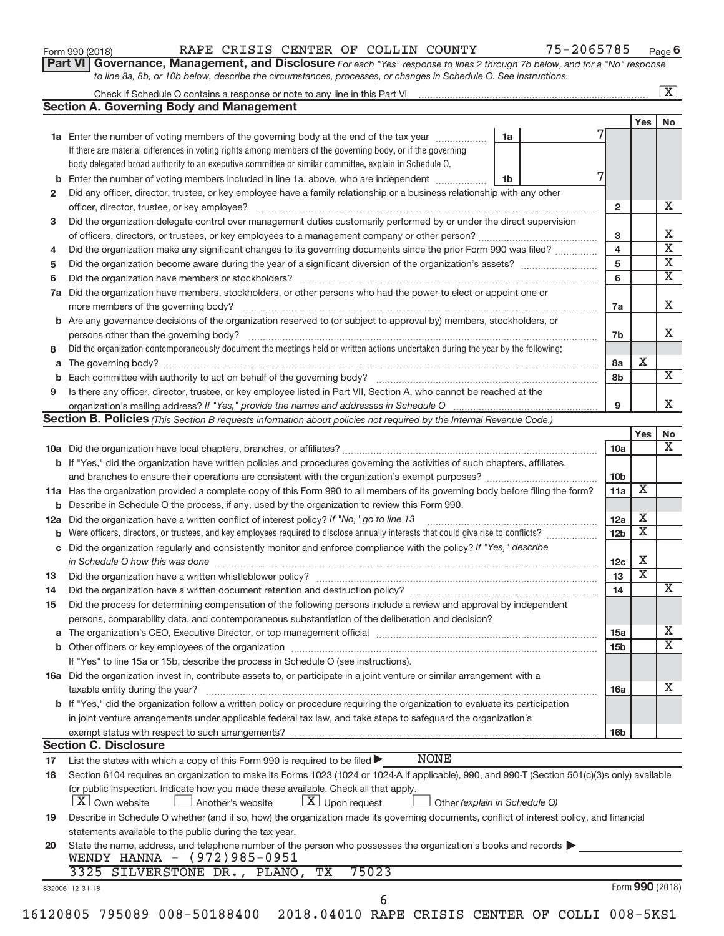| Form 990 (2018) |  |
|-----------------|--|
|-----------------|--|

### Form 990 (2018) RAPE CRISIS CENTER OF COLLIN COUNTY 75-2065785 <sub>Page</sub>

**Part VI** Governance, Management, and Disclosure For each "Yes" response to lines 2 through 7b below, and for a "No" response *to line 8a, 8b, or 10b below, describe the circumstances, processes, or changes in Schedule O. See instructions.*

| <b>Section A. Governing Body and Management</b><br><b>1a</b> Enter the number of voting members of the governing body at the end of the tax year<br>If there are material differences in voting rights among members of the governing body, or if the governing<br>body delegated broad authority to an executive committee or similar committee, explain in Schedule O.<br>Enter the number of voting members included in line 1a, above, who are independent<br>Did any officer, director, trustee, or key employee have a family relationship or a business relationship with any other<br>officer, director, trustee, or key employee?<br>Did the organization delegate control over management duties customarily performed by or under the direct supervision<br>Did the organization make any significant changes to its governing documents since the prior Form 990 was filed?<br>Did the organization have members, stockholders, or other persons who had the power to elect or appoint one or<br>Are any governance decisions of the organization reserved to (or subject to approval by) members, stockholders, or<br>Did the organization contemporaneously document the meetings held or written actions undertaken during the year by the following:<br>Is there any officer, director, trustee, or key employee listed in Part VII, Section A, who cannot be reached at the | 1a<br>1b | $\mathbf{2}$<br>3<br>$\overline{\mathbf{4}}$<br>5<br>6                                                                                          | Yes                                                                                                                                                               |
|----------------------------------------------------------------------------------------------------------------------------------------------------------------------------------------------------------------------------------------------------------------------------------------------------------------------------------------------------------------------------------------------------------------------------------------------------------------------------------------------------------------------------------------------------------------------------------------------------------------------------------------------------------------------------------------------------------------------------------------------------------------------------------------------------------------------------------------------------------------------------------------------------------------------------------------------------------------------------------------------------------------------------------------------------------------------------------------------------------------------------------------------------------------------------------------------------------------------------------------------------------------------------------------------------------------------------------------------------------------------------------------------|----------|-------------------------------------------------------------------------------------------------------------------------------------------------|-------------------------------------------------------------------------------------------------------------------------------------------------------------------|
|                                                                                                                                                                                                                                                                                                                                                                                                                                                                                                                                                                                                                                                                                                                                                                                                                                                                                                                                                                                                                                                                                                                                                                                                                                                                                                                                                                                              |          |                                                                                                                                                 |                                                                                                                                                                   |
|                                                                                                                                                                                                                                                                                                                                                                                                                                                                                                                                                                                                                                                                                                                                                                                                                                                                                                                                                                                                                                                                                                                                                                                                                                                                                                                                                                                              |          |                                                                                                                                                 |                                                                                                                                                                   |
|                                                                                                                                                                                                                                                                                                                                                                                                                                                                                                                                                                                                                                                                                                                                                                                                                                                                                                                                                                                                                                                                                                                                                                                                                                                                                                                                                                                              |          |                                                                                                                                                 |                                                                                                                                                                   |
|                                                                                                                                                                                                                                                                                                                                                                                                                                                                                                                                                                                                                                                                                                                                                                                                                                                                                                                                                                                                                                                                                                                                                                                                                                                                                                                                                                                              |          |                                                                                                                                                 |                                                                                                                                                                   |
|                                                                                                                                                                                                                                                                                                                                                                                                                                                                                                                                                                                                                                                                                                                                                                                                                                                                                                                                                                                                                                                                                                                                                                                                                                                                                                                                                                                              |          |                                                                                                                                                 |                                                                                                                                                                   |
|                                                                                                                                                                                                                                                                                                                                                                                                                                                                                                                                                                                                                                                                                                                                                                                                                                                                                                                                                                                                                                                                                                                                                                                                                                                                                                                                                                                              |          |                                                                                                                                                 |                                                                                                                                                                   |
|                                                                                                                                                                                                                                                                                                                                                                                                                                                                                                                                                                                                                                                                                                                                                                                                                                                                                                                                                                                                                                                                                                                                                                                                                                                                                                                                                                                              |          |                                                                                                                                                 |                                                                                                                                                                   |
|                                                                                                                                                                                                                                                                                                                                                                                                                                                                                                                                                                                                                                                                                                                                                                                                                                                                                                                                                                                                                                                                                                                                                                                                                                                                                                                                                                                              |          |                                                                                                                                                 |                                                                                                                                                                   |
|                                                                                                                                                                                                                                                                                                                                                                                                                                                                                                                                                                                                                                                                                                                                                                                                                                                                                                                                                                                                                                                                                                                                                                                                                                                                                                                                                                                              |          |                                                                                                                                                 |                                                                                                                                                                   |
|                                                                                                                                                                                                                                                                                                                                                                                                                                                                                                                                                                                                                                                                                                                                                                                                                                                                                                                                                                                                                                                                                                                                                                                                                                                                                                                                                                                              |          |                                                                                                                                                 |                                                                                                                                                                   |
|                                                                                                                                                                                                                                                                                                                                                                                                                                                                                                                                                                                                                                                                                                                                                                                                                                                                                                                                                                                                                                                                                                                                                                                                                                                                                                                                                                                              |          |                                                                                                                                                 |                                                                                                                                                                   |
|                                                                                                                                                                                                                                                                                                                                                                                                                                                                                                                                                                                                                                                                                                                                                                                                                                                                                                                                                                                                                                                                                                                                                                                                                                                                                                                                                                                              |          |                                                                                                                                                 |                                                                                                                                                                   |
|                                                                                                                                                                                                                                                                                                                                                                                                                                                                                                                                                                                                                                                                                                                                                                                                                                                                                                                                                                                                                                                                                                                                                                                                                                                                                                                                                                                              |          |                                                                                                                                                 |                                                                                                                                                                   |
|                                                                                                                                                                                                                                                                                                                                                                                                                                                                                                                                                                                                                                                                                                                                                                                                                                                                                                                                                                                                                                                                                                                                                                                                                                                                                                                                                                                              |          |                                                                                                                                                 |                                                                                                                                                                   |
|                                                                                                                                                                                                                                                                                                                                                                                                                                                                                                                                                                                                                                                                                                                                                                                                                                                                                                                                                                                                                                                                                                                                                                                                                                                                                                                                                                                              |          | 7a                                                                                                                                              |                                                                                                                                                                   |
|                                                                                                                                                                                                                                                                                                                                                                                                                                                                                                                                                                                                                                                                                                                                                                                                                                                                                                                                                                                                                                                                                                                                                                                                                                                                                                                                                                                              |          |                                                                                                                                                 |                                                                                                                                                                   |
|                                                                                                                                                                                                                                                                                                                                                                                                                                                                                                                                                                                                                                                                                                                                                                                                                                                                                                                                                                                                                                                                                                                                                                                                                                                                                                                                                                                              |          | 7b                                                                                                                                              |                                                                                                                                                                   |
|                                                                                                                                                                                                                                                                                                                                                                                                                                                                                                                                                                                                                                                                                                                                                                                                                                                                                                                                                                                                                                                                                                                                                                                                                                                                                                                                                                                              |          |                                                                                                                                                 |                                                                                                                                                                   |
|                                                                                                                                                                                                                                                                                                                                                                                                                                                                                                                                                                                                                                                                                                                                                                                                                                                                                                                                                                                                                                                                                                                                                                                                                                                                                                                                                                                              |          | 8а                                                                                                                                              | X                                                                                                                                                                 |
|                                                                                                                                                                                                                                                                                                                                                                                                                                                                                                                                                                                                                                                                                                                                                                                                                                                                                                                                                                                                                                                                                                                                                                                                                                                                                                                                                                                              |          | 8b                                                                                                                                              |                                                                                                                                                                   |
|                                                                                                                                                                                                                                                                                                                                                                                                                                                                                                                                                                                                                                                                                                                                                                                                                                                                                                                                                                                                                                                                                                                                                                                                                                                                                                                                                                                              |          |                                                                                                                                                 |                                                                                                                                                                   |
|                                                                                                                                                                                                                                                                                                                                                                                                                                                                                                                                                                                                                                                                                                                                                                                                                                                                                                                                                                                                                                                                                                                                                                                                                                                                                                                                                                                              |          | 9                                                                                                                                               |                                                                                                                                                                   |
| <b>Section B. Policies</b> (This Section B requests information about policies not required by the Internal Revenue Code.)                                                                                                                                                                                                                                                                                                                                                                                                                                                                                                                                                                                                                                                                                                                                                                                                                                                                                                                                                                                                                                                                                                                                                                                                                                                                   |          |                                                                                                                                                 |                                                                                                                                                                   |
|                                                                                                                                                                                                                                                                                                                                                                                                                                                                                                                                                                                                                                                                                                                                                                                                                                                                                                                                                                                                                                                                                                                                                                                                                                                                                                                                                                                              |          |                                                                                                                                                 | Yes                                                                                                                                                               |
|                                                                                                                                                                                                                                                                                                                                                                                                                                                                                                                                                                                                                                                                                                                                                                                                                                                                                                                                                                                                                                                                                                                                                                                                                                                                                                                                                                                              |          | 10a                                                                                                                                             |                                                                                                                                                                   |
| <b>b</b> If "Yes," did the organization have written policies and procedures governing the activities of such chapters, affiliates,                                                                                                                                                                                                                                                                                                                                                                                                                                                                                                                                                                                                                                                                                                                                                                                                                                                                                                                                                                                                                                                                                                                                                                                                                                                          |          |                                                                                                                                                 |                                                                                                                                                                   |
|                                                                                                                                                                                                                                                                                                                                                                                                                                                                                                                                                                                                                                                                                                                                                                                                                                                                                                                                                                                                                                                                                                                                                                                                                                                                                                                                                                                              |          | 10 <sub>b</sub>                                                                                                                                 |                                                                                                                                                                   |
| 11a Has the organization provided a complete copy of this Form 990 to all members of its governing body before filing the form?                                                                                                                                                                                                                                                                                                                                                                                                                                                                                                                                                                                                                                                                                                                                                                                                                                                                                                                                                                                                                                                                                                                                                                                                                                                              |          | 11a                                                                                                                                             | X                                                                                                                                                                 |
| <b>b</b> Describe in Schedule O the process, if any, used by the organization to review this Form 990.                                                                                                                                                                                                                                                                                                                                                                                                                                                                                                                                                                                                                                                                                                                                                                                                                                                                                                                                                                                                                                                                                                                                                                                                                                                                                       |          |                                                                                                                                                 |                                                                                                                                                                   |
| Did the organization have a written conflict of interest policy? If "No," go to line 13                                                                                                                                                                                                                                                                                                                                                                                                                                                                                                                                                                                                                                                                                                                                                                                                                                                                                                                                                                                                                                                                                                                                                                                                                                                                                                      |          | 12a                                                                                                                                             | x                                                                                                                                                                 |
| Were officers, directors, or trustees, and key employees required to disclose annually interests that could give rise to conflicts?                                                                                                                                                                                                                                                                                                                                                                                                                                                                                                                                                                                                                                                                                                                                                                                                                                                                                                                                                                                                                                                                                                                                                                                                                                                          |          | 12 <sub>b</sub>                                                                                                                                 | x                                                                                                                                                                 |
| Did the organization regularly and consistently monitor and enforce compliance with the policy? If "Yes," describe                                                                                                                                                                                                                                                                                                                                                                                                                                                                                                                                                                                                                                                                                                                                                                                                                                                                                                                                                                                                                                                                                                                                                                                                                                                                           |          |                                                                                                                                                 |                                                                                                                                                                   |
| in Schedule O how this was done manufactured and contract the state of the state of the state of the state of the state of the state of the state of the state of the state of the state of the state of the state of the stat                                                                                                                                                                                                                                                                                                                                                                                                                                                                                                                                                                                                                                                                                                                                                                                                                                                                                                                                                                                                                                                                                                                                                               |          | 12c                                                                                                                                             | X                                                                                                                                                                 |
|                                                                                                                                                                                                                                                                                                                                                                                                                                                                                                                                                                                                                                                                                                                                                                                                                                                                                                                                                                                                                                                                                                                                                                                                                                                                                                                                                                                              |          | 13                                                                                                                                              | $\overline{\mathbf{x}}$                                                                                                                                           |
|                                                                                                                                                                                                                                                                                                                                                                                                                                                                                                                                                                                                                                                                                                                                                                                                                                                                                                                                                                                                                                                                                                                                                                                                                                                                                                                                                                                              |          | 14                                                                                                                                              |                                                                                                                                                                   |
|                                                                                                                                                                                                                                                                                                                                                                                                                                                                                                                                                                                                                                                                                                                                                                                                                                                                                                                                                                                                                                                                                                                                                                                                                                                                                                                                                                                              |          |                                                                                                                                                 |                                                                                                                                                                   |
| Did the process for determining compensation of the following persons include a review and approval by independent                                                                                                                                                                                                                                                                                                                                                                                                                                                                                                                                                                                                                                                                                                                                                                                                                                                                                                                                                                                                                                                                                                                                                                                                                                                                           |          |                                                                                                                                                 |                                                                                                                                                                   |
| persons, comparability data, and contemporaneous substantiation of the deliberation and decision?                                                                                                                                                                                                                                                                                                                                                                                                                                                                                                                                                                                                                                                                                                                                                                                                                                                                                                                                                                                                                                                                                                                                                                                                                                                                                            |          |                                                                                                                                                 |                                                                                                                                                                   |
| The organization's CEO, Executive Director, or top management official [111] [11] manument content of the organization's CEO, Executive Director, or top management official [11] manument content of the organization of the                                                                                                                                                                                                                                                                                                                                                                                                                                                                                                                                                                                                                                                                                                                                                                                                                                                                                                                                                                                                                                                                                                                                                                |          | 15a                                                                                                                                             |                                                                                                                                                                   |
|                                                                                                                                                                                                                                                                                                                                                                                                                                                                                                                                                                                                                                                                                                                                                                                                                                                                                                                                                                                                                                                                                                                                                                                                                                                                                                                                                                                              |          | 15 <sub>b</sub>                                                                                                                                 |                                                                                                                                                                   |
| If "Yes" to line 15a or 15b, describe the process in Schedule O (see instructions).                                                                                                                                                                                                                                                                                                                                                                                                                                                                                                                                                                                                                                                                                                                                                                                                                                                                                                                                                                                                                                                                                                                                                                                                                                                                                                          |          |                                                                                                                                                 |                                                                                                                                                                   |
| 16a Did the organization invest in, contribute assets to, or participate in a joint venture or similar arrangement with a                                                                                                                                                                                                                                                                                                                                                                                                                                                                                                                                                                                                                                                                                                                                                                                                                                                                                                                                                                                                                                                                                                                                                                                                                                                                    |          |                                                                                                                                                 |                                                                                                                                                                   |
| taxable entity during the year?                                                                                                                                                                                                                                                                                                                                                                                                                                                                                                                                                                                                                                                                                                                                                                                                                                                                                                                                                                                                                                                                                                                                                                                                                                                                                                                                                              |          | 16a                                                                                                                                             |                                                                                                                                                                   |
| b If "Yes," did the organization follow a written policy or procedure requiring the organization to evaluate its participation                                                                                                                                                                                                                                                                                                                                                                                                                                                                                                                                                                                                                                                                                                                                                                                                                                                                                                                                                                                                                                                                                                                                                                                                                                                               |          |                                                                                                                                                 |                                                                                                                                                                   |
| in joint venture arrangements under applicable federal tax law, and take steps to safeguard the organization's                                                                                                                                                                                                                                                                                                                                                                                                                                                                                                                                                                                                                                                                                                                                                                                                                                                                                                                                                                                                                                                                                                                                                                                                                                                                               |          |                                                                                                                                                 |                                                                                                                                                                   |
| exempt status with respect to such arrangements?                                                                                                                                                                                                                                                                                                                                                                                                                                                                                                                                                                                                                                                                                                                                                                                                                                                                                                                                                                                                                                                                                                                                                                                                                                                                                                                                             |          | 16 <sub>b</sub>                                                                                                                                 |                                                                                                                                                                   |
| <b>Section C. Disclosure</b>                                                                                                                                                                                                                                                                                                                                                                                                                                                                                                                                                                                                                                                                                                                                                                                                                                                                                                                                                                                                                                                                                                                                                                                                                                                                                                                                                                 |          |                                                                                                                                                 |                                                                                                                                                                   |
| <b>NONE</b><br>List the states with which a copy of this Form 990 is required to be filed $\blacktriangleright$                                                                                                                                                                                                                                                                                                                                                                                                                                                                                                                                                                                                                                                                                                                                                                                                                                                                                                                                                                                                                                                                                                                                                                                                                                                                              |          |                                                                                                                                                 |                                                                                                                                                                   |
| Section 6104 requires an organization to make its Forms 1023 (1024 or 1024 A if applicable), 990, and 990-T (Section 501(c)(3)s only) available                                                                                                                                                                                                                                                                                                                                                                                                                                                                                                                                                                                                                                                                                                                                                                                                                                                                                                                                                                                                                                                                                                                                                                                                                                              |          |                                                                                                                                                 |                                                                                                                                                                   |
|                                                                                                                                                                                                                                                                                                                                                                                                                                                                                                                                                                                                                                                                                                                                                                                                                                                                                                                                                                                                                                                                                                                                                                                                                                                                                                                                                                                              |          |                                                                                                                                                 |                                                                                                                                                                   |
| for public inspection. Indicate how you made these available. Check all that apply.<br><b>X</b> Own website<br>Another's website                                                                                                                                                                                                                                                                                                                                                                                                                                                                                                                                                                                                                                                                                                                                                                                                                                                                                                                                                                                                                                                                                                                                                                                                                                                             |          |                                                                                                                                                 |                                                                                                                                                                   |
| $\lfloor x \rfloor$ Upon request                                                                                                                                                                                                                                                                                                                                                                                                                                                                                                                                                                                                                                                                                                                                                                                                                                                                                                                                                                                                                                                                                                                                                                                                                                                                                                                                                             |          |                                                                                                                                                 |                                                                                                                                                                   |
|                                                                                                                                                                                                                                                                                                                                                                                                                                                                                                                                                                                                                                                                                                                                                                                                                                                                                                                                                                                                                                                                                                                                                                                                                                                                                                                                                                                              |          |                                                                                                                                                 |                                                                                                                                                                   |
| statements available to the public during the tax year.                                                                                                                                                                                                                                                                                                                                                                                                                                                                                                                                                                                                                                                                                                                                                                                                                                                                                                                                                                                                                                                                                                                                                                                                                                                                                                                                      |          |                                                                                                                                                 |                                                                                                                                                                   |
|                                                                                                                                                                                                                                                                                                                                                                                                                                                                                                                                                                                                                                                                                                                                                                                                                                                                                                                                                                                                                                                                                                                                                                                                                                                                                                                                                                                              |          |                                                                                                                                                 |                                                                                                                                                                   |
| WENDY HANNA - (972)985-0951                                                                                                                                                                                                                                                                                                                                                                                                                                                                                                                                                                                                                                                                                                                                                                                                                                                                                                                                                                                                                                                                                                                                                                                                                                                                                                                                                                  |          |                                                                                                                                                 |                                                                                                                                                                   |
| 75023<br>3325 SILVERSTONE DR., PLANO,<br>$\overline{\text{TX}}$                                                                                                                                                                                                                                                                                                                                                                                                                                                                                                                                                                                                                                                                                                                                                                                                                                                                                                                                                                                                                                                                                                                                                                                                                                                                                                                              |          |                                                                                                                                                 |                                                                                                                                                                   |
|                                                                                                                                                                                                                                                                                                                                                                                                                                                                                                                                                                                                                                                                                                                                                                                                                                                                                                                                                                                                                                                                                                                                                                                                                                                                                                                                                                                              |          | Other (explain in Schedule O)<br>State the name, address, and telephone number of the person who possesses the organization's books and records | Describe in Schedule O whether (and if so, how) the organization made its governing documents, conflict of interest policy, and financial<br>Form 990 (2018)<br>6 |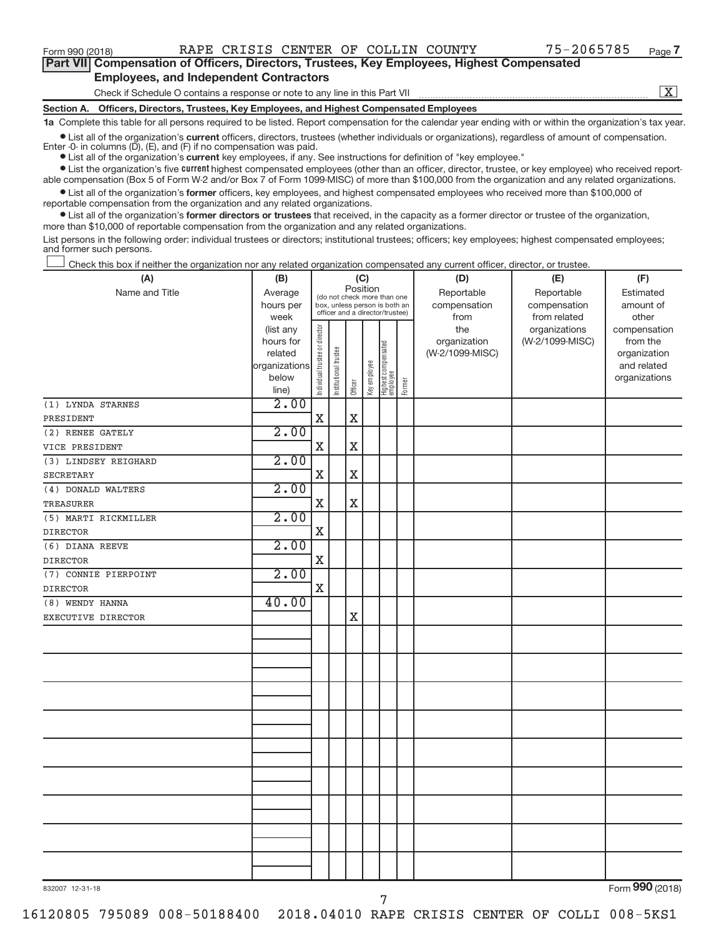$\boxed{\text{X}}$ 

| Part VII Compensation of Officers, Directors, Trustees, Key Employees, Highest Compensated |
|--------------------------------------------------------------------------------------------|
| <b>Employees, and Independent Contractors</b>                                              |

Check if Schedule O contains a response or note to any line in this Part VII

**Section A. Officers, Directors, Trustees, Key Employees, and Highest Compensated Employees**

**1a**  Complete this table for all persons required to be listed. Report compensation for the calendar year ending with or within the organization's tax year.

 $\bullet$  List all of the organization's current officers, directors, trustees (whether individuals or organizations), regardless of amount of compensation. Enter -0- in columns  $(D)$ ,  $(E)$ , and  $(F)$  if no compensation was paid.

**•** List all of the organization's **current** key employees, if any. See instructions for definition of "key employee."

**Examber 1** Current Lightest compensated employees (other than an officer, director, trustee, or key employee) who received reportable compensation (Box 5 of Form W-2 and/or Box 7 of Form 1099-MISC) of more than \$100,000 from the organization and any related organizations.

 $\bullet$  List all of the organization's former officers, key employees, and highest compensated employees who received more than \$100,000 of reportable compensation from the organization and any related organizations.

**•** List all of the organization's former directors or trustees that received, in the capacity as a former director or trustee of the organization, more than \$10,000 of reportable compensation from the organization and any related organizations.

List persons in the following order: individual trustees or directors; institutional trustees; officers; key employees; highest compensated employees; and former such persons.

Check this box if neither the organization nor any related organization compensated any current officer, director, or trustee.  $\overline{\phantom{a}}$ 

| (A)                  | (B)                  | (C)                            |                                                                  |             |              |                                 | (D)    | (E)                             | (F)             |                          |
|----------------------|----------------------|--------------------------------|------------------------------------------------------------------|-------------|--------------|---------------------------------|--------|---------------------------------|-----------------|--------------------------|
| Name and Title       | Average              |                                | Position<br>(do not check more than one                          |             |              |                                 |        | Reportable                      | Reportable      | Estimated                |
|                      | hours per            |                                | box, unless person is both an<br>officer and a director/trustee) |             |              |                                 |        | compensation                    | compensation    | amount of                |
|                      | week                 |                                |                                                                  |             |              |                                 |        | from                            | from related    | other                    |
|                      | (list any            |                                |                                                                  |             |              |                                 |        | the                             | organizations   | compensation             |
|                      | hours for<br>related |                                |                                                                  |             |              |                                 |        | organization<br>(W-2/1099-MISC) | (W-2/1099-MISC) | from the<br>organization |
|                      | organizations        |                                |                                                                  |             |              |                                 |        |                                 |                 | and related              |
|                      | below                |                                |                                                                  |             |              |                                 |        |                                 |                 | organizations            |
|                      | line)                | Individual trustee or director | Institutional trustee                                            | Officer     | Key employee | Highest compensated<br>employee | Former |                                 |                 |                          |
| (1) LYNDA STARNES    | 2.00                 |                                |                                                                  |             |              |                                 |        |                                 |                 |                          |
| PRESIDENT            |                      | $\mathbf X$                    |                                                                  | $\mathbf X$ |              |                                 |        |                                 |                 |                          |
| (2) RENEE GATELY     | 2.00                 |                                |                                                                  |             |              |                                 |        |                                 |                 |                          |
| VICE PRESIDENT       |                      | $\mathbf X$                    |                                                                  | $\mathbf X$ |              |                                 |        |                                 |                 |                          |
| (3) LINDSEY REIGHARD | 2.00                 |                                |                                                                  |             |              |                                 |        |                                 |                 |                          |
| <b>SECRETARY</b>     |                      | $\mathbf X$                    |                                                                  | $\mathbf x$ |              |                                 |        |                                 |                 |                          |
| (4) DONALD WALTERS   | 2.00                 |                                |                                                                  |             |              |                                 |        |                                 |                 |                          |
| <b>TREASURER</b>     |                      | $\mathbf X$                    |                                                                  | $\mathbf X$ |              |                                 |        |                                 |                 |                          |
| (5) MARTI RICKMILLER | 2.00                 |                                |                                                                  |             |              |                                 |        |                                 |                 |                          |
| <b>DIRECTOR</b>      |                      | $\mathbf X$                    |                                                                  |             |              |                                 |        |                                 |                 |                          |
| (6) DIANA REEVE      | 2.00                 |                                |                                                                  |             |              |                                 |        |                                 |                 |                          |
| <b>DIRECTOR</b>      |                      | $\mathbf X$                    |                                                                  |             |              |                                 |        |                                 |                 |                          |
| (7) CONNIE PIERPOINT | 2.00                 |                                |                                                                  |             |              |                                 |        |                                 |                 |                          |
| <b>DIRECTOR</b>      |                      | $\mathbf X$                    |                                                                  |             |              |                                 |        |                                 |                 |                          |
| (8) WENDY HANNA      | 40.00                |                                |                                                                  |             |              |                                 |        |                                 |                 |                          |
| EXECUTIVE DIRECTOR   |                      |                                |                                                                  | $\mathbf X$ |              |                                 |        |                                 |                 |                          |
|                      |                      |                                |                                                                  |             |              |                                 |        |                                 |                 |                          |
|                      |                      |                                |                                                                  |             |              |                                 |        |                                 |                 |                          |
|                      |                      |                                |                                                                  |             |              |                                 |        |                                 |                 |                          |
|                      |                      |                                |                                                                  |             |              |                                 |        |                                 |                 |                          |
|                      |                      |                                |                                                                  |             |              |                                 |        |                                 |                 |                          |
|                      |                      |                                |                                                                  |             |              |                                 |        |                                 |                 |                          |
|                      |                      |                                |                                                                  |             |              |                                 |        |                                 |                 |                          |
|                      |                      |                                |                                                                  |             |              |                                 |        |                                 |                 |                          |
|                      |                      |                                |                                                                  |             |              |                                 |        |                                 |                 |                          |
|                      |                      |                                |                                                                  |             |              |                                 |        |                                 |                 |                          |
|                      |                      |                                |                                                                  |             |              |                                 |        |                                 |                 |                          |
|                      |                      |                                |                                                                  |             |              |                                 |        |                                 |                 |                          |
|                      |                      |                                |                                                                  |             |              |                                 |        |                                 |                 |                          |
|                      |                      |                                |                                                                  |             |              |                                 |        |                                 |                 |                          |
|                      |                      |                                |                                                                  |             |              |                                 |        |                                 |                 |                          |
|                      |                      |                                |                                                                  |             |              |                                 |        |                                 |                 |                          |
|                      |                      |                                |                                                                  |             |              |                                 |        |                                 |                 |                          |
|                      |                      |                                |                                                                  |             |              |                                 |        |                                 |                 | $\overline{000}$         |

832007 12-31-18

Form (2018) **990**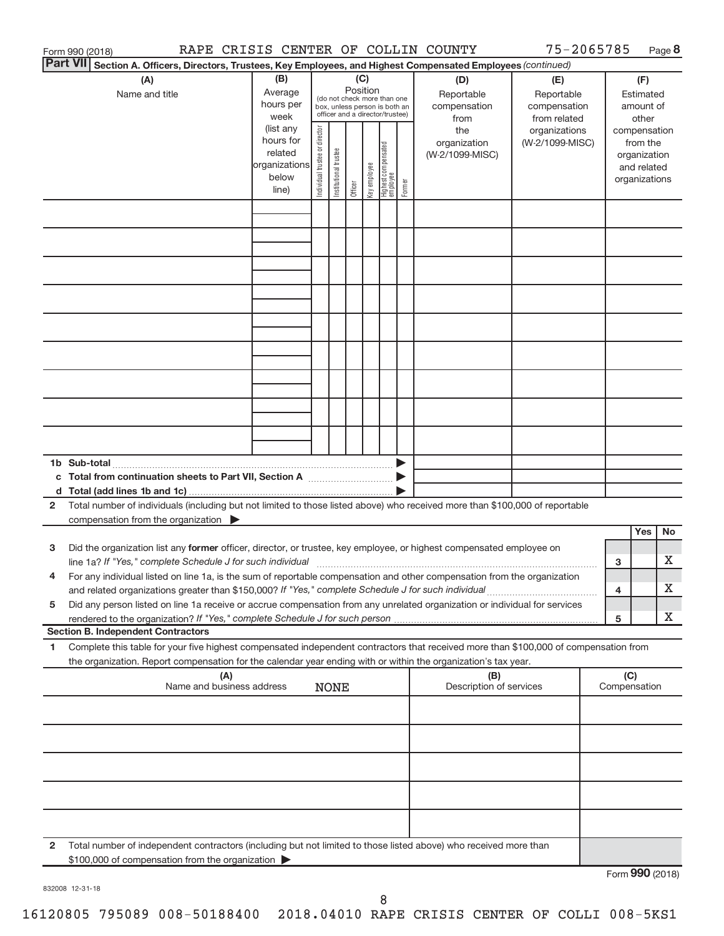|                 | Form 990 (2018)                                                                                                                                                                                                                                                                                                                                               |                                                               |                                                                                                                    |                       |         |              |                                   |        | RAPE CRISIS CENTER OF COLLIN COUNTY                              | 75-2065785                                                                            |              |                                                                    | Page 8          |
|-----------------|---------------------------------------------------------------------------------------------------------------------------------------------------------------------------------------------------------------------------------------------------------------------------------------------------------------------------------------------------------------|---------------------------------------------------------------|--------------------------------------------------------------------------------------------------------------------|-----------------------|---------|--------------|-----------------------------------|--------|------------------------------------------------------------------|---------------------------------------------------------------------------------------|--------------|--------------------------------------------------------------------|-----------------|
| <b>Part VII</b> | Section A. Officers, Directors, Trustees, Key Employees, and Highest Compensated Employees (continued)                                                                                                                                                                                                                                                        |                                                               |                                                                                                                    |                       |         |              |                                   |        |                                                                  |                                                                                       |              |                                                                    |                 |
|                 | (A)<br>Name and title                                                                                                                                                                                                                                                                                                                                         | (B)<br>Average<br>hours per<br>week<br>(list any<br>hours for | (C)<br>Position<br>(do not check more than one<br>box, unless person is both an<br>officer and a director/trustee) |                       |         |              |                                   |        | (D)<br>Reportable<br>compensation<br>from<br>the<br>organization | (E)<br>Reportable<br>compensation<br>from related<br>organizations<br>(W-2/1099-MISC) |              | (F)<br>Estimated<br>amount of<br>other<br>compensation<br>from the |                 |
|                 |                                                                                                                                                                                                                                                                                                                                                               | related<br>organizations<br>below<br>line)                    | Individual trustee or director                                                                                     | Institutional trustee | Officer | key employee | Highest compensated<br>  employee | Former | (W-2/1099-MISC)                                                  |                                                                                       |              | organization<br>and related<br>organizations                       |                 |
|                 |                                                                                                                                                                                                                                                                                                                                                               |                                                               |                                                                                                                    |                       |         |              |                                   |        |                                                                  |                                                                                       |              |                                                                    |                 |
|                 |                                                                                                                                                                                                                                                                                                                                                               |                                                               |                                                                                                                    |                       |         |              |                                   |        |                                                                  |                                                                                       |              |                                                                    |                 |
|                 |                                                                                                                                                                                                                                                                                                                                                               |                                                               |                                                                                                                    |                       |         |              |                                   |        |                                                                  |                                                                                       |              |                                                                    |                 |
|                 |                                                                                                                                                                                                                                                                                                                                                               |                                                               |                                                                                                                    |                       |         |              |                                   |        |                                                                  |                                                                                       |              |                                                                    |                 |
|                 | 1b Sub-total                                                                                                                                                                                                                                                                                                                                                  |                                                               |                                                                                                                    |                       |         |              |                                   |        |                                                                  |                                                                                       |              |                                                                    |                 |
|                 | c Total from continuation sheets to Part VII, Section A [111] [120] [20]                                                                                                                                                                                                                                                                                      |                                                               |                                                                                                                    |                       |         |              |                                   |        |                                                                  |                                                                                       |              |                                                                    |                 |
| $\mathbf{2}$    | Total number of individuals (including but not limited to those listed above) who received more than \$100,000 of reportable<br>compensation from the organization $\blacktriangleright$                                                                                                                                                                      |                                                               |                                                                                                                    |                       |         |              |                                   |        |                                                                  |                                                                                       |              | Yes                                                                | <b>No</b>       |
| 3               | Did the organization list any former officer, director, or trustee, key employee, or highest compensated employee on                                                                                                                                                                                                                                          |                                                               |                                                                                                                    |                       |         |              |                                   |        |                                                                  |                                                                                       | 3            |                                                                    | X.              |
| 5               | For any individual listed on line 1a, is the sum of reportable compensation and other compensation from the organization<br>and related organizations greater than \$150,000? If "Yes," complete Schedule J for such individual<br>Did any person listed on line 1a receive or accrue compensation from any unrelated organization or individual for services |                                                               |                                                                                                                    |                       |         |              |                                   |        |                                                                  |                                                                                       | 4            |                                                                    | X               |
|                 | rendered to the organization? If "Yes," complete Schedule J for such person.<br><b>Section B. Independent Contractors</b>                                                                                                                                                                                                                                     |                                                               |                                                                                                                    |                       |         |              |                                   |        |                                                                  |                                                                                       | 5            |                                                                    | X.              |
| 1.              | Complete this table for your five highest compensated independent contractors that received more than \$100,000 of compensation from<br>the organization. Report compensation for the calendar year ending with or within the organization's tax year.                                                                                                        |                                                               |                                                                                                                    |                       |         |              |                                   |        |                                                                  |                                                                                       |              |                                                                    |                 |
|                 | (A)<br>Name and business address                                                                                                                                                                                                                                                                                                                              |                                                               |                                                                                                                    | <b>NONE</b>           |         |              |                                   |        | (B)<br>Description of services                                   |                                                                                       | Compensation | (C)                                                                |                 |
|                 |                                                                                                                                                                                                                                                                                                                                                               |                                                               |                                                                                                                    |                       |         |              |                                   |        |                                                                  |                                                                                       |              |                                                                    |                 |
|                 |                                                                                                                                                                                                                                                                                                                                                               |                                                               |                                                                                                                    |                       |         |              |                                   |        |                                                                  |                                                                                       |              |                                                                    |                 |
|                 |                                                                                                                                                                                                                                                                                                                                                               |                                                               |                                                                                                                    |                       |         |              |                                   |        |                                                                  |                                                                                       |              |                                                                    |                 |
| $\mathbf{2}$    | Total number of independent contractors (including but not limited to those listed above) who received more than<br>\$100,000 of compensation from the organization                                                                                                                                                                                           |                                                               |                                                                                                                    |                       |         |              |                                   |        |                                                                  |                                                                                       |              |                                                                    | $000 \times 20$ |

832008 12-31-18

Form **990** (2018)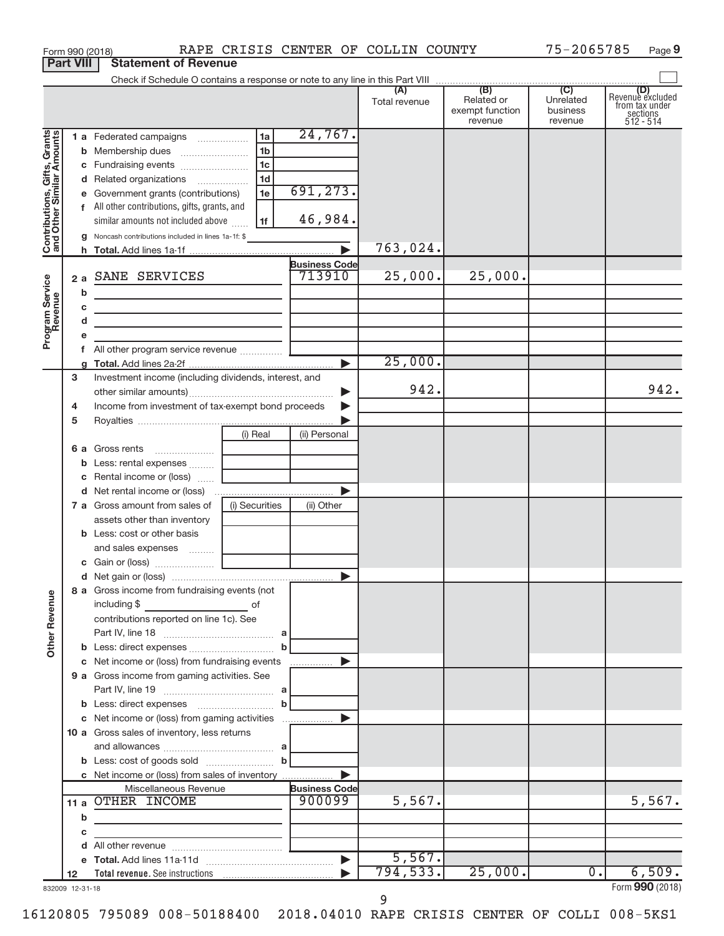|                                                           | Form 990 (2018)  |                                                                                                                                                                                                                                                                                                       |                                                   |                       | RAPE CRISIS CENTER OF COLLIN COUNTY |                                          | 75-2065785                       | Page 9                                                      |
|-----------------------------------------------------------|------------------|-------------------------------------------------------------------------------------------------------------------------------------------------------------------------------------------------------------------------------------------------------------------------------------------------------|---------------------------------------------------|-----------------------|-------------------------------------|------------------------------------------|----------------------------------|-------------------------------------------------------------|
|                                                           | <b>Part VIII</b> | <b>Statement of Revenue</b>                                                                                                                                                                                                                                                                           |                                                   |                       |                                     |                                          |                                  |                                                             |
|                                                           |                  |                                                                                                                                                                                                                                                                                                       |                                                   |                       |                                     |                                          |                                  |                                                             |
|                                                           |                  |                                                                                                                                                                                                                                                                                                       |                                                   |                       | Total revenue                       | Related or<br>exempt function<br>revenue | Unrelated<br>business<br>revenue | Revenue excluded<br>from tax under<br>sections<br>512 - 514 |
|                                                           |                  | 1 a Federated campaigns                                                                                                                                                                                                                                                                               | l 1a l                                            | 24,767.               |                                     |                                          |                                  |                                                             |
| Contributions, Gifts, Grants<br>and Other Similar Amounts |                  |                                                                                                                                                                                                                                                                                                       | 1 <sub>b</sub>                                    |                       |                                     |                                          |                                  |                                                             |
|                                                           |                  | c Fundraising events                                                                                                                                                                                                                                                                                  | 1c                                                |                       |                                     |                                          |                                  |                                                             |
|                                                           |                  | d Related organizations                                                                                                                                                                                                                                                                               | 1 <sub>d</sub>                                    |                       |                                     |                                          |                                  |                                                             |
|                                                           |                  | e Government grants (contributions)                                                                                                                                                                                                                                                                   | 1e                                                | 691,273.              |                                     |                                          |                                  |                                                             |
|                                                           |                  | f All other contributions, gifts, grants, and                                                                                                                                                                                                                                                         |                                                   |                       |                                     |                                          |                                  |                                                             |
|                                                           |                  | similar amounts not included above                                                                                                                                                                                                                                                                    | 1f                                                | 46,984.               |                                     |                                          |                                  |                                                             |
|                                                           |                  | <b>g</b> Noncash contributions included in lines 1a-1f: \$                                                                                                                                                                                                                                            |                                                   |                       |                                     |                                          |                                  |                                                             |
|                                                           |                  |                                                                                                                                                                                                                                                                                                       |                                                   |                       | 763,024.                            |                                          |                                  |                                                             |
|                                                           |                  |                                                                                                                                                                                                                                                                                                       |                                                   | <b>Business Code</b>  |                                     |                                          |                                  |                                                             |
|                                                           |                  | 2 a SANE SERVICES                                                                                                                                                                                                                                                                                     |                                                   | 713910                | 25,000.                             | 25,000.                                  |                                  |                                                             |
|                                                           | b                | the control of the control of the control of the control of the control of                                                                                                                                                                                                                            |                                                   |                       |                                     |                                          |                                  |                                                             |
|                                                           | С                | <u> 1989 - Johann Barn, mars ann an t-Amhain an t-Amhain an t-Amhain an t-Amhain an t-Amhain an t-Amhain an t-Amh</u>                                                                                                                                                                                 |                                                   |                       |                                     |                                          |                                  |                                                             |
|                                                           | d                | the contract of the contract of the contract of the contract of the contract of                                                                                                                                                                                                                       |                                                   |                       |                                     |                                          |                                  |                                                             |
| Program Service                                           | е                |                                                                                                                                                                                                                                                                                                       |                                                   |                       |                                     |                                          |                                  |                                                             |
|                                                           |                  |                                                                                                                                                                                                                                                                                                       |                                                   |                       | 25,000.                             |                                          |                                  |                                                             |
|                                                           | 3                | Investment income (including dividends, interest, and                                                                                                                                                                                                                                                 |                                                   |                       |                                     |                                          |                                  |                                                             |
|                                                           |                  |                                                                                                                                                                                                                                                                                                       |                                                   | ▶                     | 942.                                |                                          |                                  | 942.                                                        |
|                                                           | 4                | Income from investment of tax-exempt bond proceeds                                                                                                                                                                                                                                                    |                                                   |                       |                                     |                                          |                                  |                                                             |
|                                                           | 5                |                                                                                                                                                                                                                                                                                                       |                                                   |                       |                                     |                                          |                                  |                                                             |
|                                                           |                  |                                                                                                                                                                                                                                                                                                       | (i) Real                                          | (ii) Personal         |                                     |                                          |                                  |                                                             |
|                                                           |                  |                                                                                                                                                                                                                                                                                                       |                                                   |                       |                                     |                                          |                                  |                                                             |
|                                                           |                  | b Less: rental expenses                                                                                                                                                                                                                                                                               |                                                   |                       |                                     |                                          |                                  |                                                             |
|                                                           |                  | c Rental income or (loss)                                                                                                                                                                                                                                                                             |                                                   |                       |                                     |                                          |                                  |                                                             |
|                                                           |                  |                                                                                                                                                                                                                                                                                                       |                                                   | $\blacktriangleright$ |                                     |                                          |                                  |                                                             |
|                                                           |                  | 7 a Gross amount from sales of                                                                                                                                                                                                                                                                        | (i) Securities                                    | (ii) Other            |                                     |                                          |                                  |                                                             |
|                                                           |                  | assets other than inventory                                                                                                                                                                                                                                                                           |                                                   |                       |                                     |                                          |                                  |                                                             |
|                                                           |                  | <b>b</b> Less: cost or other basis                                                                                                                                                                                                                                                                    |                                                   |                       |                                     |                                          |                                  |                                                             |
|                                                           |                  | and sales expenses                                                                                                                                                                                                                                                                                    |                                                   |                       |                                     |                                          |                                  |                                                             |
|                                                           |                  |                                                                                                                                                                                                                                                                                                       |                                                   |                       |                                     |                                          |                                  |                                                             |
|                                                           |                  |                                                                                                                                                                                                                                                                                                       |                                                   |                       |                                     |                                          |                                  |                                                             |
| <b>Other Revenue</b>                                      |                  | 8 a Gross income from fundraising events (not<br>including \$<br><u>in the contract of the contract of the contract of the contract of the contract of the contract of the contract of the contract of the contract of the contract of the contract of the contract of the contract of the contra</u> |                                                   |                       |                                     |                                          |                                  |                                                             |
|                                                           |                  | contributions reported on line 1c). See                                                                                                                                                                                                                                                               |                                                   |                       |                                     |                                          |                                  |                                                             |
|                                                           |                  |                                                                                                                                                                                                                                                                                                       |                                                   |                       |                                     |                                          |                                  |                                                             |
|                                                           |                  | c Net income or (loss) from fundraising events                                                                                                                                                                                                                                                        |                                                   | ▶                     |                                     |                                          |                                  |                                                             |
|                                                           |                  | 9 a Gross income from gaming activities. See                                                                                                                                                                                                                                                          |                                                   |                       |                                     |                                          |                                  |                                                             |
|                                                           |                  |                                                                                                                                                                                                                                                                                                       |                                                   |                       |                                     |                                          |                                  |                                                             |
|                                                           |                  |                                                                                                                                                                                                                                                                                                       |                                                   |                       |                                     |                                          |                                  |                                                             |
|                                                           |                  | c Net income or (loss) from gaming activities                                                                                                                                                                                                                                                         |                                                   | ▶                     |                                     |                                          |                                  |                                                             |
|                                                           |                  | 10 a Gross sales of inventory, less returns                                                                                                                                                                                                                                                           |                                                   |                       |                                     |                                          |                                  |                                                             |
|                                                           |                  |                                                                                                                                                                                                                                                                                                       |                                                   |                       |                                     |                                          |                                  |                                                             |
|                                                           |                  |                                                                                                                                                                                                                                                                                                       |                                                   |                       |                                     |                                          |                                  |                                                             |
|                                                           |                  | c Net income or (loss) from sales of inventory                                                                                                                                                                                                                                                        |                                                   |                       |                                     |                                          |                                  |                                                             |
|                                                           |                  | Miscellaneous Revenue                                                                                                                                                                                                                                                                                 |                                                   | <b>Business Code</b>  |                                     |                                          |                                  |                                                             |
|                                                           |                  | 11 a OTHER INCOME                                                                                                                                                                                                                                                                                     |                                                   | 900099                | 5,567.                              |                                          |                                  | 5,567.                                                      |
|                                                           | b                |                                                                                                                                                                                                                                                                                                       |                                                   |                       |                                     |                                          |                                  |                                                             |
|                                                           | с                |                                                                                                                                                                                                                                                                                                       | <u> 1989 - Andrea Stein, amerikansk politik (</u> |                       |                                     |                                          |                                  |                                                             |
|                                                           | d                |                                                                                                                                                                                                                                                                                                       |                                                   |                       |                                     |                                          |                                  |                                                             |
|                                                           |                  |                                                                                                                                                                                                                                                                                                       |                                                   |                       | 5,567.<br>794,533.                  | 25,000.                                  | $\overline{0}$ .                 | 6,509.                                                      |
|                                                           | 12               |                                                                                                                                                                                                                                                                                                       |                                                   |                       |                                     |                                          |                                  | Form 990 (2018)                                             |
|                                                           | 832009 12-31-18  |                                                                                                                                                                                                                                                                                                       |                                                   |                       | 9                                   |                                          |                                  |                                                             |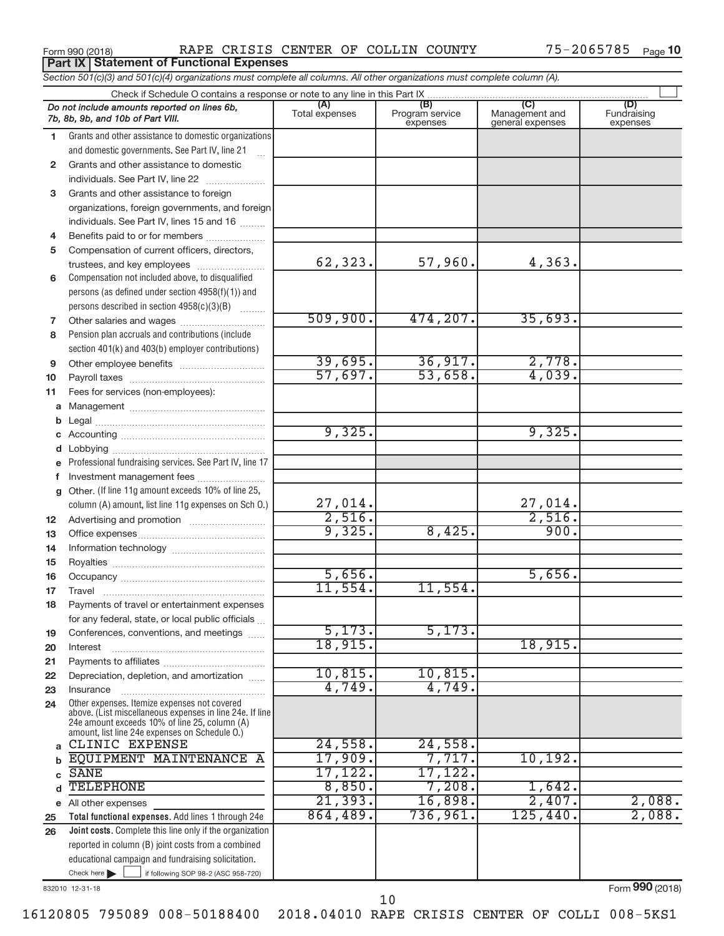**Part IX Statement of Functional Expenses**

Form 990 (2018) RAPE CRISIS CENTER OF COLLIN COUNTY 75-2065785 <sub>Page</sub>

| Section 501(c)(3) and 501(c)(4) organizations must complete all columns. All other organizations must complete column (A). |                                                                                                                                                                                                             |                          |                                    |                                                      |                                |  |  |  |  |  |  |
|----------------------------------------------------------------------------------------------------------------------------|-------------------------------------------------------------------------------------------------------------------------------------------------------------------------------------------------------------|--------------------------|------------------------------------|------------------------------------------------------|--------------------------------|--|--|--|--|--|--|
| Check if Schedule O contains a response or note to any line in this Part IX                                                |                                                                                                                                                                                                             |                          |                                    |                                                      |                                |  |  |  |  |  |  |
|                                                                                                                            | Do not include amounts reported on lines 6b,<br>7b, 8b, 9b, and 10b of Part VIII.                                                                                                                           | (A)<br>Total expenses    | (B)<br>Program service<br>expenses | $\overline{C}$<br>Management and<br>general expenses | (D)<br>Fundraising<br>expenses |  |  |  |  |  |  |
| 1.                                                                                                                         | Grants and other assistance to domestic organizations                                                                                                                                                       |                          |                                    |                                                      |                                |  |  |  |  |  |  |
|                                                                                                                            | and domestic governments. See Part IV, line 21                                                                                                                                                              |                          |                                    |                                                      |                                |  |  |  |  |  |  |
| $\mathbf{2}$                                                                                                               | Grants and other assistance to domestic                                                                                                                                                                     |                          |                                    |                                                      |                                |  |  |  |  |  |  |
|                                                                                                                            | individuals. See Part IV, line 22                                                                                                                                                                           |                          |                                    |                                                      |                                |  |  |  |  |  |  |
| 3                                                                                                                          | Grants and other assistance to foreign                                                                                                                                                                      |                          |                                    |                                                      |                                |  |  |  |  |  |  |
|                                                                                                                            | organizations, foreign governments, and foreign                                                                                                                                                             |                          |                                    |                                                      |                                |  |  |  |  |  |  |
|                                                                                                                            | individuals. See Part IV, lines 15 and 16                                                                                                                                                                   |                          |                                    |                                                      |                                |  |  |  |  |  |  |
| 4                                                                                                                          | Benefits paid to or for members                                                                                                                                                                             |                          |                                    |                                                      |                                |  |  |  |  |  |  |
| 5                                                                                                                          | Compensation of current officers, directors,                                                                                                                                                                |                          |                                    |                                                      |                                |  |  |  |  |  |  |
|                                                                                                                            | trustees, and key employees                                                                                                                                                                                 | 62,323.                  | 57,960.                            | 4,363.                                               |                                |  |  |  |  |  |  |
| 6                                                                                                                          | Compensation not included above, to disqualified                                                                                                                                                            |                          |                                    |                                                      |                                |  |  |  |  |  |  |
|                                                                                                                            | persons (as defined under section 4958(f)(1)) and                                                                                                                                                           |                          |                                    |                                                      |                                |  |  |  |  |  |  |
|                                                                                                                            | persons described in section 4958(c)(3)(B)                                                                                                                                                                  |                          |                                    |                                                      |                                |  |  |  |  |  |  |
| 7                                                                                                                          | Other salaries and wages                                                                                                                                                                                    | 509,900.                 | 474, 207.                          | 35,693.                                              |                                |  |  |  |  |  |  |
| 8                                                                                                                          | Pension plan accruals and contributions (include                                                                                                                                                            |                          |                                    |                                                      |                                |  |  |  |  |  |  |
|                                                                                                                            | section 401(k) and 403(b) employer contributions)                                                                                                                                                           |                          |                                    |                                                      |                                |  |  |  |  |  |  |
| 9                                                                                                                          | Other employee benefits                                                                                                                                                                                     | 39,695.                  | 36,917.                            | 2,778.<br>4,039.                                     |                                |  |  |  |  |  |  |
| 10                                                                                                                         |                                                                                                                                                                                                             | 57,697.                  | 53,658.                            |                                                      |                                |  |  |  |  |  |  |
| 11                                                                                                                         | Fees for services (non-employees):                                                                                                                                                                          |                          |                                    |                                                      |                                |  |  |  |  |  |  |
| а                                                                                                                          |                                                                                                                                                                                                             |                          |                                    |                                                      |                                |  |  |  |  |  |  |
| b                                                                                                                          |                                                                                                                                                                                                             | 9,325.                   |                                    | 9,325.                                               |                                |  |  |  |  |  |  |
| c                                                                                                                          |                                                                                                                                                                                                             |                          |                                    |                                                      |                                |  |  |  |  |  |  |
| d                                                                                                                          |                                                                                                                                                                                                             |                          |                                    |                                                      |                                |  |  |  |  |  |  |
| е                                                                                                                          | Professional fundraising services. See Part IV, line 17                                                                                                                                                     |                          |                                    |                                                      |                                |  |  |  |  |  |  |
| f                                                                                                                          | Investment management fees<br>Other. (If line 11g amount exceeds 10% of line 25,                                                                                                                            |                          |                                    |                                                      |                                |  |  |  |  |  |  |
| g                                                                                                                          | column (A) amount, list line 11g expenses on Sch O.)                                                                                                                                                        |                          |                                    |                                                      |                                |  |  |  |  |  |  |
| 12                                                                                                                         |                                                                                                                                                                                                             | $\frac{27,014.}{2,516.}$ |                                    | $\frac{27,014.}{2,516.}$                             |                                |  |  |  |  |  |  |
| 13                                                                                                                         |                                                                                                                                                                                                             | 9,325.                   | 8,425.                             | 900.                                                 |                                |  |  |  |  |  |  |
| 14                                                                                                                         |                                                                                                                                                                                                             |                          |                                    |                                                      |                                |  |  |  |  |  |  |
| 15                                                                                                                         |                                                                                                                                                                                                             |                          |                                    |                                                      |                                |  |  |  |  |  |  |
| 16                                                                                                                         |                                                                                                                                                                                                             | 5,656.                   |                                    | 5,656.                                               |                                |  |  |  |  |  |  |
| 17                                                                                                                         |                                                                                                                                                                                                             | 11,554.                  | 11,554.                            |                                                      |                                |  |  |  |  |  |  |
| 18                                                                                                                         | Payments of travel or entertainment expenses                                                                                                                                                                |                          |                                    |                                                      |                                |  |  |  |  |  |  |
|                                                                                                                            | for any federal, state, or local public officials                                                                                                                                                           |                          |                                    |                                                      |                                |  |  |  |  |  |  |
| 19                                                                                                                         | Conferences, conventions, and meetings                                                                                                                                                                      | 5,173.                   | 5,173.                             |                                                      |                                |  |  |  |  |  |  |
| 20                                                                                                                         | Interest                                                                                                                                                                                                    | 18,915.                  |                                    | 18,915.                                              |                                |  |  |  |  |  |  |
| 21                                                                                                                         |                                                                                                                                                                                                             |                          |                                    |                                                      |                                |  |  |  |  |  |  |
| 22                                                                                                                         | Depreciation, depletion, and amortization                                                                                                                                                                   | 10,815.                  | 10,815.                            |                                                      |                                |  |  |  |  |  |  |
| 23                                                                                                                         | Insurance                                                                                                                                                                                                   | 4,749.                   | 4,749.                             |                                                      |                                |  |  |  |  |  |  |
| 24                                                                                                                         | Other expenses. Itemize expenses not covered<br>above. (List miscellaneous expenses in line 24e. If line<br>24e amount exceeds 10% of line 25, column (A)<br>amount, list line 24e expenses on Schedule O.) |                          |                                    |                                                      |                                |  |  |  |  |  |  |
| a                                                                                                                          | CLINIC EXPENSE                                                                                                                                                                                              | 24,558.                  | 24,558.                            |                                                      |                                |  |  |  |  |  |  |
|                                                                                                                            | EQUIPMENT MAINTENANCE A                                                                                                                                                                                     | 17,909.                  | 7,717.                             | 10, 192.                                             |                                |  |  |  |  |  |  |
| C                                                                                                                          | <b>SANE</b>                                                                                                                                                                                                 | 17, 122.                 | 17,122.                            |                                                      |                                |  |  |  |  |  |  |
|                                                                                                                            | <b>TELEPHONE</b>                                                                                                                                                                                            | 8,850.                   | 7,208.                             | 1,642.                                               |                                |  |  |  |  |  |  |
| е                                                                                                                          | All other expenses                                                                                                                                                                                          | 21, 393.                 | 16,898.                            | 2,407.                                               | 2,088.                         |  |  |  |  |  |  |
| 25                                                                                                                         | Total functional expenses. Add lines 1 through 24e                                                                                                                                                          | 864,489.                 | 736,961.                           | 125,440.                                             | 2,088.                         |  |  |  |  |  |  |
| 26                                                                                                                         | Joint costs. Complete this line only if the organization                                                                                                                                                    |                          |                                    |                                                      |                                |  |  |  |  |  |  |
|                                                                                                                            | reported in column (B) joint costs from a combined                                                                                                                                                          |                          |                                    |                                                      |                                |  |  |  |  |  |  |
|                                                                                                                            | educational campaign and fundraising solicitation.<br>Check here $\blacktriangleright$                                                                                                                      |                          |                                    |                                                      |                                |  |  |  |  |  |  |
|                                                                                                                            | if following SOP 98-2 (ASC 958-720)                                                                                                                                                                         |                          |                                    |                                                      |                                |  |  |  |  |  |  |

832010 12-31-18

Form (2018) **990**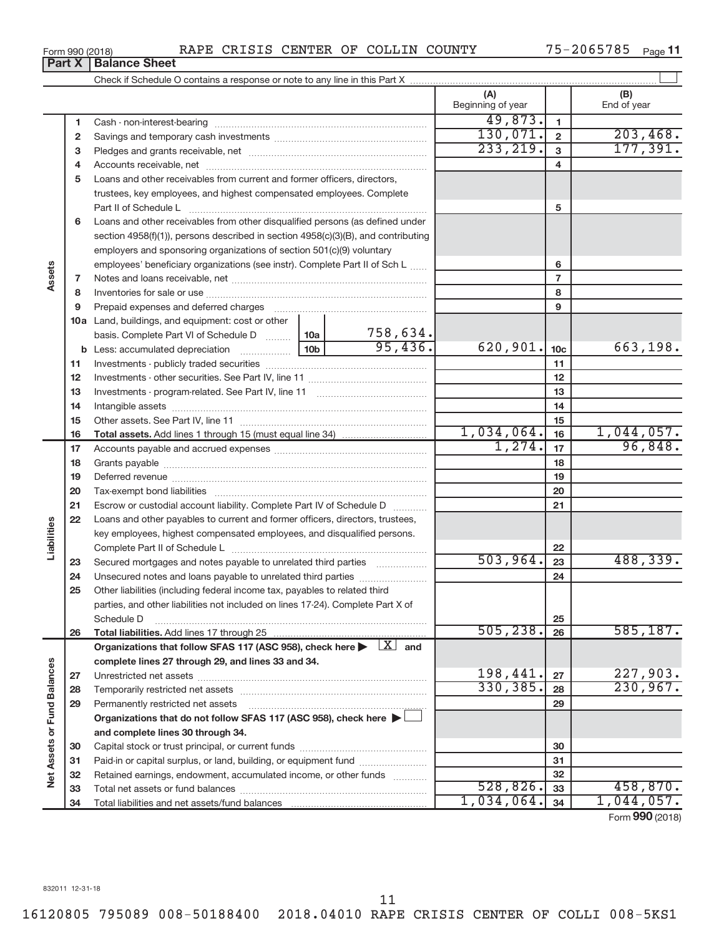| Form 990 (2018) |  |  | RAPE CRISIS CENTER OF COLLIN COUNTY |  |  |  |  | $75 - 2065785$ Page 11 |  |  |
|-----------------|--|--|-------------------------------------|--|--|--|--|------------------------|--|--|
|-----------------|--|--|-------------------------------------|--|--|--|--|------------------------|--|--|

|        | RAPE CRISIS CENTER OF COLLIN COUNTY<br>Form 990 (2018) |                                                                                                                                                                                                                                             |                 |          |                          |                 | 75-2065785<br>Page 11 |
|--------|--------------------------------------------------------|---------------------------------------------------------------------------------------------------------------------------------------------------------------------------------------------------------------------------------------------|-----------------|----------|--------------------------|-----------------|-----------------------|
|        | Part X                                                 | <b>Balance Sheet</b>                                                                                                                                                                                                                        |                 |          |                          |                 |                       |
|        |                                                        |                                                                                                                                                                                                                                             |                 |          |                          |                 |                       |
|        |                                                        |                                                                                                                                                                                                                                             |                 |          | (A)<br>Beginning of year |                 | (B)<br>End of year    |
|        | 1                                                      |                                                                                                                                                                                                                                             |                 |          | 49,873.                  | $\mathbf{1}$    |                       |
|        | 2                                                      |                                                                                                                                                                                                                                             |                 |          | 130,071.                 | $\overline{2}$  | 203,468.              |
|        | 3                                                      |                                                                                                                                                                                                                                             |                 |          | 233, 219.                | 3               | 177,391.              |
|        | 4                                                      |                                                                                                                                                                                                                                             |                 |          |                          | 4               |                       |
|        | 5                                                      | Loans and other receivables from current and former officers, directors,<br>trustees, key employees, and highest compensated employees. Complete                                                                                            |                 |          |                          |                 |                       |
|        |                                                        |                                                                                                                                                                                                                                             |                 |          |                          | 5               |                       |
|        | 6                                                      | Loans and other receivables from other disqualified persons (as defined under<br>section 4958(f)(1)), persons described in section 4958(c)(3)(B), and contributing<br>employers and sponsoring organizations of section 501(c)(9) voluntary |                 |          |                          |                 |                       |
|        |                                                        | employees' beneficiary organizations (see instr). Complete Part II of Sch L                                                                                                                                                                 |                 |          |                          | 6               |                       |
| Assets | $\overline{7}$                                         |                                                                                                                                                                                                                                             |                 |          |                          | $\overline{7}$  |                       |
|        | 8                                                      |                                                                                                                                                                                                                                             |                 |          |                          | 8               |                       |
|        | 9                                                      |                                                                                                                                                                                                                                             |                 |          |                          | 9               |                       |
|        |                                                        | <b>10a</b> Land, buildings, and equipment: cost or other<br>basis. Complete Part VI of Schedule D  10a                                                                                                                                      |                 | 758,634. |                          |                 |                       |
|        |                                                        |                                                                                                                                                                                                                                             | 10 <sub>b</sub> | 95,436.  | 620,901.                 | 10 <sub>c</sub> | 663,198.              |
|        | 11                                                     |                                                                                                                                                                                                                                             |                 |          |                          | 11              |                       |
|        | 12                                                     |                                                                                                                                                                                                                                             |                 |          |                          | 12              |                       |
|        | 13                                                     |                                                                                                                                                                                                                                             |                 |          |                          | 13              |                       |
|        | 14                                                     |                                                                                                                                                                                                                                             |                 |          |                          | 14              |                       |

|                   | 13 |                                                                                                      |            | 13 |                 |
|-------------------|----|------------------------------------------------------------------------------------------------------|------------|----|-----------------|
|                   | 14 |                                                                                                      |            | 14 |                 |
|                   | 15 |                                                                                                      |            | 15 |                 |
|                   | 16 |                                                                                                      | 1,034,064. | 16 | 1,044,057.      |
|                   | 17 |                                                                                                      | 1,274.     | 17 | 96,848.         |
|                   | 18 |                                                                                                      |            | 18 |                 |
|                   | 19 |                                                                                                      |            | 19 |                 |
|                   | 20 |                                                                                                      |            | 20 |                 |
|                   | 21 | Escrow or custodial account liability. Complete Part IV of Schedule D                                |            | 21 |                 |
|                   | 22 | Loans and other payables to current and former officers, directors, trustees,                        |            |    |                 |
| Liabilities       |    | key employees, highest compensated employees, and disqualified persons.                              |            |    |                 |
|                   |    |                                                                                                      |            | 22 |                 |
|                   | 23 | Secured mortgages and notes payable to unrelated third parties <i>manufacture</i>                    | 503,964.   | 23 | 488, 339.       |
|                   | 24 |                                                                                                      |            | 24 |                 |
|                   | 25 | Other liabilities (including federal income tax, payables to related third                           |            |    |                 |
|                   |    | parties, and other liabilities not included on lines 17-24). Complete Part X of                      |            |    |                 |
|                   |    | Schedule D                                                                                           |            | 25 |                 |
|                   | 26 |                                                                                                      | 505, 238.  | 26 | 585, 187.       |
|                   |    | Organizations that follow SFAS 117 (ASC 958), check here $\blacktriangleright \lfloor X \rfloor$ and |            |    |                 |
|                   |    | complete lines 27 through 29, and lines 33 and 34.                                                   |            |    |                 |
|                   | 27 |                                                                                                      | 198,441.   | 27 | 227,903.        |
|                   | 28 |                                                                                                      | 330, 385.  | 28 | 230,967.        |
| or Fund Balances  | 29 |                                                                                                      |            | 29 |                 |
|                   |    | Organizations that do not follow SFAS 117 (ASC 958), check here $\blacktriangleright$                |            |    |                 |
|                   |    | and complete lines 30 through 34.                                                                    |            |    |                 |
| <b>Net Assets</b> | 30 |                                                                                                      |            | 30 |                 |
|                   | 31 | Paid-in or capital surplus, or land, building, or equipment fund                                     |            | 31 |                 |
|                   | 32 | Retained earnings, endowment, accumulated income, or other funds                                     |            | 32 |                 |
|                   | 33 |                                                                                                      | 528,826.   | 33 | 458,870.        |
|                   | 34 |                                                                                                      | 1,034,064. | 34 | 1,044,057.      |
|                   |    |                                                                                                      |            |    | Form 990 (2018) |

11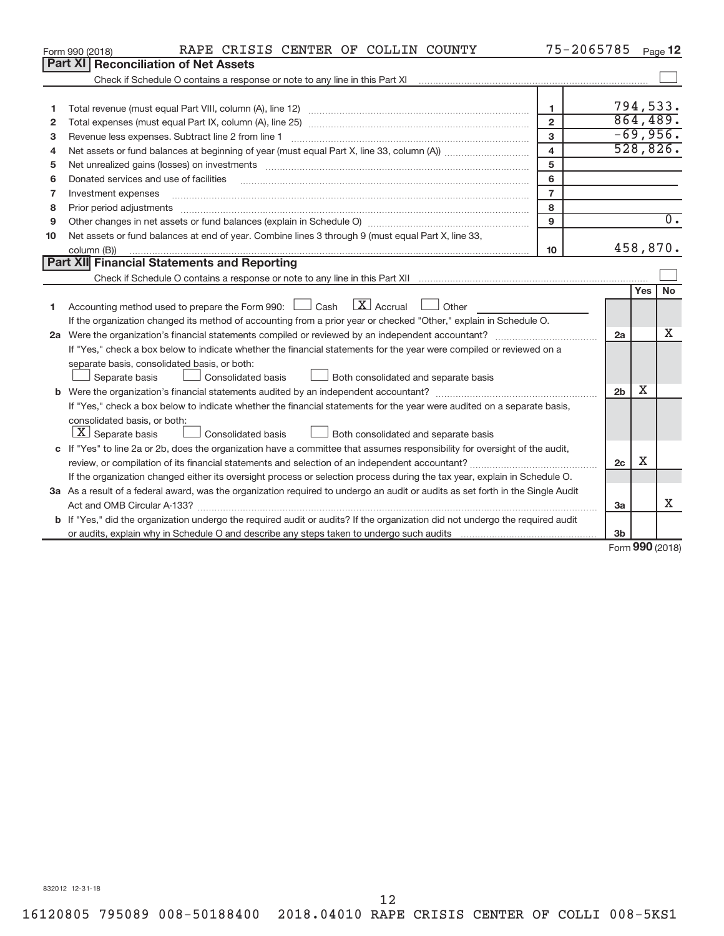|    | RAPE CRISIS CENTER OF COLLIN COUNTY<br>Form 990 (2018)                                                                                                            | 75-2065785              |                |                      | Page 12          |  |  |
|----|-------------------------------------------------------------------------------------------------------------------------------------------------------------------|-------------------------|----------------|----------------------|------------------|--|--|
|    | <b>Part XI Reconciliation of Net Assets</b>                                                                                                                       |                         |                |                      |                  |  |  |
|    | Check if Schedule O contains a response or note to any line in this Part XI [11] [12] Check if Schedule O contains a response or note to any line in this Part XI |                         |                |                      |                  |  |  |
|    |                                                                                                                                                                   |                         |                |                      |                  |  |  |
| 1  |                                                                                                                                                                   | 1                       |                |                      | 794,533.         |  |  |
| 2  |                                                                                                                                                                   | $\overline{2}$          |                |                      | 864,489.         |  |  |
| 3  |                                                                                                                                                                   | 3                       |                |                      | $-69,956.$       |  |  |
| 4  |                                                                                                                                                                   | $\overline{\mathbf{4}}$ |                |                      | 528,826.         |  |  |
| 5  |                                                                                                                                                                   | 5                       |                |                      |                  |  |  |
| 6  | Donated services and use of facilities                                                                                                                            | 6                       |                |                      |                  |  |  |
| 7  | Investment expenses                                                                                                                                               | $\overline{7}$          |                |                      |                  |  |  |
| 8  | Prior period adjustments                                                                                                                                          | 8                       |                |                      |                  |  |  |
| 9  |                                                                                                                                                                   | 9                       |                |                      | $\overline{0}$ . |  |  |
| 10 | Net assets or fund balances at end of year. Combine lines 3 through 9 (must equal Part X, line 33,                                                                |                         |                |                      | 458,870.         |  |  |
|    | 10<br>column (B))                                                                                                                                                 |                         |                |                      |                  |  |  |
|    | Part XII Financial Statements and Reporting                                                                                                                       |                         |                |                      |                  |  |  |
|    |                                                                                                                                                                   |                         |                |                      |                  |  |  |
|    |                                                                                                                                                                   |                         |                | Yes                  | <b>No</b>        |  |  |
| 1  | Accounting method used to prepare the Form 990: $\Box$ Cash $\Box X$ Accrual<br>$\Box$ Other                                                                      |                         |                |                      |                  |  |  |
|    | If the organization changed its method of accounting from a prior year or checked "Other," explain in Schedule O.                                                 |                         |                |                      |                  |  |  |
|    |                                                                                                                                                                   |                         | 2a             |                      | x                |  |  |
|    | If "Yes," check a box below to indicate whether the financial statements for the year were compiled or reviewed on a                                              |                         |                |                      |                  |  |  |
|    | separate basis, consolidated basis, or both:                                                                                                                      |                         |                |                      |                  |  |  |
|    | Both consolidated and separate basis<br>Separate basis<br>Consolidated basis                                                                                      |                         |                |                      |                  |  |  |
|    |                                                                                                                                                                   |                         | 2 <sub>b</sub> | x                    |                  |  |  |
|    | If "Yes," check a box below to indicate whether the financial statements for the year were audited on a separate basis,                                           |                         |                |                      |                  |  |  |
|    | consolidated basis, or both:                                                                                                                                      |                         |                |                      |                  |  |  |
|    | $ \mathbf{X} $ Separate basis<br>Consolidated basis<br>Both consolidated and separate basis                                                                       |                         |                |                      |                  |  |  |
|    | c If "Yes" to line 2a or 2b, does the organization have a committee that assumes responsibility for oversight of the audit,                                       |                         |                |                      |                  |  |  |
|    |                                                                                                                                                                   |                         | 2c             | х                    |                  |  |  |
|    | If the organization changed either its oversight process or selection process during the tax year, explain in Schedule O.                                         |                         |                |                      |                  |  |  |
|    | 3a As a result of a federal award, was the organization required to undergo an audit or audits as set forth in the Single Audit                                   |                         |                |                      |                  |  |  |
|    |                                                                                                                                                                   |                         | 3a             |                      | X                |  |  |
|    | <b>b</b> If "Yes," did the organization undergo the required audit or audits? If the organization did not undergo the required audit                              |                         |                |                      |                  |  |  |
|    |                                                                                                                                                                   |                         | 3b             | $000 \times 10^{-1}$ |                  |  |  |
|    |                                                                                                                                                                   |                         |                |                      |                  |  |  |

Form (2018) **990**

832012 12-31-18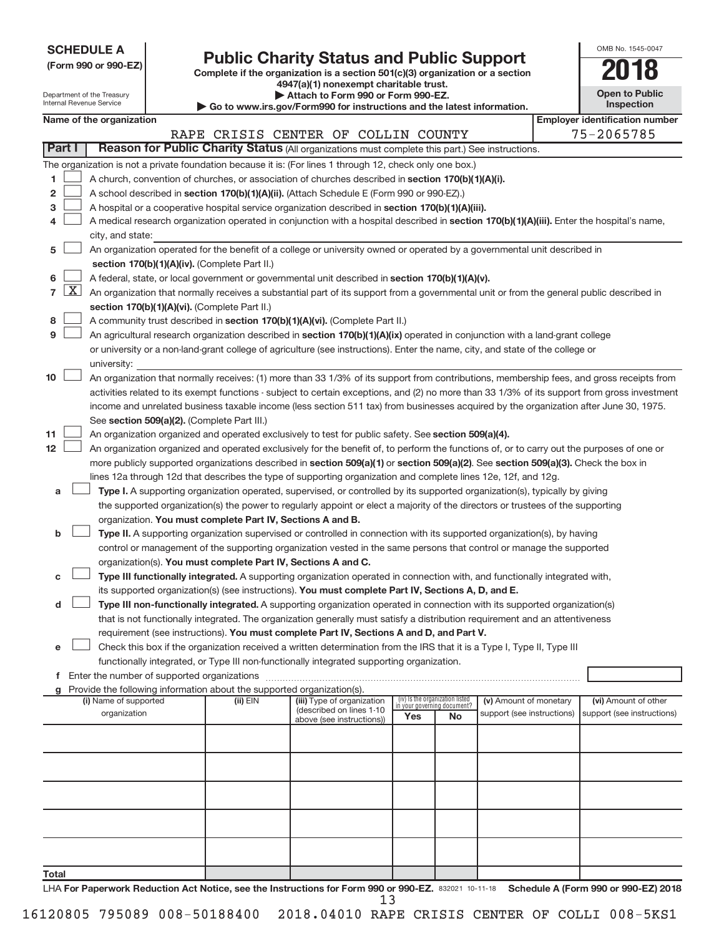| (Form 990 or 990-EZ) |  |  |
|----------------------|--|--|

**(Form 990 or 990-EZ) Complete if the organization is a section 501(c)(3) organization or a section Public Charity Status and Public Support**<br> **Addition** is a section 501(c)(3) organization or a section<br>  $\frac{4947(a)(1)$  nonexempt charitable trust.

| OMB No. 1545-0047     |
|-----------------------|
| N 7                   |
| <b>Open to Public</b> |

|                 | Department of the Treasury<br>Internal Revenue Service                                                                                                                                         |                                             |  | <b>If (a) If it is not concernible</b> of target and<br>Attach to Form 990 or Form 990-EZ. | <b>Open to Public</b><br>Inspection                                                                                                           |                                                                |    |                            |  |                                       |  |
|-----------------|------------------------------------------------------------------------------------------------------------------------------------------------------------------------------------------------|---------------------------------------------|--|--------------------------------------------------------------------------------------------|-----------------------------------------------------------------------------------------------------------------------------------------------|----------------------------------------------------------------|----|----------------------------|--|---------------------------------------|--|
|                 |                                                                                                                                                                                                | Name of the organization                    |  |                                                                                            | $\blacktriangleright$ Go to www.irs.gov/Form990 for instructions and the latest information.                                                  |                                                                |    |                            |  | <b>Employer identification number</b> |  |
|                 |                                                                                                                                                                                                |                                             |  |                                                                                            | RAPE CRISIS CENTER OF COLLIN COUNTY                                                                                                           |                                                                |    |                            |  | 75-2065785                            |  |
|                 | Part I                                                                                                                                                                                         |                                             |  |                                                                                            | Reason for Public Charity Status (All organizations must complete this part.) See instructions.                                               |                                                                |    |                            |  |                                       |  |
|                 |                                                                                                                                                                                                |                                             |  |                                                                                            |                                                                                                                                               |                                                                |    |                            |  |                                       |  |
|                 |                                                                                                                                                                                                |                                             |  |                                                                                            | The organization is not a private foundation because it is: (For lines 1 through 12, check only one box.)                                     |                                                                |    |                            |  |                                       |  |
| 1               | A church, convention of churches, or association of churches described in section 170(b)(1)(A)(i).                                                                                             |                                             |  |                                                                                            |                                                                                                                                               |                                                                |    |                            |  |                                       |  |
| 2               | A school described in section 170(b)(1)(A)(ii). (Attach Schedule E (Form 990 or 990-EZ).)<br>A hospital or a cooperative hospital service organization described in section 170(b)(1)(A)(iii). |                                             |  |                                                                                            |                                                                                                                                               |                                                                |    |                            |  |                                       |  |
| з               |                                                                                                                                                                                                |                                             |  |                                                                                            |                                                                                                                                               |                                                                |    |                            |  |                                       |  |
| 4               |                                                                                                                                                                                                |                                             |  |                                                                                            | A medical research organization operated in conjunction with a hospital described in section 170(b)(1)(A)(iii). Enter the hospital's name,    |                                                                |    |                            |  |                                       |  |
|                 | city, and state:                                                                                                                                                                               |                                             |  |                                                                                            |                                                                                                                                               |                                                                |    |                            |  |                                       |  |
| 5               |                                                                                                                                                                                                |                                             |  |                                                                                            | An organization operated for the benefit of a college or university owned or operated by a governmental unit described in                     |                                                                |    |                            |  |                                       |  |
|                 |                                                                                                                                                                                                |                                             |  | section 170(b)(1)(A)(iv). (Complete Part II.)                                              |                                                                                                                                               |                                                                |    |                            |  |                                       |  |
| 6               |                                                                                                                                                                                                |                                             |  |                                                                                            | A federal, state, or local government or governmental unit described in section 170(b)(1)(A)(v).                                              |                                                                |    |                            |  |                                       |  |
| $\overline{7}$  | $\lfloor x \rfloor$                                                                                                                                                                            |                                             |  |                                                                                            | An organization that normally receives a substantial part of its support from a governmental unit or from the general public described in     |                                                                |    |                            |  |                                       |  |
|                 |                                                                                                                                                                                                |                                             |  | section 170(b)(1)(A)(vi). (Complete Part II.)                                              |                                                                                                                                               |                                                                |    |                            |  |                                       |  |
| 8               |                                                                                                                                                                                                |                                             |  |                                                                                            | A community trust described in section 170(b)(1)(A)(vi). (Complete Part II.)                                                                  |                                                                |    |                            |  |                                       |  |
| 9               |                                                                                                                                                                                                |                                             |  |                                                                                            | An agricultural research organization described in section 170(b)(1)(A)(ix) operated in conjunction with a land-grant college                 |                                                                |    |                            |  |                                       |  |
|                 |                                                                                                                                                                                                |                                             |  |                                                                                            | or university or a non-land-grant college of agriculture (see instructions). Enter the name, city, and state of the college or                |                                                                |    |                            |  |                                       |  |
|                 |                                                                                                                                                                                                | university:                                 |  |                                                                                            |                                                                                                                                               |                                                                |    |                            |  |                                       |  |
| 10              |                                                                                                                                                                                                |                                             |  |                                                                                            | An organization that normally receives: (1) more than 33 1/3% of its support from contributions, membership fees, and gross receipts from     |                                                                |    |                            |  |                                       |  |
|                 |                                                                                                                                                                                                |                                             |  |                                                                                            | activities related to its exempt functions - subject to certain exceptions, and (2) no more than 33 1/3% of its support from gross investment |                                                                |    |                            |  |                                       |  |
|                 |                                                                                                                                                                                                |                                             |  |                                                                                            | income and unrelated business taxable income (less section 511 tax) from businesses acquired by the organization after June 30, 1975.         |                                                                |    |                            |  |                                       |  |
|                 |                                                                                                                                                                                                |                                             |  | See section 509(a)(2). (Complete Part III.)                                                |                                                                                                                                               |                                                                |    |                            |  |                                       |  |
| 11              |                                                                                                                                                                                                |                                             |  |                                                                                            | An organization organized and operated exclusively to test for public safety. See section 509(a)(4).                                          |                                                                |    |                            |  |                                       |  |
| 12 <sub>2</sub> |                                                                                                                                                                                                |                                             |  |                                                                                            | An organization organized and operated exclusively for the benefit of, to perform the functions of, or to carry out the purposes of one or    |                                                                |    |                            |  |                                       |  |
|                 |                                                                                                                                                                                                |                                             |  |                                                                                            | more publicly supported organizations described in section 509(a)(1) or section 509(a)(2). See section 509(a)(3). Check the box in            |                                                                |    |                            |  |                                       |  |
|                 |                                                                                                                                                                                                |                                             |  |                                                                                            | lines 12a through 12d that describes the type of supporting organization and complete lines 12e, 12f, and 12g.                                |                                                                |    |                            |  |                                       |  |
| а               |                                                                                                                                                                                                |                                             |  |                                                                                            | Type I. A supporting organization operated, supervised, or controlled by its supported organization(s), typically by giving                   |                                                                |    |                            |  |                                       |  |
|                 |                                                                                                                                                                                                |                                             |  |                                                                                            | the supported organization(s) the power to regularly appoint or elect a majority of the directors or trustees of the supporting               |                                                                |    |                            |  |                                       |  |
|                 |                                                                                                                                                                                                |                                             |  | organization. You must complete Part IV, Sections A and B.                                 |                                                                                                                                               |                                                                |    |                            |  |                                       |  |
| b               |                                                                                                                                                                                                |                                             |  |                                                                                            | Type II. A supporting organization supervised or controlled in connection with its supported organization(s), by having                       |                                                                |    |                            |  |                                       |  |
|                 |                                                                                                                                                                                                |                                             |  |                                                                                            | control or management of the supporting organization vested in the same persons that control or manage the supported                          |                                                                |    |                            |  |                                       |  |
|                 |                                                                                                                                                                                                |                                             |  | organization(s). You must complete Part IV, Sections A and C.                              |                                                                                                                                               |                                                                |    |                            |  |                                       |  |
| с               |                                                                                                                                                                                                |                                             |  |                                                                                            | Type III functionally integrated. A supporting organization operated in connection with, and functionally integrated with,                    |                                                                |    |                            |  |                                       |  |
|                 |                                                                                                                                                                                                |                                             |  |                                                                                            | its supported organization(s) (see instructions). You must complete Part IV, Sections A, D, and E.                                            |                                                                |    |                            |  |                                       |  |
| d               |                                                                                                                                                                                                |                                             |  |                                                                                            | Type III non-functionally integrated. A supporting organization operated in connection with its supported organization(s)                     |                                                                |    |                            |  |                                       |  |
|                 |                                                                                                                                                                                                |                                             |  |                                                                                            | that is not functionally integrated. The organization generally must satisfy a distribution requirement and an attentiveness                  |                                                                |    |                            |  |                                       |  |
|                 |                                                                                                                                                                                                |                                             |  |                                                                                            | requirement (see instructions). You must complete Part IV, Sections A and D, and Part V.                                                      |                                                                |    |                            |  |                                       |  |
| е               |                                                                                                                                                                                                |                                             |  |                                                                                            | Check this box if the organization received a written determination from the IRS that it is a Type I, Type II, Type III                       |                                                                |    |                            |  |                                       |  |
|                 |                                                                                                                                                                                                |                                             |  |                                                                                            | functionally integrated, or Type III non-functionally integrated supporting organization.                                                     |                                                                |    |                            |  |                                       |  |
| f               |                                                                                                                                                                                                | Enter the number of supported organizations |  |                                                                                            |                                                                                                                                               |                                                                |    |                            |  |                                       |  |
|                 |                                                                                                                                                                                                |                                             |  | Provide the following information about the supported organization(s).                     |                                                                                                                                               |                                                                |    |                            |  |                                       |  |
|                 |                                                                                                                                                                                                | (i) Name of supported                       |  | (ii) $EIN$                                                                                 | (iii) Type of organization                                                                                                                    | (iv) Is the organization listed<br>in your governing document? |    | (v) Amount of monetary     |  | (vi) Amount of other                  |  |
|                 |                                                                                                                                                                                                | organization                                |  |                                                                                            | (described on lines 1-10<br>above (see instructions))                                                                                         | Yes                                                            | No | support (see instructions) |  | support (see instructions)            |  |
|                 |                                                                                                                                                                                                |                                             |  |                                                                                            |                                                                                                                                               |                                                                |    |                            |  |                                       |  |
|                 |                                                                                                                                                                                                |                                             |  |                                                                                            |                                                                                                                                               |                                                                |    |                            |  |                                       |  |
|                 |                                                                                                                                                                                                |                                             |  |                                                                                            |                                                                                                                                               |                                                                |    |                            |  |                                       |  |
|                 |                                                                                                                                                                                                |                                             |  |                                                                                            |                                                                                                                                               |                                                                |    |                            |  |                                       |  |
|                 |                                                                                                                                                                                                |                                             |  |                                                                                            |                                                                                                                                               |                                                                |    |                            |  |                                       |  |
|                 |                                                                                                                                                                                                |                                             |  |                                                                                            |                                                                                                                                               |                                                                |    |                            |  |                                       |  |
|                 |                                                                                                                                                                                                |                                             |  |                                                                                            |                                                                                                                                               |                                                                |    |                            |  |                                       |  |
|                 |                                                                                                                                                                                                |                                             |  |                                                                                            |                                                                                                                                               |                                                                |    |                            |  |                                       |  |
|                 |                                                                                                                                                                                                |                                             |  |                                                                                            |                                                                                                                                               |                                                                |    |                            |  |                                       |  |
|                 |                                                                                                                                                                                                |                                             |  |                                                                                            |                                                                                                                                               |                                                                |    |                            |  |                                       |  |
| Total           |                                                                                                                                                                                                |                                             |  |                                                                                            |                                                                                                                                               |                                                                |    |                            |  |                                       |  |

LHA For Paperwork Reduction Act Notice, see the Instructions for Form 990 or 990-EZ. 832021 10-11-18 Schedule A (Form 990 or 990-EZ) 2018 13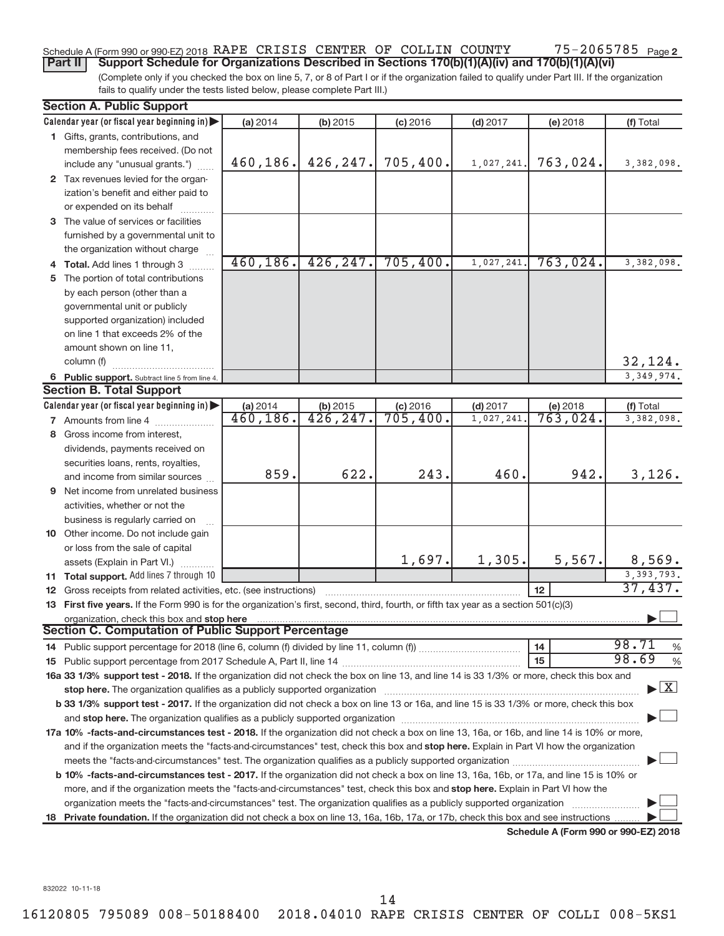### 75-2065785 Page 2 Schedule A (Form 990 or 990-EZ) 2018 RAPE CRISIS CENTER OF COLLIN COUNTY 75-2065785 Page

(Complete only if you checked the box on line 5, 7, or 8 of Part I or if the organization failed to qualify under Part III. If the organization fails to qualify under the tests listed below, please complete Part III.) **Part II** | Support Schedule for Organizations Described in Sections 170(b)(1)(A)(iv) and 170(b)(1)(A)(vi)

|    | <b>Section A. Public Support</b>                                                                                                                                                                                                                                                                                                                                           |           |           |            |            |                                      |                                    |
|----|----------------------------------------------------------------------------------------------------------------------------------------------------------------------------------------------------------------------------------------------------------------------------------------------------------------------------------------------------------------------------|-----------|-----------|------------|------------|--------------------------------------|------------------------------------|
|    | Calendar year (or fiscal year beginning in)                                                                                                                                                                                                                                                                                                                                | (a) 2014  | (b) 2015  | $(c)$ 2016 | $(d)$ 2017 | (e) 2018                             | (f) Total                          |
|    | 1 Gifts, grants, contributions, and                                                                                                                                                                                                                                                                                                                                        |           |           |            |            |                                      |                                    |
|    | membership fees received. (Do not                                                                                                                                                                                                                                                                                                                                          |           |           |            |            |                                      |                                    |
|    | include any "unusual grants.")                                                                                                                                                                                                                                                                                                                                             | 460,186.  | 426, 247. | 705,400.   | 1,027,241. | 763,024.                             | 3,382,098.                         |
|    | 2 Tax revenues levied for the organ-                                                                                                                                                                                                                                                                                                                                       |           |           |            |            |                                      |                                    |
|    | ization's benefit and either paid to                                                                                                                                                                                                                                                                                                                                       |           |           |            |            |                                      |                                    |
|    | or expended on its behalf                                                                                                                                                                                                                                                                                                                                                  |           |           |            |            |                                      |                                    |
|    | 3 The value of services or facilities                                                                                                                                                                                                                                                                                                                                      |           |           |            |            |                                      |                                    |
|    | furnished by a governmental unit to                                                                                                                                                                                                                                                                                                                                        |           |           |            |            |                                      |                                    |
|    | the organization without charge                                                                                                                                                                                                                                                                                                                                            |           |           |            |            |                                      |                                    |
|    | 4 Total. Add lines 1 through 3                                                                                                                                                                                                                                                                                                                                             | 460, 186. | 426, 247. | 705,400.   | 1,027,241  | 763,024.                             | 3,382,098.                         |
|    | 5 The portion of total contributions                                                                                                                                                                                                                                                                                                                                       |           |           |            |            |                                      |                                    |
|    | by each person (other than a                                                                                                                                                                                                                                                                                                                                               |           |           |            |            |                                      |                                    |
|    | governmental unit or publicly                                                                                                                                                                                                                                                                                                                                              |           |           |            |            |                                      |                                    |
|    | supported organization) included                                                                                                                                                                                                                                                                                                                                           |           |           |            |            |                                      |                                    |
|    | on line 1 that exceeds 2% of the                                                                                                                                                                                                                                                                                                                                           |           |           |            |            |                                      |                                    |
|    | amount shown on line 11,                                                                                                                                                                                                                                                                                                                                                   |           |           |            |            |                                      |                                    |
|    | column (f)                                                                                                                                                                                                                                                                                                                                                                 |           |           |            |            |                                      | 32,124.                            |
|    | 6 Public support. Subtract line 5 from line 4.                                                                                                                                                                                                                                                                                                                             |           |           |            |            |                                      | 3, 349, 974.                       |
|    | <b>Section B. Total Support</b>                                                                                                                                                                                                                                                                                                                                            |           |           |            |            |                                      |                                    |
|    | Calendar year (or fiscal year beginning in)                                                                                                                                                                                                                                                                                                                                | (a) 2014  | (b) 2015  | $(c)$ 2016 | $(d)$ 2017 | (e) 2018                             | (f) Total                          |
|    | 7 Amounts from line 4                                                                                                                                                                                                                                                                                                                                                      | 460, 186. | 426, 247. | 705,400.   | 1,027,241  | 763,024.                             | 3,382,098.                         |
|    | 8 Gross income from interest,                                                                                                                                                                                                                                                                                                                                              |           |           |            |            |                                      |                                    |
|    | dividends, payments received on                                                                                                                                                                                                                                                                                                                                            |           |           |            |            |                                      |                                    |
|    | securities loans, rents, royalties,                                                                                                                                                                                                                                                                                                                                        |           |           |            |            |                                      |                                    |
|    | and income from similar sources                                                                                                                                                                                                                                                                                                                                            | 859.      | 622.      | 243.       | 460.       | 942.                                 | 3,126.                             |
|    | 9 Net income from unrelated business                                                                                                                                                                                                                                                                                                                                       |           |           |            |            |                                      |                                    |
|    | activities, whether or not the                                                                                                                                                                                                                                                                                                                                             |           |           |            |            |                                      |                                    |
|    | business is regularly carried on                                                                                                                                                                                                                                                                                                                                           |           |           |            |            |                                      |                                    |
|    | 10 Other income. Do not include gain                                                                                                                                                                                                                                                                                                                                       |           |           |            |            |                                      |                                    |
|    | or loss from the sale of capital                                                                                                                                                                                                                                                                                                                                           |           |           |            |            |                                      |                                    |
|    | assets (Explain in Part VI.)                                                                                                                                                                                                                                                                                                                                               |           |           | 1,697.     | 1,305.     | 5,567.                               | 8,569.                             |
|    | 11 Total support. Add lines 7 through 10                                                                                                                                                                                                                                                                                                                                   |           |           |            |            |                                      | 3, 393, 793.                       |
|    | 12 Gross receipts from related activities, etc. (see instructions)                                                                                                                                                                                                                                                                                                         |           |           |            |            | 12                                   | 37,437.                            |
|    | 13 First five years. If the Form 990 is for the organization's first, second, third, fourth, or fifth tax year as a section 501(c)(3)                                                                                                                                                                                                                                      |           |           |            |            |                                      |                                    |
|    | organization, check this box and stop here<br><b>Section C. Computation of Public Support Percentage</b>                                                                                                                                                                                                                                                                   |           |           |            |            |                                      |                                    |
|    |                                                                                                                                                                                                                                                                                                                                                                            |           |           |            |            |                                      | 98.71                              |
|    |                                                                                                                                                                                                                                                                                                                                                                            |           |           |            |            | 14                                   | %<br>98.69                         |
|    | 16a 33 1/3% support test - 2018. If the organization did not check the box on line 13, and line 14 is 33 1/3% or more, check this box and                                                                                                                                                                                                                                  |           |           |            |            | 15                                   | %                                  |
|    |                                                                                                                                                                                                                                                                                                                                                                            |           |           |            |            |                                      | $\blacktriangleright$ $\mathbf{X}$ |
|    | stop here. The organization qualifies as a publicly supported organization [11] manuscription [11] manuscription [11] manuscription [11] manuscription [11] manuscription [11] manuscription [11] manuscription [11] manuscrip<br>b 33 1/3% support test - 2017. If the organization did not check a box on line 13 or 16a, and line 15 is 33 1/3% or more, check this box |           |           |            |            |                                      |                                    |
|    |                                                                                                                                                                                                                                                                                                                                                                            |           |           |            |            |                                      |                                    |
|    | 17a 10% -facts-and-circumstances test - 2018. If the organization did not check a box on line 13, 16a, or 16b, and line 14 is 10% or more,                                                                                                                                                                                                                                 |           |           |            |            |                                      |                                    |
|    | and if the organization meets the "facts-and-circumstances" test, check this box and stop here. Explain in Part VI how the organization                                                                                                                                                                                                                                    |           |           |            |            |                                      |                                    |
|    |                                                                                                                                                                                                                                                                                                                                                                            |           |           |            |            |                                      |                                    |
|    | b 10% -facts-and-circumstances test - 2017. If the organization did not check a box on line 13, 16a, 16b, or 17a, and line 15 is 10% or                                                                                                                                                                                                                                    |           |           |            |            |                                      |                                    |
|    | more, and if the organization meets the "facts-and-circumstances" test, check this box and <b>stop here.</b> Explain in Part VI how the                                                                                                                                                                                                                                    |           |           |            |            |                                      |                                    |
|    | organization meets the "facts-and-circumstances" test. The organization qualifies as a publicly supported organization                                                                                                                                                                                                                                                     |           |           |            |            |                                      |                                    |
| 18 | Private foundation. If the organization did not check a box on line 13, 16a, 16b, 17a, or 17b, check this box and see instructions                                                                                                                                                                                                                                         |           |           |            |            |                                      |                                    |
|    |                                                                                                                                                                                                                                                                                                                                                                            |           |           |            |            | Schedule A (Form 990 or 990-EZ) 2018 |                                    |

832022 10-11-18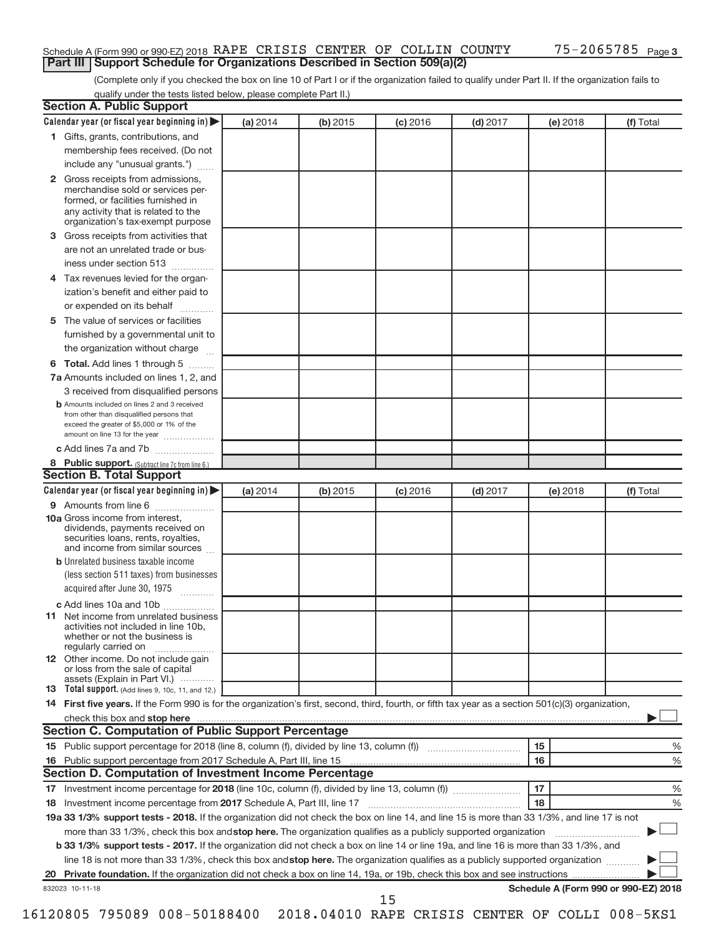### Schedule A (Form 990 or 990-EZ) 2018 RAPE CRISIS CENTER OF COLLIN COUNTY 75-2065785 Page **Part III | Support Schedule for Organizations Described in Section 509(a)(2)**

(Complete only if you checked the box on line 10 of Part I or if the organization failed to qualify under Part II. If the organization fails to qualify under the tests listed below, please complete Part II.)

| <b>Section A. Public Support</b>                                                                                                                                                         |          |          |            |            |          |                                      |
|------------------------------------------------------------------------------------------------------------------------------------------------------------------------------------------|----------|----------|------------|------------|----------|--------------------------------------|
| Calendar year (or fiscal year beginning in)                                                                                                                                              | (a) 2014 | (b) 2015 | $(c)$ 2016 | $(d)$ 2017 | (e) 2018 | (f) Total                            |
| 1 Gifts, grants, contributions, and                                                                                                                                                      |          |          |            |            |          |                                      |
| membership fees received. (Do not                                                                                                                                                        |          |          |            |            |          |                                      |
| include any "unusual grants.")                                                                                                                                                           |          |          |            |            |          |                                      |
| 2 Gross receipts from admissions,<br>merchandise sold or services per-<br>formed, or facilities furnished in<br>any activity that is related to the<br>organization's tax-exempt purpose |          |          |            |            |          |                                      |
| 3 Gross receipts from activities that                                                                                                                                                    |          |          |            |            |          |                                      |
| are not an unrelated trade or bus-                                                                                                                                                       |          |          |            |            |          |                                      |
| iness under section 513                                                                                                                                                                  |          |          |            |            |          |                                      |
| 4 Tax revenues levied for the organ-                                                                                                                                                     |          |          |            |            |          |                                      |
| ization's benefit and either paid to<br>or expended on its behalf                                                                                                                        |          |          |            |            |          |                                      |
| 5 The value of services or facilities                                                                                                                                                    |          |          |            |            |          |                                      |
| furnished by a governmental unit to                                                                                                                                                      |          |          |            |            |          |                                      |
| the organization without charge                                                                                                                                                          |          |          |            |            |          |                                      |
| 6 Total. Add lines 1 through 5                                                                                                                                                           |          |          |            |            |          |                                      |
| 7a Amounts included on lines 1, 2, and                                                                                                                                                   |          |          |            |            |          |                                      |
| 3 received from disqualified persons                                                                                                                                                     |          |          |            |            |          |                                      |
| <b>b</b> Amounts included on lines 2 and 3 received<br>from other than disqualified persons that<br>exceed the greater of \$5,000 or 1% of the<br>amount on line 13 for the year         |          |          |            |            |          |                                      |
| c Add lines 7a and 7b                                                                                                                                                                    |          |          |            |            |          |                                      |
| 8 Public support. (Subtract line 7c from line 6.)                                                                                                                                        |          |          |            |            |          |                                      |
| <b>Section B. Total Support</b>                                                                                                                                                          |          |          |            |            |          |                                      |
| Calendar year (or fiscal year beginning in)                                                                                                                                              | (a) 2014 | (b) 2015 | $(c)$ 2016 | $(d)$ 2017 | (e) 2018 | (f) Total                            |
| 9 Amounts from line 6                                                                                                                                                                    |          |          |            |            |          |                                      |
| <b>10a</b> Gross income from interest,<br>dividends, payments received on<br>securities loans, rents, royalties,<br>and income from similar sources                                      |          |          |            |            |          |                                      |
| <b>b</b> Unrelated business taxable income                                                                                                                                               |          |          |            |            |          |                                      |
| (less section 511 taxes) from businesses                                                                                                                                                 |          |          |            |            |          |                                      |
| acquired after June 30, 1975                                                                                                                                                             |          |          |            |            |          |                                      |
| c Add lines 10a and 10b                                                                                                                                                                  |          |          |            |            |          |                                      |
| <b>11</b> Net income from unrelated business<br>activities not included in line 10b,<br>whether or not the business is<br>regularly carried on                                           |          |          |            |            |          |                                      |
| 12 Other income. Do not include gain<br>or loss from the sale of capital<br>assets (Explain in Part VI.)                                                                                 |          |          |            |            |          |                                      |
| <b>13</b> Total support. (Add lines 9, 10c, 11, and 12.)                                                                                                                                 |          |          |            |            |          |                                      |
| 14 First five years. If the Form 990 is for the organization's first, second, third, fourth, or fifth tax year as a section 501(c)(3) organization,                                      |          |          |            |            |          |                                      |
|                                                                                                                                                                                          |          |          |            |            |          |                                      |
| <b>Section C. Computation of Public Support Percentage</b>                                                                                                                               |          |          |            |            |          |                                      |
|                                                                                                                                                                                          |          |          |            |            | 15       | %                                    |
| 16 Public support percentage from 2017 Schedule A, Part III, line 15                                                                                                                     |          |          |            |            | 16       | %                                    |
| <b>Section D. Computation of Investment Income Percentage</b>                                                                                                                            |          |          |            |            |          |                                      |
|                                                                                                                                                                                          |          |          |            |            | 17       | %                                    |
| 18 Investment income percentage from 2017 Schedule A, Part III, line 17                                                                                                                  |          |          |            |            | 18       | %                                    |
| 19a 33 1/3% support tests - 2018. If the organization did not check the box on line 14, and line 15 is more than 33 1/3%, and line 17 is not                                             |          |          |            |            |          |                                      |
| more than 33 1/3%, check this box and stop here. The organization qualifies as a publicly supported organization                                                                         |          |          |            |            |          |                                      |
| b 33 1/3% support tests - 2017. If the organization did not check a box on line 14 or line 19a, and line 16 is more than 33 1/3%, and                                                    |          |          |            |            |          |                                      |
| line 18 is not more than 33 1/3%, check this box and stop here. The organization qualifies as a publicly supported organization                                                          |          |          |            |            |          |                                      |
|                                                                                                                                                                                          |          |          |            |            |          |                                      |
| 832023 10-11-18                                                                                                                                                                          |          |          |            |            |          | Schedule A (Form 990 or 990-EZ) 2018 |
|                                                                                                                                                                                          |          |          | 15         |            |          |                                      |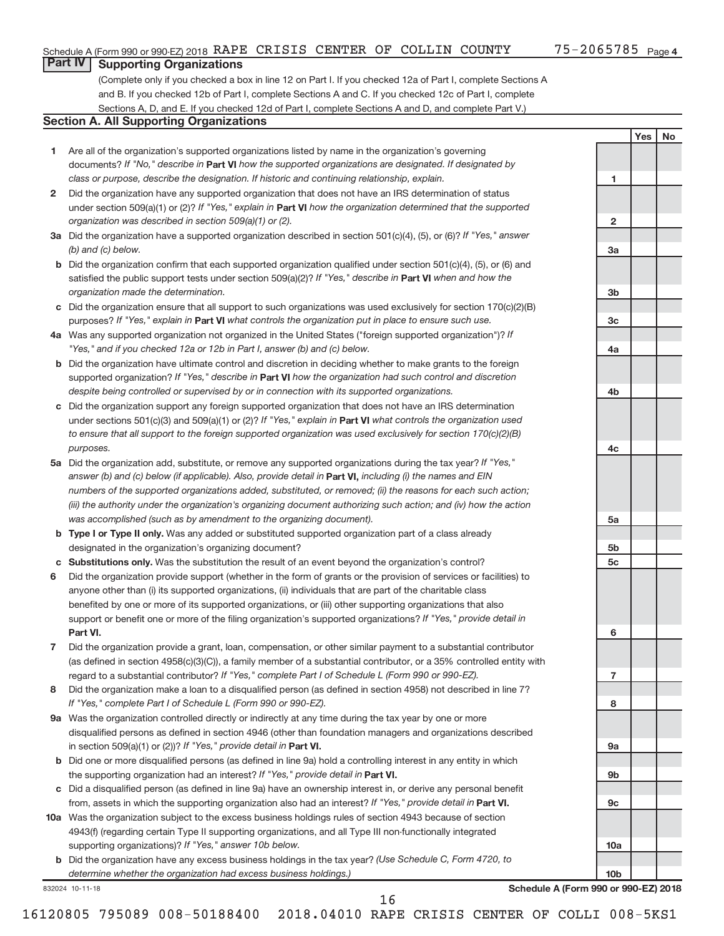**1**

**2**

**3a**

**3b**

**3c**

**4a**

**4b**

**4c**

**5a**

**5b 5c**

**6**

**7**

**8**

**9a**

**9b**

**9c**

**10a**

**10b**

**Yes No**

### **Part IV Supporting Organizations**

(Complete only if you checked a box in line 12 on Part I. If you checked 12a of Part I, complete Sections A and B. If you checked 12b of Part I, complete Sections A and C. If you checked 12c of Part I, complete Sections A, D, and E. If you checked 12d of Part I, complete Sections A and D, and complete Part V.)

### **Section A. All Supporting Organizations**

- **1** Are all of the organization's supported organizations listed by name in the organization's governing documents? If "No," describe in Part VI how the supported organizations are designated. If designated by *class or purpose, describe the designation. If historic and continuing relationship, explain.*
- **2** Did the organization have any supported organization that does not have an IRS determination of status under section 509(a)(1) or (2)? If "Yes," explain in Part **VI** how the organization determined that the supported *organization was described in section 509(a)(1) or (2).*
- **3a** Did the organization have a supported organization described in section 501(c)(4), (5), or (6)? If "Yes," answer *(b) and (c) below.*
- **b** Did the organization confirm that each supported organization qualified under section 501(c)(4), (5), or (6) and satisfied the public support tests under section 509(a)(2)? If "Yes," describe in Part VI when and how the *organization made the determination.*
- **c** Did the organization ensure that all support to such organizations was used exclusively for section 170(c)(2)(B) purposes? If "Yes," explain in Part VI what controls the organization put in place to ensure such use.
- **4 a** *If* Was any supported organization not organized in the United States ("foreign supported organization")? *"Yes," and if you checked 12a or 12b in Part I, answer (b) and (c) below.*
- **b** Did the organization have ultimate control and discretion in deciding whether to make grants to the foreign supported organization? If "Yes," describe in Part VI how the organization had such control and discretion *despite being controlled or supervised by or in connection with its supported organizations.*
- **c** Did the organization support any foreign supported organization that does not have an IRS determination under sections 501(c)(3) and 509(a)(1) or (2)? If "Yes," explain in Part VI what controls the organization used *to ensure that all support to the foreign supported organization was used exclusively for section 170(c)(2)(B) purposes.*
- **5a** Did the organization add, substitute, or remove any supported organizations during the tax year? If "Yes," answer (b) and (c) below (if applicable). Also, provide detail in **Part VI,** including (i) the names and EIN *numbers of the supported organizations added, substituted, or removed; (ii) the reasons for each such action; (iii) the authority under the organization's organizing document authorizing such action; and (iv) how the action was accomplished (such as by amendment to the organizing document).*
- **b** Type I or Type II only. Was any added or substituted supported organization part of a class already designated in the organization's organizing document?
- **c Substitutions only.**  Was the substitution the result of an event beyond the organization's control?
- **6** Did the organization provide support (whether in the form of grants or the provision of services or facilities) to **Part VI.** support or benefit one or more of the filing organization's supported organizations? If "Yes," provide detail in anyone other than (i) its supported organizations, (ii) individuals that are part of the charitable class benefited by one or more of its supported organizations, or (iii) other supporting organizations that also
- **7** Did the organization provide a grant, loan, compensation, or other similar payment to a substantial contributor regard to a substantial contributor? If "Yes," complete Part I of Schedule L (Form 990 or 990-EZ). (as defined in section 4958(c)(3)(C)), a family member of a substantial contributor, or a 35% controlled entity with
- **8** Did the organization make a loan to a disqualified person (as defined in section 4958) not described in line 7? *If "Yes," complete Part I of Schedule L (Form 990 or 990-EZ).*
- **9 a** Was the organization controlled directly or indirectly at any time during the tax year by one or more in section 509(a)(1) or (2))? If "Yes," provide detail in **Part VI.** disqualified persons as defined in section 4946 (other than foundation managers and organizations described
- **b** Did one or more disqualified persons (as defined in line 9a) hold a controlling interest in any entity in which the supporting organization had an interest? If "Yes," provide detail in Part VI.
- **c** Did a disqualified person (as defined in line 9a) have an ownership interest in, or derive any personal benefit from, assets in which the supporting organization also had an interest? If "Yes," provide detail in Part VI.
- **10 a** Was the organization subject to the excess business holdings rules of section 4943 because of section supporting organizations)? If "Yes," answer 10b below. 4943(f) (regarding certain Type II supporting organizations, and all Type III non-functionally integrated
	- **b** Did the organization have any excess business holdings in the tax year? (Use Schedule C, Form 4720, to *determine whether the organization had excess business holdings.)*

832024 10-11-18

**Schedule A (Form 990 or 990-EZ) 2018**

16120805 795089 008-50188400 2018.04010 RAPE CRISIS CENTER OF COLLI 008-5KS1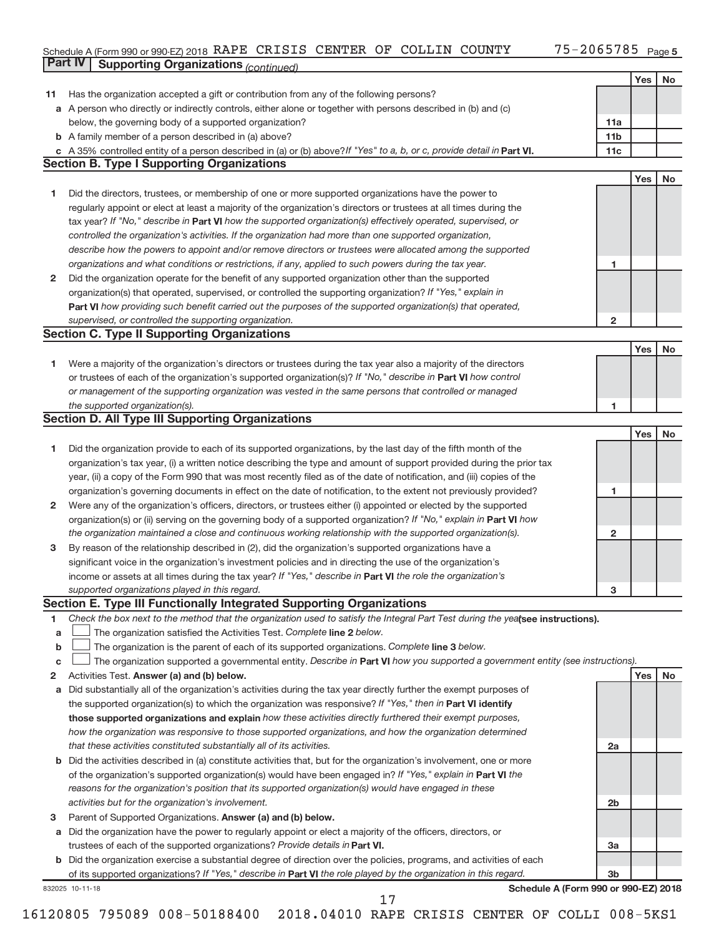### Schedule A (Form 990 or 990-EZ) 2018 Page **Part IV Supporting Organizations** *(continued)* RAPE CRISIS CENTER OF COLLIN COUNTY 75-2065785

|              |                                                                                                                                                                                                                                  |                 | Yes | No |
|--------------|----------------------------------------------------------------------------------------------------------------------------------------------------------------------------------------------------------------------------------|-----------------|-----|----|
| 11           | Has the organization accepted a gift or contribution from any of the following persons?                                                                                                                                          |                 |     |    |
|              | a A person who directly or indirectly controls, either alone or together with persons described in (b) and (c)                                                                                                                   |                 |     |    |
|              | below, the governing body of a supported organization?                                                                                                                                                                           | 11a             |     |    |
|              | <b>b</b> A family member of a person described in (a) above?                                                                                                                                                                     | 11 <sub>b</sub> |     |    |
|              | A 35% controlled entity of a person described in (a) or (b) above? If "Yes" to a, b, or c, provide detail in Part VI.                                                                                                            | 11c             |     |    |
|              | <b>Section B. Type I Supporting Organizations</b>                                                                                                                                                                                |                 |     |    |
|              |                                                                                                                                                                                                                                  |                 | Yes | No |
| 1            | Did the directors, trustees, or membership of one or more supported organizations have the power to                                                                                                                              |                 |     |    |
|              | regularly appoint or elect at least a majority of the organization's directors or trustees at all times during the                                                                                                               |                 |     |    |
|              | tax year? If "No," describe in Part VI how the supported organization(s) effectively operated, supervised, or                                                                                                                    |                 |     |    |
|              | controlled the organization's activities. If the organization had more than one supported organization,                                                                                                                          |                 |     |    |
|              | describe how the powers to appoint and/or remove directors or trustees were allocated among the supported                                                                                                                        |                 |     |    |
|              | organizations and what conditions or restrictions, if any, applied to such powers during the tax year.                                                                                                                           | 1               |     |    |
| $\mathbf{2}$ | Did the organization operate for the benefit of any supported organization other than the supported                                                                                                                              |                 |     |    |
|              | organization(s) that operated, supervised, or controlled the supporting organization? If "Yes," explain in                                                                                                                       |                 |     |    |
|              | Part VI how providing such benefit carried out the purposes of the supported organization(s) that operated,                                                                                                                      |                 |     |    |
|              | supervised, or controlled the supporting organization.                                                                                                                                                                           | $\overline{2}$  |     |    |
|              | <b>Section C. Type II Supporting Organizations</b>                                                                                                                                                                               |                 |     |    |
|              |                                                                                                                                                                                                                                  |                 | Yes | No |
| 1            | Were a majority of the organization's directors or trustees during the tax year also a majority of the directors                                                                                                                 |                 |     |    |
|              | or trustees of each of the organization's supported organization(s)? If "No," describe in Part VI how control                                                                                                                    |                 |     |    |
|              | or management of the supporting organization was vested in the same persons that controlled or managed                                                                                                                           |                 |     |    |
|              | the supported organization(s).                                                                                                                                                                                                   | 1               |     |    |
|              | <b>Section D. All Type III Supporting Organizations</b>                                                                                                                                                                          |                 |     |    |
|              |                                                                                                                                                                                                                                  |                 | Yes | No |
| 1            | Did the organization provide to each of its supported organizations, by the last day of the fifth month of the                                                                                                                   |                 |     |    |
|              | organization's tax year, (i) a written notice describing the type and amount of support provided during the prior tax                                                                                                            |                 |     |    |
|              | year, (ii) a copy of the Form 990 that was most recently filed as of the date of notification, and (iii) copies of the                                                                                                           |                 |     |    |
|              | organization's governing documents in effect on the date of notification, to the extent not previously provided?                                                                                                                 | 1               |     |    |
| $\mathbf{2}$ | Were any of the organization's officers, directors, or trustees either (i) appointed or elected by the supported                                                                                                                 |                 |     |    |
|              | organization(s) or (ii) serving on the governing body of a supported organization? If "No," explain in <b>Part VI</b> how                                                                                                        |                 |     |    |
|              | the organization maintained a close and continuous working relationship with the supported organization(s).                                                                                                                      | 2               |     |    |
| 3            | By reason of the relationship described in (2), did the organization's supported organizations have a                                                                                                                            |                 |     |    |
|              | significant voice in the organization's investment policies and in directing the use of the organization's                                                                                                                       |                 |     |    |
|              | income or assets at all times during the tax year? If "Yes," describe in Part VI the role the organization's                                                                                                                     |                 |     |    |
|              | supported organizations played in this regard.                                                                                                                                                                                   | 3               |     |    |
|              | Section E. Type III Functionally Integrated Supporting Organizations                                                                                                                                                             |                 |     |    |
| 1            | Check the box next to the method that the organization used to satisfy the Integral Part Test during the yealsee instructions).                                                                                                  |                 |     |    |
| а            | The organization satisfied the Activities Test. Complete line 2 below.                                                                                                                                                           |                 |     |    |
| b            | The organization is the parent of each of its supported organizations. Complete line 3 below.<br>The organization supported a governmental entity. Describe in Part VI how you supported a government entity (see instructions). |                 |     |    |
| с            | Activities Test. Answer (a) and (b) below.                                                                                                                                                                                       |                 | Yes | No |
| 2            | Did substantially all of the organization's activities during the tax year directly further the exempt purposes of                                                                                                               |                 |     |    |
| a            | the supported organization(s) to which the organization was responsive? If "Yes," then in Part VI identify                                                                                                                       |                 |     |    |
|              | those supported organizations and explain how these activities directly furthered their exempt purposes,                                                                                                                         |                 |     |    |
|              | how the organization was responsive to those supported organizations, and how the organization determined                                                                                                                        |                 |     |    |
|              | that these activities constituted substantially all of its activities.                                                                                                                                                           | 2a              |     |    |
|              | Did the activities described in (a) constitute activities that, but for the organization's involvement, one or more                                                                                                              |                 |     |    |
| b            | of the organization's supported organization(s) would have been engaged in? If "Yes," explain in Part VI the                                                                                                                     |                 |     |    |
|              | reasons for the organization's position that its supported organization(s) would have engaged in these                                                                                                                           |                 |     |    |
|              | activities but for the organization's involvement.                                                                                                                                                                               | 2 <sub>b</sub>  |     |    |
| 3            | Parent of Supported Organizations. Answer (a) and (b) below.                                                                                                                                                                     |                 |     |    |
| a            | Did the organization have the power to regularly appoint or elect a majority of the officers, directors, or                                                                                                                      |                 |     |    |
|              | trustees of each of the supported organizations? Provide details in Part VI.                                                                                                                                                     | 3a              |     |    |
|              | <b>b</b> Did the organization exercise a substantial degree of direction over the policies, programs, and activities of each                                                                                                     |                 |     |    |
|              | of its supported organizations? If "Yes," describe in Part VI the role played by the organization in this regard.                                                                                                                | 3 <sub>b</sub>  |     |    |
|              | Schedule A (Form 990 or 990-EZ) 2018<br>832025 10-11-18                                                                                                                                                                          |                 |     |    |
|              | 17                                                                                                                                                                                                                               |                 |     |    |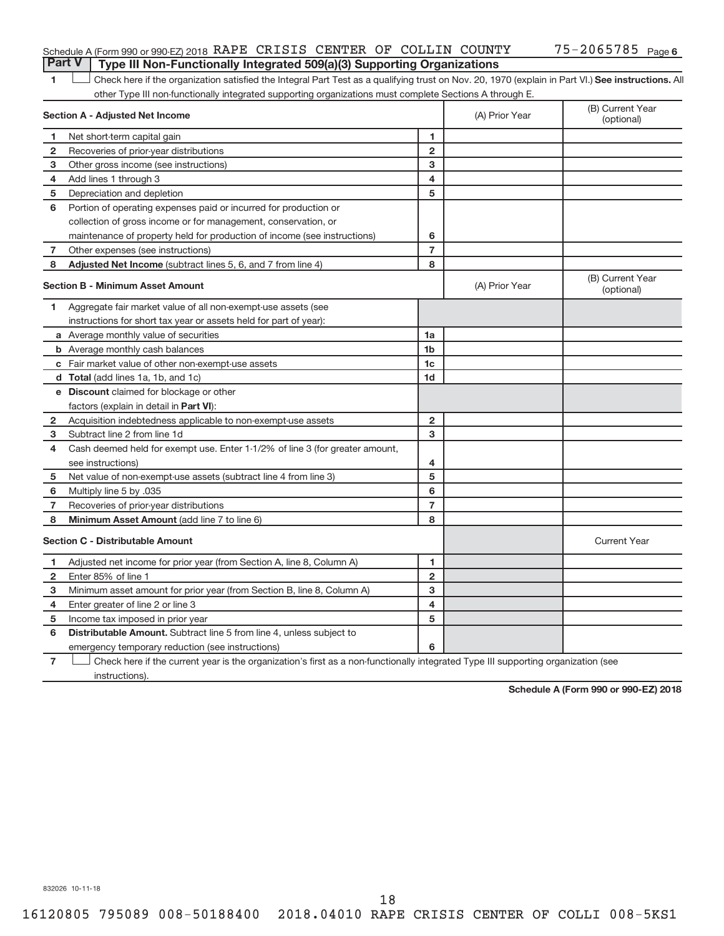### Schedule A (Form 990 or 990-EZ) 2018 RAPE CRISIS CENTER OF COLLIN COUNTY 75-2065785 Page **Part V Type III Non-Functionally Integrated 509(a)(3) Supporting Organizations**

1 **Letter See instructions.** All Check here if the organization satisfied the Integral Part Test as a qualifying trust on Nov. 20, 1970 (explain in Part VI.) See instructions. All other Type III non-functionally integrated supporting organizations must complete Sections A through E.

|              | Section A - Adjusted Net Income                                              | (A) Prior Year | (B) Current Year<br>(optional)                                                                                                    |                                |
|--------------|------------------------------------------------------------------------------|----------------|-----------------------------------------------------------------------------------------------------------------------------------|--------------------------------|
| 1            | Net short-term capital gain                                                  | 1              |                                                                                                                                   |                                |
| $\mathbf{2}$ | Recoveries of prior-year distributions                                       | $\mathbf{2}$   |                                                                                                                                   |                                |
| з            | Other gross income (see instructions)                                        | 3              |                                                                                                                                   |                                |
| 4            | Add lines 1 through 3                                                        | 4              |                                                                                                                                   |                                |
| 5            | Depreciation and depletion                                                   | 5              |                                                                                                                                   |                                |
| 6            | Portion of operating expenses paid or incurred for production or             |                |                                                                                                                                   |                                |
|              | collection of gross income or for management, conservation, or               |                |                                                                                                                                   |                                |
|              | maintenance of property held for production of income (see instructions)     | 6              |                                                                                                                                   |                                |
| 7            | Other expenses (see instructions)                                            | $\overline{7}$ |                                                                                                                                   |                                |
| 8            | Adjusted Net Income (subtract lines 5, 6, and 7 from line 4)                 | 8              |                                                                                                                                   |                                |
|              | <b>Section B - Minimum Asset Amount</b>                                      |                | (A) Prior Year                                                                                                                    | (B) Current Year<br>(optional) |
| 1            | Aggregate fair market value of all non-exempt-use assets (see                |                |                                                                                                                                   |                                |
|              | instructions for short tax year or assets held for part of year):            |                |                                                                                                                                   |                                |
|              | a Average monthly value of securities                                        | 1a             |                                                                                                                                   |                                |
|              | <b>b</b> Average monthly cash balances                                       | 1 <sub>b</sub> |                                                                                                                                   |                                |
|              | c Fair market value of other non-exempt-use assets                           | 1c             |                                                                                                                                   |                                |
|              | d Total (add lines 1a, 1b, and 1c)                                           | 1 <sub>d</sub> |                                                                                                                                   |                                |
|              | e Discount claimed for blockage or other                                     |                |                                                                                                                                   |                                |
|              | factors (explain in detail in Part VI):                                      |                |                                                                                                                                   |                                |
| 2            | Acquisition indebtedness applicable to non-exempt-use assets                 | $\mathbf{2}$   |                                                                                                                                   |                                |
| 3            | Subtract line 2 from line 1d                                                 | 3              |                                                                                                                                   |                                |
| 4            | Cash deemed held for exempt use. Enter 1-1/2% of line 3 (for greater amount, |                |                                                                                                                                   |                                |
|              | see instructions)                                                            | 4              |                                                                                                                                   |                                |
| 5            | Net value of non-exempt-use assets (subtract line 4 from line 3)             | 5              |                                                                                                                                   |                                |
| 6            | Multiply line 5 by .035                                                      | 6              |                                                                                                                                   |                                |
| 7            | Recoveries of prior-year distributions                                       | $\overline{7}$ |                                                                                                                                   |                                |
| 8            | <b>Minimum Asset Amount (add line 7 to line 6)</b>                           | 8              |                                                                                                                                   |                                |
|              | <b>Section C - Distributable Amount</b>                                      |                |                                                                                                                                   | <b>Current Year</b>            |
| 1.           | Adjusted net income for prior year (from Section A, line 8, Column A)        | 1              |                                                                                                                                   |                                |
| 2            | Enter 85% of line 1                                                          | $\overline{2}$ |                                                                                                                                   |                                |
| 3            | Minimum asset amount for prior year (from Section B, line 8, Column A)       | 3              |                                                                                                                                   |                                |
| 4            | Enter greater of line 2 or line 3                                            | 4              |                                                                                                                                   |                                |
| 5            | Income tax imposed in prior year                                             | 5              |                                                                                                                                   |                                |
| 6            | <b>Distributable Amount.</b> Subtract line 5 from line 4, unless subject to  |                |                                                                                                                                   |                                |
|              | emergency temporary reduction (see instructions)                             | 6              |                                                                                                                                   |                                |
|              |                                                                              |                | Check here if the current year is the organization's first as a non-functionally integrated Type III supporting organization (see |                                |

instructions).

**Schedule A (Form 990 or 990-EZ) 2018**

832026 10-11-18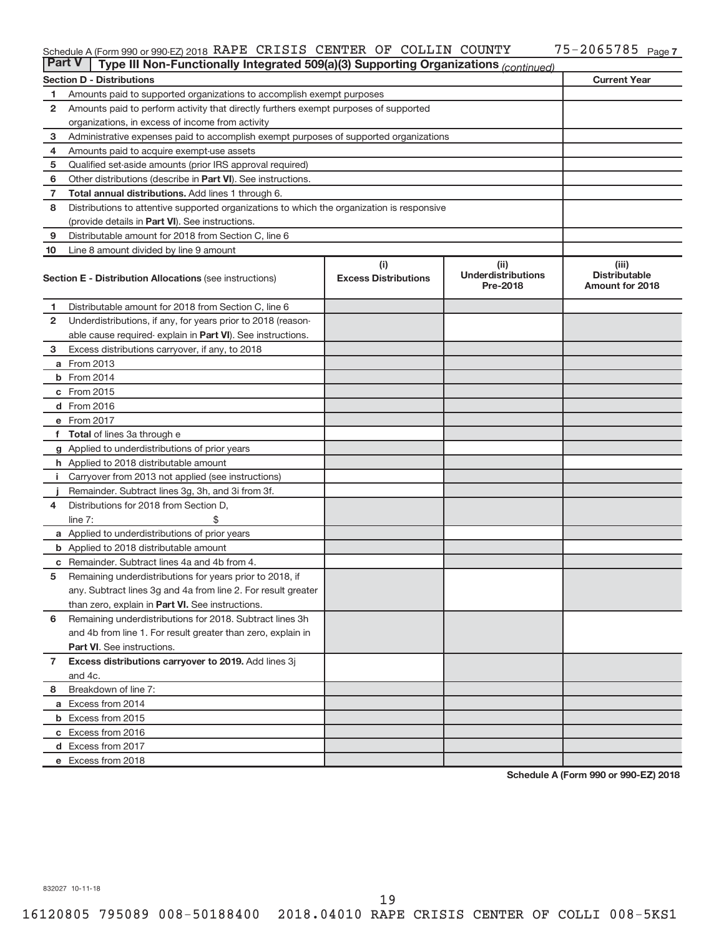#### Schedule A (Form 990 or 990-EZ) 2018 Page RAPE CRISIS CENTER OF COLLIN COUNTY 75-2065785

| <b>Part V</b>  | Type III Non-Functionally Integrated 509(a)(3) Supporting Organizations (continued)        |                             |                                       |                                                |  |  |  |  |  |  |
|----------------|--------------------------------------------------------------------------------------------|-----------------------------|---------------------------------------|------------------------------------------------|--|--|--|--|--|--|
|                | <b>Section D - Distributions</b>                                                           |                             |                                       | <b>Current Year</b>                            |  |  |  |  |  |  |
| 1              | Amounts paid to supported organizations to accomplish exempt purposes                      |                             |                                       |                                                |  |  |  |  |  |  |
| $\mathbf{2}$   | Amounts paid to perform activity that directly furthers exempt purposes of supported       |                             |                                       |                                                |  |  |  |  |  |  |
|                | organizations, in excess of income from activity                                           |                             |                                       |                                                |  |  |  |  |  |  |
| 3              | Administrative expenses paid to accomplish exempt purposes of supported organizations      |                             |                                       |                                                |  |  |  |  |  |  |
| 4              | Amounts paid to acquire exempt-use assets                                                  |                             |                                       |                                                |  |  |  |  |  |  |
| 5              | Qualified set-aside amounts (prior IRS approval required)                                  |                             |                                       |                                                |  |  |  |  |  |  |
| 6              | Other distributions (describe in <b>Part VI</b> ). See instructions.                       |                             |                                       |                                                |  |  |  |  |  |  |
| 7              | Total annual distributions. Add lines 1 through 6.                                         |                             |                                       |                                                |  |  |  |  |  |  |
| 8              | Distributions to attentive supported organizations to which the organization is responsive |                             |                                       |                                                |  |  |  |  |  |  |
|                | (provide details in Part VI). See instructions.                                            |                             |                                       |                                                |  |  |  |  |  |  |
| 9              | Distributable amount for 2018 from Section C, line 6                                       |                             |                                       |                                                |  |  |  |  |  |  |
| 10             | Line 8 amount divided by line 9 amount                                                     |                             |                                       |                                                |  |  |  |  |  |  |
|                |                                                                                            | (i)                         | (ii)                                  | (iii)                                          |  |  |  |  |  |  |
|                | <b>Section E - Distribution Allocations (see instructions)</b>                             | <b>Excess Distributions</b> | <b>Underdistributions</b><br>Pre-2018 | <b>Distributable</b><br><b>Amount for 2018</b> |  |  |  |  |  |  |
| 1              | Distributable amount for 2018 from Section C, line 6                                       |                             |                                       |                                                |  |  |  |  |  |  |
| $\mathbf{2}$   | Underdistributions, if any, for years prior to 2018 (reason-                               |                             |                                       |                                                |  |  |  |  |  |  |
|                | able cause required- explain in Part VI). See instructions.                                |                             |                                       |                                                |  |  |  |  |  |  |
| 3              | Excess distributions carryover, if any, to 2018                                            |                             |                                       |                                                |  |  |  |  |  |  |
|                | <b>a</b> From 2013                                                                         |                             |                                       |                                                |  |  |  |  |  |  |
|                | <b>b</b> From 2014                                                                         |                             |                                       |                                                |  |  |  |  |  |  |
|                | c From 2015                                                                                |                             |                                       |                                                |  |  |  |  |  |  |
|                | d From 2016                                                                                |                             |                                       |                                                |  |  |  |  |  |  |
|                | e From 2017                                                                                |                             |                                       |                                                |  |  |  |  |  |  |
|                | f Total of lines 3a through e                                                              |                             |                                       |                                                |  |  |  |  |  |  |
|                | g Applied to underdistributions of prior years                                             |                             |                                       |                                                |  |  |  |  |  |  |
|                | <b>h</b> Applied to 2018 distributable amount                                              |                             |                                       |                                                |  |  |  |  |  |  |
| Ť.             | Carryover from 2013 not applied (see instructions)                                         |                             |                                       |                                                |  |  |  |  |  |  |
|                | Remainder. Subtract lines 3g, 3h, and 3i from 3f.                                          |                             |                                       |                                                |  |  |  |  |  |  |
| 4              | Distributions for 2018 from Section D,                                                     |                             |                                       |                                                |  |  |  |  |  |  |
|                | line $7:$                                                                                  |                             |                                       |                                                |  |  |  |  |  |  |
|                | a Applied to underdistributions of prior years                                             |                             |                                       |                                                |  |  |  |  |  |  |
|                | <b>b</b> Applied to 2018 distributable amount                                              |                             |                                       |                                                |  |  |  |  |  |  |
| c              | Remainder. Subtract lines 4a and 4b from 4.                                                |                             |                                       |                                                |  |  |  |  |  |  |
| 5              | Remaining underdistributions for years prior to 2018, if                                   |                             |                                       |                                                |  |  |  |  |  |  |
|                | any. Subtract lines 3g and 4a from line 2. For result greater                              |                             |                                       |                                                |  |  |  |  |  |  |
|                | than zero, explain in Part VI. See instructions.                                           |                             |                                       |                                                |  |  |  |  |  |  |
| 6              | Remaining underdistributions for 2018. Subtract lines 3h                                   |                             |                                       |                                                |  |  |  |  |  |  |
|                | and 4b from line 1. For result greater than zero, explain in                               |                             |                                       |                                                |  |  |  |  |  |  |
|                | <b>Part VI.</b> See instructions.                                                          |                             |                                       |                                                |  |  |  |  |  |  |
| $\overline{7}$ | Excess distributions carryover to 2019. Add lines 3j                                       |                             |                                       |                                                |  |  |  |  |  |  |
|                | and 4c.                                                                                    |                             |                                       |                                                |  |  |  |  |  |  |
| 8              | Breakdown of line 7:                                                                       |                             |                                       |                                                |  |  |  |  |  |  |
|                | a Excess from 2014                                                                         |                             |                                       |                                                |  |  |  |  |  |  |
|                | <b>b</b> Excess from 2015                                                                  |                             |                                       |                                                |  |  |  |  |  |  |
|                | c Excess from 2016                                                                         |                             |                                       |                                                |  |  |  |  |  |  |
|                | d Excess from 2017                                                                         |                             |                                       |                                                |  |  |  |  |  |  |
|                | e Excess from 2018                                                                         |                             |                                       |                                                |  |  |  |  |  |  |

**Schedule A (Form 990 or 990-EZ) 2018**

832027 10-11-18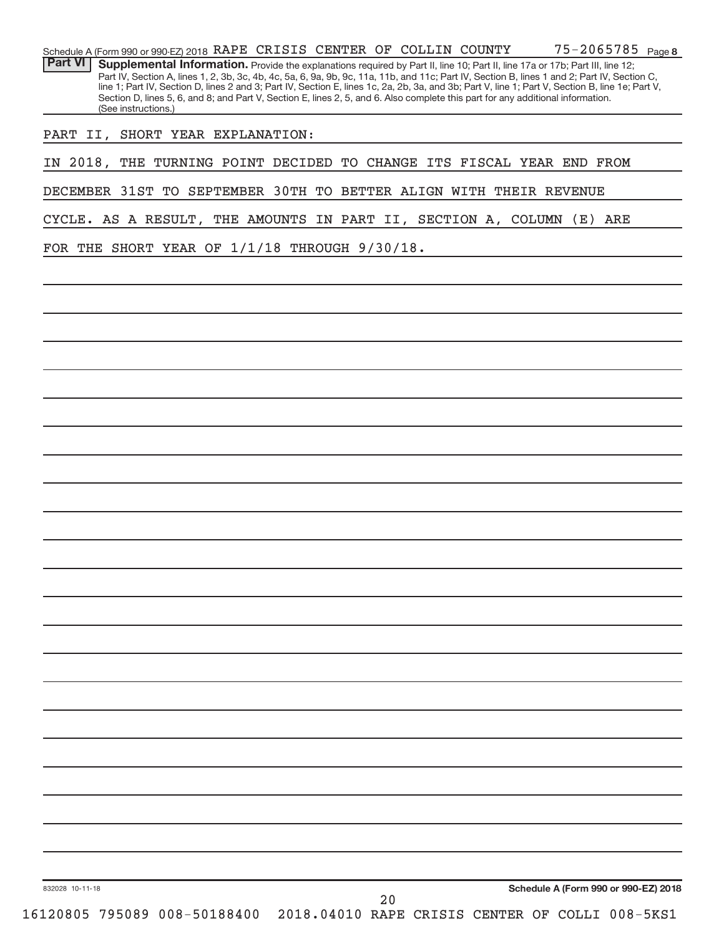| 832028 10-11-18                                               |                     |                   |  | 20 |  | Schedule A (Form 990 or 990-EZ) 2018                                                                                                                                                                                                                                                                                                                                                                                                |         |  |
|---------------------------------------------------------------|---------------------|-------------------|--|----|--|-------------------------------------------------------------------------------------------------------------------------------------------------------------------------------------------------------------------------------------------------------------------------------------------------------------------------------------------------------------------------------------------------------------------------------------|---------|--|
|                                                               |                     |                   |  |    |  |                                                                                                                                                                                                                                                                                                                                                                                                                                     |         |  |
|                                                               |                     |                   |  |    |  |                                                                                                                                                                                                                                                                                                                                                                                                                                     |         |  |
|                                                               |                     |                   |  |    |  |                                                                                                                                                                                                                                                                                                                                                                                                                                     |         |  |
|                                                               |                     |                   |  |    |  |                                                                                                                                                                                                                                                                                                                                                                                                                                     |         |  |
|                                                               |                     |                   |  |    |  |                                                                                                                                                                                                                                                                                                                                                                                                                                     |         |  |
|                                                               |                     |                   |  |    |  |                                                                                                                                                                                                                                                                                                                                                                                                                                     |         |  |
|                                                               |                     |                   |  |    |  |                                                                                                                                                                                                                                                                                                                                                                                                                                     |         |  |
|                                                               |                     |                   |  |    |  |                                                                                                                                                                                                                                                                                                                                                                                                                                     |         |  |
|                                                               |                     |                   |  |    |  |                                                                                                                                                                                                                                                                                                                                                                                                                                     |         |  |
|                                                               |                     |                   |  |    |  |                                                                                                                                                                                                                                                                                                                                                                                                                                     |         |  |
|                                                               |                     |                   |  |    |  |                                                                                                                                                                                                                                                                                                                                                                                                                                     |         |  |
|                                                               |                     |                   |  |    |  |                                                                                                                                                                                                                                                                                                                                                                                                                                     |         |  |
|                                                               |                     |                   |  |    |  |                                                                                                                                                                                                                                                                                                                                                                                                                                     |         |  |
|                                                               |                     |                   |  |    |  |                                                                                                                                                                                                                                                                                                                                                                                                                                     |         |  |
|                                                               |                     |                   |  |    |  |                                                                                                                                                                                                                                                                                                                                                                                                                                     |         |  |
|                                                               |                     |                   |  |    |  |                                                                                                                                                                                                                                                                                                                                                                                                                                     |         |  |
|                                                               |                     |                   |  |    |  |                                                                                                                                                                                                                                                                                                                                                                                                                                     |         |  |
| FOR THE SHORT YEAR OF 1/1/18 THROUGH 9/30/18.                 |                     |                   |  |    |  |                                                                                                                                                                                                                                                                                                                                                                                                                                     |         |  |
| CYCLE. AS A RESULT, THE AMOUNTS IN PART II, SECTION A, COLUMN |                     |                   |  |    |  |                                                                                                                                                                                                                                                                                                                                                                                                                                     | (E) ARE |  |
| DECEMBER 31ST TO                                              |                     | SEPTEMBER 30TH TO |  |    |  | BETTER ALIGN WITH THEIR REVENUE                                                                                                                                                                                                                                                                                                                                                                                                     |         |  |
| IN 2018, THE TURNING POINT DECIDED                            |                     |                   |  |    |  | TO CHANGE ITS FISCAL YEAR END FROM                                                                                                                                                                                                                                                                                                                                                                                                  |         |  |
| PART II, SHORT YEAR EXPLANATION:                              |                     |                   |  |    |  |                                                                                                                                                                                                                                                                                                                                                                                                                                     |         |  |
|                                                               | (See instructions.) |                   |  |    |  | Part IV, Section A, lines 1, 2, 3b, 3c, 4b, 4c, 5a, 6, 9a, 9b, 9c, 11a, 11b, and 11c; Part IV, Section B, lines 1 and 2; Part IV, Section C,<br>line 1; Part IV, Section D, lines 2 and 3; Part IV, Section E, lines 1c, 2a, 2b, 3a, and 3b; Part V, line 1; Part V, Section B, line 1e; Part V,<br>Section D, lines 5, 6, and 8; and Part V, Section E, lines 2, 5, and 6. Also complete this part for any additional information. |         |  |

Schedule A (Form 990 or 990-EZ) 2018 Page

RAPE CRISIS CENTER OF COLLIN COUNTY 75-2065785

75-2065785 Page 8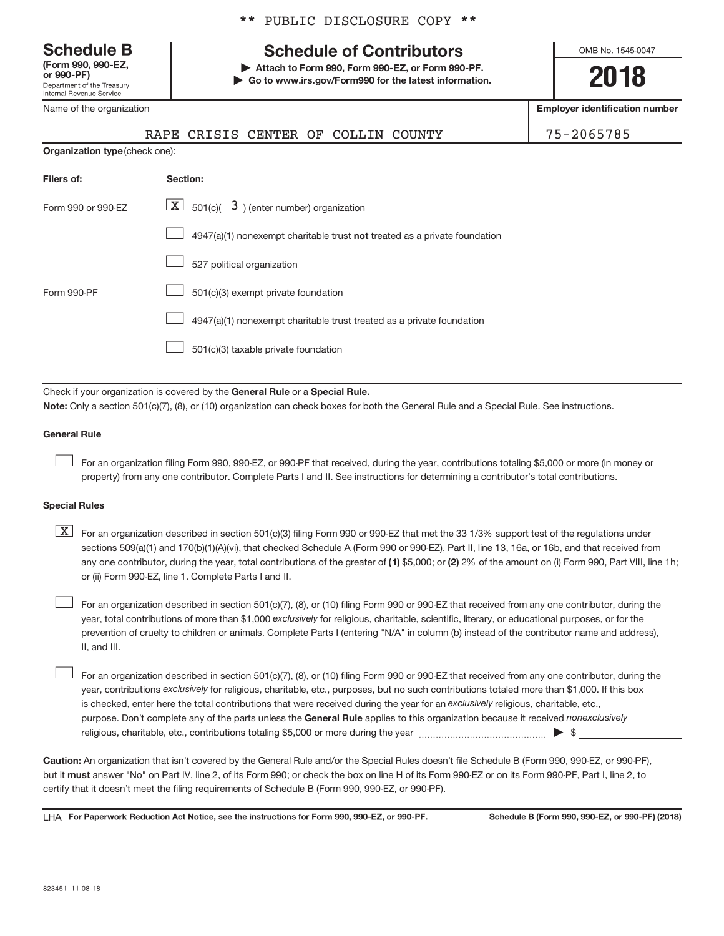**(Form 990, 990-EZ,**

Department of the Treasury Internal Revenue Service

Name of the organization

## **Schedule B Schedule of Contributors**

**or 990-PF) | Attach to Form 990, Form 990-EZ, or Form 990-PF. | Go to www.irs.gov/Form990 for the latest information.** OMB No. 1545-0047

**2018**

**Employer identification number**

| RAPE CRISIS CENTER OF COLLIN COUNTY |  |  | 75-2065785 |
|-------------------------------------|--|--|------------|
|                                     |  |  |            |

**Organization type** (check one):

| Filers of:         | Section:                                                                  |
|--------------------|---------------------------------------------------------------------------|
| Form 990 or 990-EZ | $\underline{\mathbf{X}}$ 501(c)( 3) (enter number) organization           |
|                    | 4947(a)(1) nonexempt charitable trust not treated as a private foundation |
|                    | 527 political organization                                                |
| Form 990-PF        | 501(c)(3) exempt private foundation                                       |
|                    | 4947(a)(1) nonexempt charitable trust treated as a private foundation     |
|                    | 501(c)(3) taxable private foundation                                      |

Check if your organization is covered by the General Rule or a Special Rule.

**Note:**  Only a section 501(c)(7), (8), or (10) organization can check boxes for both the General Rule and a Special Rule. See instructions.

### **General Rule**

 $\begin{array}{c} \hline \end{array}$ 

For an organization filing Form 990, 990-EZ, or 990-PF that received, during the year, contributions totaling \$5,000 or more (in money or property) from any one contributor. Complete Parts I and II. See instructions for determining a contributor's total contributions.

### **Special Rules**

any one contributor, during the year, total contributions of the greater of (1) \$5,000; or (2) 2% of the amount on (i) Form 990, Part VIII, line 1h;  $\boxed{\text{X}}$  For an organization described in section 501(c)(3) filing Form 990 or 990-EZ that met the 33 1/3% support test of the regulations under sections 509(a)(1) and 170(b)(1)(A)(vi), that checked Schedule A (Form 990 or 990-EZ), Part II, line 13, 16a, or 16b, and that received from or (ii) Form 990-EZ, line 1. Complete Parts I and II.

year, total contributions of more than \$1,000 exclusively for religious, charitable, scientific, literary, or educational purposes, or for the For an organization described in section 501(c)(7), (8), or (10) filing Form 990 or 990-EZ that received from any one contributor, during the prevention of cruelty to children or animals. Complete Parts I (entering "N/A" in column (b) instead of the contributor name and address), II, and III.  $\begin{array}{c} \hline \end{array}$ 

purpose. Don't complete any of the parts unless the General Rule applies to this organization because it received nonexclusively year, contributions exclusively for religious, charitable, etc., purposes, but no such contributions totaled more than \$1,000. If this box is checked, enter here the total contributions that were received during the year for an exclusively religious, charitable, etc., For an organization described in section 501(c)(7), (8), or (10) filing Form 990 or 990-EZ that received from any one contributor, during the religious, charitable, etc., contributions totaling \$5,000 or more during the year  $~\ldots\ldots\ldots\ldots\ldots\ldots\ldots\ldots\blacktriangleright~$ \$  $\begin{array}{c} \hline \end{array}$ 

**Caution:**  An organization that isn't covered by the General Rule and/or the Special Rules doesn't file Schedule B (Form 990, 990-EZ, or 990-PF),  **must** but it answer "No" on Part IV, line 2, of its Form 990; or check the box on line H of its Form 990-EZ or on its Form 990-PF, Part I, line 2, to certify that it doesn't meet the filing requirements of Schedule B (Form 990, 990-EZ, or 990-PF).

LHA For Paperwork Reduction Act Notice, see the instructions for Form 990, 990-EZ, or 990-PF. Schedule B (Form 990, 990-EZ, or 990-PF) (2018)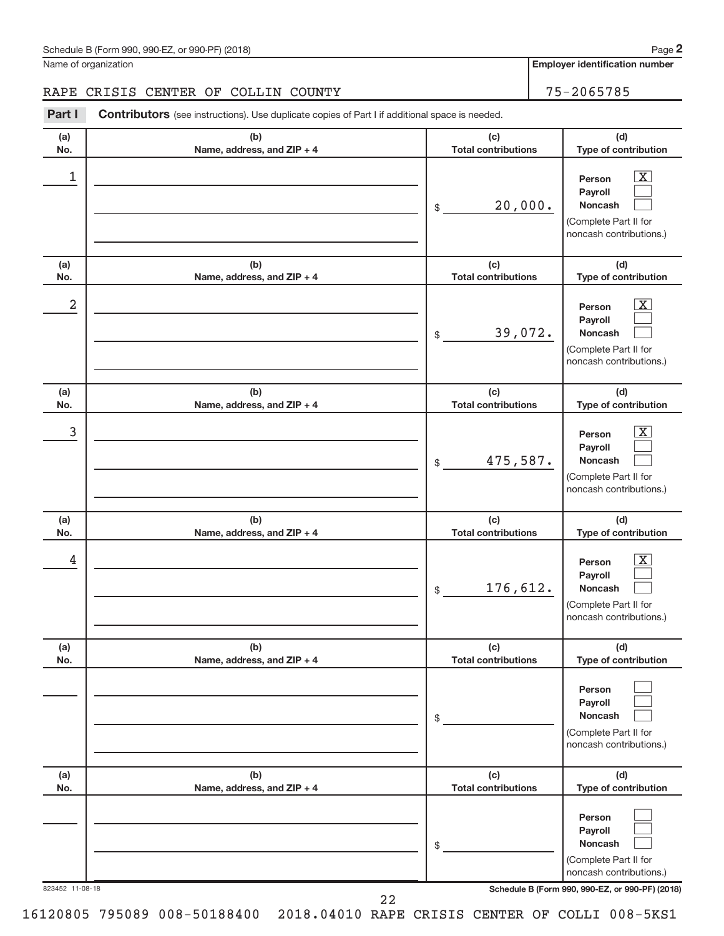Name of organization

**Employer identification number**

### RAPE CRISIS CENTER OF COLLIN COUNTY 75-2065785

Part I Contributors (see instructions). Use duplicate copies of Part I if additional space is needed.

| (a)<br>No.      | (b)<br>Name, address, and ZIP + 4 | (c)<br><b>Total contributions</b> | (d)<br>Type of contribution                                                                                                         |
|-----------------|-----------------------------------|-----------------------------------|-------------------------------------------------------------------------------------------------------------------------------------|
| 1               |                                   | 20,000.<br>\$                     | $\overline{\mathbf{X}}$<br>Person<br>Payroll<br><b>Noncash</b><br>(Complete Part II for<br>noncash contributions.)                  |
| (a)<br>No.      | (b)<br>Name, address, and ZIP + 4 | (c)<br><b>Total contributions</b> | (d)<br>Type of contribution                                                                                                         |
| 2               |                                   | 39,072.<br>\$                     | $\overline{\mathbf{X}}$<br>Person<br>Payroll<br><b>Noncash</b><br>(Complete Part II for<br>noncash contributions.)                  |
| (a)<br>No.      | (b)<br>Name, address, and ZIP + 4 | (c)<br><b>Total contributions</b> | (d)<br>Type of contribution                                                                                                         |
| 3               |                                   | 475,587.<br>\$                    | $\overline{\mathbf{X}}$<br>Person<br>Payroll<br><b>Noncash</b><br>(Complete Part II for<br>noncash contributions.)                  |
| (a)<br>No.      | (b)<br>Name, address, and ZIP + 4 | (c)<br><b>Total contributions</b> | (d)<br>Type of contribution                                                                                                         |
| 4               |                                   | 176,612.<br>\$                    | $\overline{\mathbf{X}}$<br>Person<br>Payroll<br><b>Noncash</b><br>(Complete Part II for<br>noncash contributions.)                  |
| (a)<br>No.      | (b)<br>Name, address, and ZIP + 4 | (c)<br><b>Total contributions</b> | (d)<br>Type of contribution                                                                                                         |
|                 |                                   | \$                                | Person<br>Payroll<br><b>Noncash</b><br>(Complete Part II for<br>noncash contributions.)                                             |
| (a)<br>No.      | (b)<br>Name, address, and ZIP + 4 | (c)<br><b>Total contributions</b> | (d)<br>Type of contribution                                                                                                         |
| 823452 11-08-18 |                                   | \$                                | Person<br>Payroll<br>Noncash<br>(Complete Part II for<br>noncash contributions.)<br>Schedule B (Form 990, 990-EZ, or 990-PF) (2018) |
|                 | 22                                |                                   |                                                                                                                                     |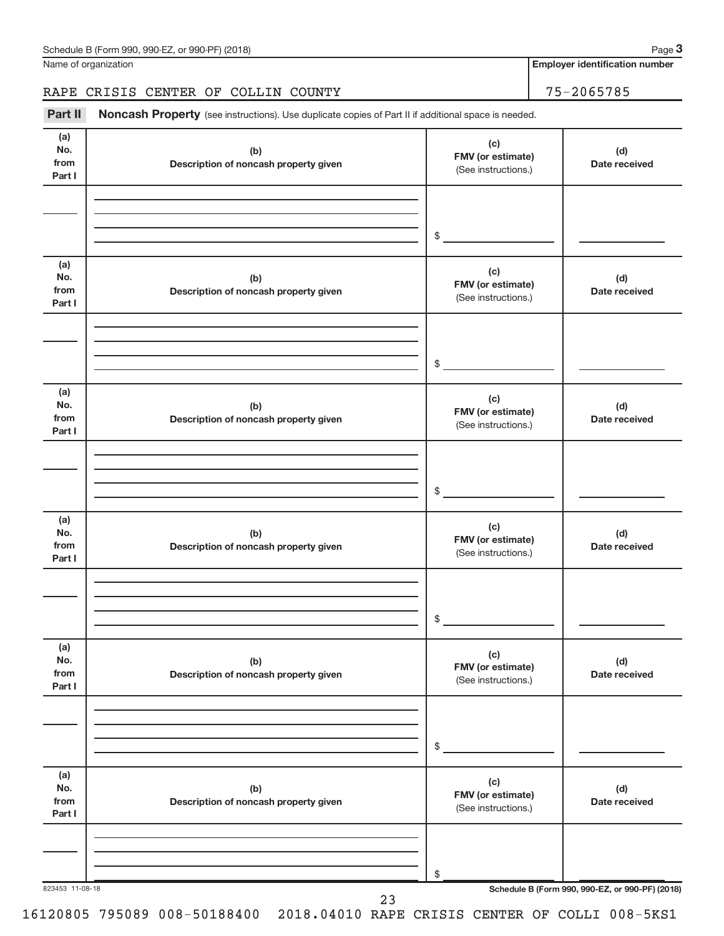Name of organization

**Employer identification number**

RAPE CRISIS CENTER OF COLLIN COUNTY 75-2065785

Part II Noncash Property (see instructions). Use duplicate copies of Part II if additional space is needed.

| (a)<br>No.<br>from<br>Part I | (b)<br>Description of noncash property given | (c)<br>FMV (or estimate)<br>(See instructions.) | (d)<br>Date received                            |
|------------------------------|----------------------------------------------|-------------------------------------------------|-------------------------------------------------|
|                              |                                              | $\frac{1}{2}$                                   |                                                 |
|                              |                                              |                                                 |                                                 |
| (a)<br>No.<br>from<br>Part I | (b)<br>Description of noncash property given | (c)<br>FMV (or estimate)<br>(See instructions.) | (d)<br>Date received                            |
|                              |                                              | $\frac{1}{2}$                                   |                                                 |
|                              |                                              |                                                 |                                                 |
| (a)<br>No.<br>from<br>Part I | (b)<br>Description of noncash property given | (c)<br>FMV (or estimate)<br>(See instructions.) | (d)<br>Date received                            |
|                              |                                              |                                                 |                                                 |
|                              |                                              | $\frac{1}{2}$                                   |                                                 |
| (a)<br>No.<br>from<br>Part I | (b)<br>Description of noncash property given | (c)<br>FMV (or estimate)<br>(See instructions.) | (d)<br>Date received                            |
|                              |                                              |                                                 |                                                 |
|                              |                                              |                                                 |                                                 |
|                              |                                              | \$                                              |                                                 |
| (a)<br>No.<br>from<br>Part I | (b)<br>Description of noncash property given | (c)<br>FMV (or estimate)<br>(See instructions.) | (d)<br>Date received                            |
|                              |                                              |                                                 |                                                 |
|                              |                                              |                                                 |                                                 |
|                              |                                              | \$                                              |                                                 |
| (a)<br>No.<br>from<br>Part I | (b)<br>Description of noncash property given | (c)<br>FMV (or estimate)<br>(See instructions.) | (d)<br>Date received                            |
|                              |                                              |                                                 |                                                 |
|                              |                                              |                                                 |                                                 |
|                              |                                              | \$                                              |                                                 |
| 823453 11-08-18              | 23                                           |                                                 | Schedule B (Form 990, 990-EZ, or 990-PF) (2018) |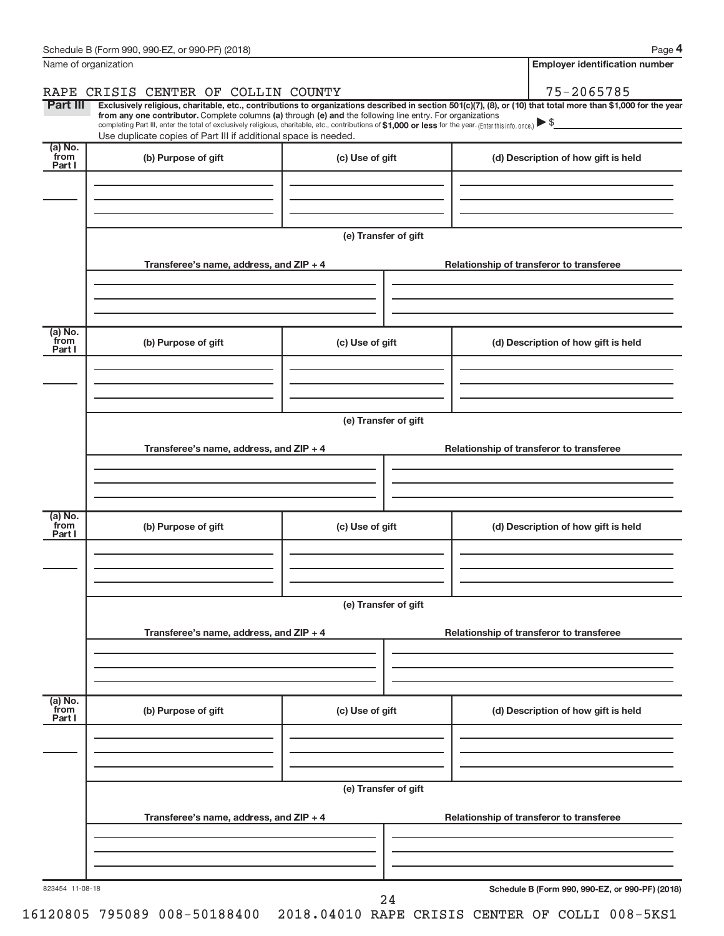| Name of organization<br>75-2065785<br>RAPE CRISIS CENTER OF COLLIN COUNTY<br><b>Part III</b><br>Exclusively religious, charitable, etc., contributions to organizations described in section 501(c)(7), (8), or (10) that total more than \$1,000 for the year<br>from any one contributor. Complete columns (a) through (e) and the following line entry. For organizations<br>completing Part III, enter the total of exclusively religious, charitable, etc., contributions of \$1,000 or less for the year. (Enter this info. once.)<br>Use duplicate copies of Part III if additional space is needed.<br>(a) No.<br>from<br>(b) Purpose of gift<br>(c) Use of gift<br>(d) Description of how gift is held<br>Part I<br>(e) Transfer of gift<br>Transferee's name, address, and ZIP + 4<br>Relationship of transferor to transferee<br>(a) No.<br>from<br>(b) Purpose of gift<br>(c) Use of gift<br>(d) Description of how gift is held<br>Part I<br>(e) Transfer of gift<br>Transferee's name, address, and ZIP + 4<br>Relationship of transferor to transferee<br>(a) No.<br>from<br>(b) Purpose of gift<br>(c) Use of gift<br>(d) Description of how gift is held<br>Part I<br>(e) Transfer of gift<br>Transferee's name, address, and ZIP + 4<br>Relationship of transferor to transferee<br>(a) No.<br>from<br>(b) Purpose of gift<br>(c) Use of gift<br>(d) Description of how gift is held<br>Part I<br>(e) Transfer of gift<br>Transferee's name, address, and ZIP + 4<br>Relationship of transferor to transferee<br>Schedule B (Form 990, 990-EZ, or 990-PF) (2018)<br>823454 11-08-18<br>24 | Schedule B (Form 990, 990-EZ, or 990-PF) (2018) |  |  | Page 4                                |  |  |  |  |  |
|-------------------------------------------------------------------------------------------------------------------------------------------------------------------------------------------------------------------------------------------------------------------------------------------------------------------------------------------------------------------------------------------------------------------------------------------------------------------------------------------------------------------------------------------------------------------------------------------------------------------------------------------------------------------------------------------------------------------------------------------------------------------------------------------------------------------------------------------------------------------------------------------------------------------------------------------------------------------------------------------------------------------------------------------------------------------------------------------------------------------------------------------------------------------------------------------------------------------------------------------------------------------------------------------------------------------------------------------------------------------------------------------------------------------------------------------------------------------------------------------------------------------------------------------------------------------------------------------------------------|-------------------------------------------------|--|--|---------------------------------------|--|--|--|--|--|
|                                                                                                                                                                                                                                                                                                                                                                                                                                                                                                                                                                                                                                                                                                                                                                                                                                                                                                                                                                                                                                                                                                                                                                                                                                                                                                                                                                                                                                                                                                                                                                                                             |                                                 |  |  | <b>Employer identification number</b> |  |  |  |  |  |
|                                                                                                                                                                                                                                                                                                                                                                                                                                                                                                                                                                                                                                                                                                                                                                                                                                                                                                                                                                                                                                                                                                                                                                                                                                                                                                                                                                                                                                                                                                                                                                                                             |                                                 |  |  |                                       |  |  |  |  |  |
|                                                                                                                                                                                                                                                                                                                                                                                                                                                                                                                                                                                                                                                                                                                                                                                                                                                                                                                                                                                                                                                                                                                                                                                                                                                                                                                                                                                                                                                                                                                                                                                                             |                                                 |  |  |                                       |  |  |  |  |  |
|                                                                                                                                                                                                                                                                                                                                                                                                                                                                                                                                                                                                                                                                                                                                                                                                                                                                                                                                                                                                                                                                                                                                                                                                                                                                                                                                                                                                                                                                                                                                                                                                             |                                                 |  |  |                                       |  |  |  |  |  |
|                                                                                                                                                                                                                                                                                                                                                                                                                                                                                                                                                                                                                                                                                                                                                                                                                                                                                                                                                                                                                                                                                                                                                                                                                                                                                                                                                                                                                                                                                                                                                                                                             |                                                 |  |  |                                       |  |  |  |  |  |
|                                                                                                                                                                                                                                                                                                                                                                                                                                                                                                                                                                                                                                                                                                                                                                                                                                                                                                                                                                                                                                                                                                                                                                                                                                                                                                                                                                                                                                                                                                                                                                                                             |                                                 |  |  |                                       |  |  |  |  |  |
|                                                                                                                                                                                                                                                                                                                                                                                                                                                                                                                                                                                                                                                                                                                                                                                                                                                                                                                                                                                                                                                                                                                                                                                                                                                                                                                                                                                                                                                                                                                                                                                                             |                                                 |  |  |                                       |  |  |  |  |  |
|                                                                                                                                                                                                                                                                                                                                                                                                                                                                                                                                                                                                                                                                                                                                                                                                                                                                                                                                                                                                                                                                                                                                                                                                                                                                                                                                                                                                                                                                                                                                                                                                             |                                                 |  |  |                                       |  |  |  |  |  |
|                                                                                                                                                                                                                                                                                                                                                                                                                                                                                                                                                                                                                                                                                                                                                                                                                                                                                                                                                                                                                                                                                                                                                                                                                                                                                                                                                                                                                                                                                                                                                                                                             |                                                 |  |  |                                       |  |  |  |  |  |
|                                                                                                                                                                                                                                                                                                                                                                                                                                                                                                                                                                                                                                                                                                                                                                                                                                                                                                                                                                                                                                                                                                                                                                                                                                                                                                                                                                                                                                                                                                                                                                                                             |                                                 |  |  |                                       |  |  |  |  |  |
|                                                                                                                                                                                                                                                                                                                                                                                                                                                                                                                                                                                                                                                                                                                                                                                                                                                                                                                                                                                                                                                                                                                                                                                                                                                                                                                                                                                                                                                                                                                                                                                                             |                                                 |  |  |                                       |  |  |  |  |  |
|                                                                                                                                                                                                                                                                                                                                                                                                                                                                                                                                                                                                                                                                                                                                                                                                                                                                                                                                                                                                                                                                                                                                                                                                                                                                                                                                                                                                                                                                                                                                                                                                             |                                                 |  |  |                                       |  |  |  |  |  |
|                                                                                                                                                                                                                                                                                                                                                                                                                                                                                                                                                                                                                                                                                                                                                                                                                                                                                                                                                                                                                                                                                                                                                                                                                                                                                                                                                                                                                                                                                                                                                                                                             |                                                 |  |  |                                       |  |  |  |  |  |
|                                                                                                                                                                                                                                                                                                                                                                                                                                                                                                                                                                                                                                                                                                                                                                                                                                                                                                                                                                                                                                                                                                                                                                                                                                                                                                                                                                                                                                                                                                                                                                                                             |                                                 |  |  |                                       |  |  |  |  |  |
|                                                                                                                                                                                                                                                                                                                                                                                                                                                                                                                                                                                                                                                                                                                                                                                                                                                                                                                                                                                                                                                                                                                                                                                                                                                                                                                                                                                                                                                                                                                                                                                                             |                                                 |  |  |                                       |  |  |  |  |  |
|                                                                                                                                                                                                                                                                                                                                                                                                                                                                                                                                                                                                                                                                                                                                                                                                                                                                                                                                                                                                                                                                                                                                                                                                                                                                                                                                                                                                                                                                                                                                                                                                             |                                                 |  |  |                                       |  |  |  |  |  |
|                                                                                                                                                                                                                                                                                                                                                                                                                                                                                                                                                                                                                                                                                                                                                                                                                                                                                                                                                                                                                                                                                                                                                                                                                                                                                                                                                                                                                                                                                                                                                                                                             |                                                 |  |  |                                       |  |  |  |  |  |
|                                                                                                                                                                                                                                                                                                                                                                                                                                                                                                                                                                                                                                                                                                                                                                                                                                                                                                                                                                                                                                                                                                                                                                                                                                                                                                                                                                                                                                                                                                                                                                                                             |                                                 |  |  |                                       |  |  |  |  |  |
|                                                                                                                                                                                                                                                                                                                                                                                                                                                                                                                                                                                                                                                                                                                                                                                                                                                                                                                                                                                                                                                                                                                                                                                                                                                                                                                                                                                                                                                                                                                                                                                                             |                                                 |  |  |                                       |  |  |  |  |  |
|                                                                                                                                                                                                                                                                                                                                                                                                                                                                                                                                                                                                                                                                                                                                                                                                                                                                                                                                                                                                                                                                                                                                                                                                                                                                                                                                                                                                                                                                                                                                                                                                             |                                                 |  |  |                                       |  |  |  |  |  |
|                                                                                                                                                                                                                                                                                                                                                                                                                                                                                                                                                                                                                                                                                                                                                                                                                                                                                                                                                                                                                                                                                                                                                                                                                                                                                                                                                                                                                                                                                                                                                                                                             |                                                 |  |  |                                       |  |  |  |  |  |
|                                                                                                                                                                                                                                                                                                                                                                                                                                                                                                                                                                                                                                                                                                                                                                                                                                                                                                                                                                                                                                                                                                                                                                                                                                                                                                                                                                                                                                                                                                                                                                                                             |                                                 |  |  |                                       |  |  |  |  |  |
|                                                                                                                                                                                                                                                                                                                                                                                                                                                                                                                                                                                                                                                                                                                                                                                                                                                                                                                                                                                                                                                                                                                                                                                                                                                                                                                                                                                                                                                                                                                                                                                                             |                                                 |  |  |                                       |  |  |  |  |  |
|                                                                                                                                                                                                                                                                                                                                                                                                                                                                                                                                                                                                                                                                                                                                                                                                                                                                                                                                                                                                                                                                                                                                                                                                                                                                                                                                                                                                                                                                                                                                                                                                             |                                                 |  |  |                                       |  |  |  |  |  |
|                                                                                                                                                                                                                                                                                                                                                                                                                                                                                                                                                                                                                                                                                                                                                                                                                                                                                                                                                                                                                                                                                                                                                                                                                                                                                                                                                                                                                                                                                                                                                                                                             |                                                 |  |  |                                       |  |  |  |  |  |
|                                                                                                                                                                                                                                                                                                                                                                                                                                                                                                                                                                                                                                                                                                                                                                                                                                                                                                                                                                                                                                                                                                                                                                                                                                                                                                                                                                                                                                                                                                                                                                                                             |                                                 |  |  |                                       |  |  |  |  |  |
|                                                                                                                                                                                                                                                                                                                                                                                                                                                                                                                                                                                                                                                                                                                                                                                                                                                                                                                                                                                                                                                                                                                                                                                                                                                                                                                                                                                                                                                                                                                                                                                                             |                                                 |  |  |                                       |  |  |  |  |  |
|                                                                                                                                                                                                                                                                                                                                                                                                                                                                                                                                                                                                                                                                                                                                                                                                                                                                                                                                                                                                                                                                                                                                                                                                                                                                                                                                                                                                                                                                                                                                                                                                             |                                                 |  |  |                                       |  |  |  |  |  |
|                                                                                                                                                                                                                                                                                                                                                                                                                                                                                                                                                                                                                                                                                                                                                                                                                                                                                                                                                                                                                                                                                                                                                                                                                                                                                                                                                                                                                                                                                                                                                                                                             |                                                 |  |  |                                       |  |  |  |  |  |
|                                                                                                                                                                                                                                                                                                                                                                                                                                                                                                                                                                                                                                                                                                                                                                                                                                                                                                                                                                                                                                                                                                                                                                                                                                                                                                                                                                                                                                                                                                                                                                                                             |                                                 |  |  |                                       |  |  |  |  |  |
|                                                                                                                                                                                                                                                                                                                                                                                                                                                                                                                                                                                                                                                                                                                                                                                                                                                                                                                                                                                                                                                                                                                                                                                                                                                                                                                                                                                                                                                                                                                                                                                                             |                                                 |  |  |                                       |  |  |  |  |  |
|                                                                                                                                                                                                                                                                                                                                                                                                                                                                                                                                                                                                                                                                                                                                                                                                                                                                                                                                                                                                                                                                                                                                                                                                                                                                                                                                                                                                                                                                                                                                                                                                             |                                                 |  |  |                                       |  |  |  |  |  |
|                                                                                                                                                                                                                                                                                                                                                                                                                                                                                                                                                                                                                                                                                                                                                                                                                                                                                                                                                                                                                                                                                                                                                                                                                                                                                                                                                                                                                                                                                                                                                                                                             |                                                 |  |  |                                       |  |  |  |  |  |
|                                                                                                                                                                                                                                                                                                                                                                                                                                                                                                                                                                                                                                                                                                                                                                                                                                                                                                                                                                                                                                                                                                                                                                                                                                                                                                                                                                                                                                                                                                                                                                                                             |                                                 |  |  |                                       |  |  |  |  |  |
|                                                                                                                                                                                                                                                                                                                                                                                                                                                                                                                                                                                                                                                                                                                                                                                                                                                                                                                                                                                                                                                                                                                                                                                                                                                                                                                                                                                                                                                                                                                                                                                                             |                                                 |  |  |                                       |  |  |  |  |  |
|                                                                                                                                                                                                                                                                                                                                                                                                                                                                                                                                                                                                                                                                                                                                                                                                                                                                                                                                                                                                                                                                                                                                                                                                                                                                                                                                                                                                                                                                                                                                                                                                             |                                                 |  |  |                                       |  |  |  |  |  |
|                                                                                                                                                                                                                                                                                                                                                                                                                                                                                                                                                                                                                                                                                                                                                                                                                                                                                                                                                                                                                                                                                                                                                                                                                                                                                                                                                                                                                                                                                                                                                                                                             |                                                 |  |  |                                       |  |  |  |  |  |
|                                                                                                                                                                                                                                                                                                                                                                                                                                                                                                                                                                                                                                                                                                                                                                                                                                                                                                                                                                                                                                                                                                                                                                                                                                                                                                                                                                                                                                                                                                                                                                                                             |                                                 |  |  |                                       |  |  |  |  |  |
|                                                                                                                                                                                                                                                                                                                                                                                                                                                                                                                                                                                                                                                                                                                                                                                                                                                                                                                                                                                                                                                                                                                                                                                                                                                                                                                                                                                                                                                                                                                                                                                                             |                                                 |  |  |                                       |  |  |  |  |  |
|                                                                                                                                                                                                                                                                                                                                                                                                                                                                                                                                                                                                                                                                                                                                                                                                                                                                                                                                                                                                                                                                                                                                                                                                                                                                                                                                                                                                                                                                                                                                                                                                             |                                                 |  |  |                                       |  |  |  |  |  |
|                                                                                                                                                                                                                                                                                                                                                                                                                                                                                                                                                                                                                                                                                                                                                                                                                                                                                                                                                                                                                                                                                                                                                                                                                                                                                                                                                                                                                                                                                                                                                                                                             |                                                 |  |  |                                       |  |  |  |  |  |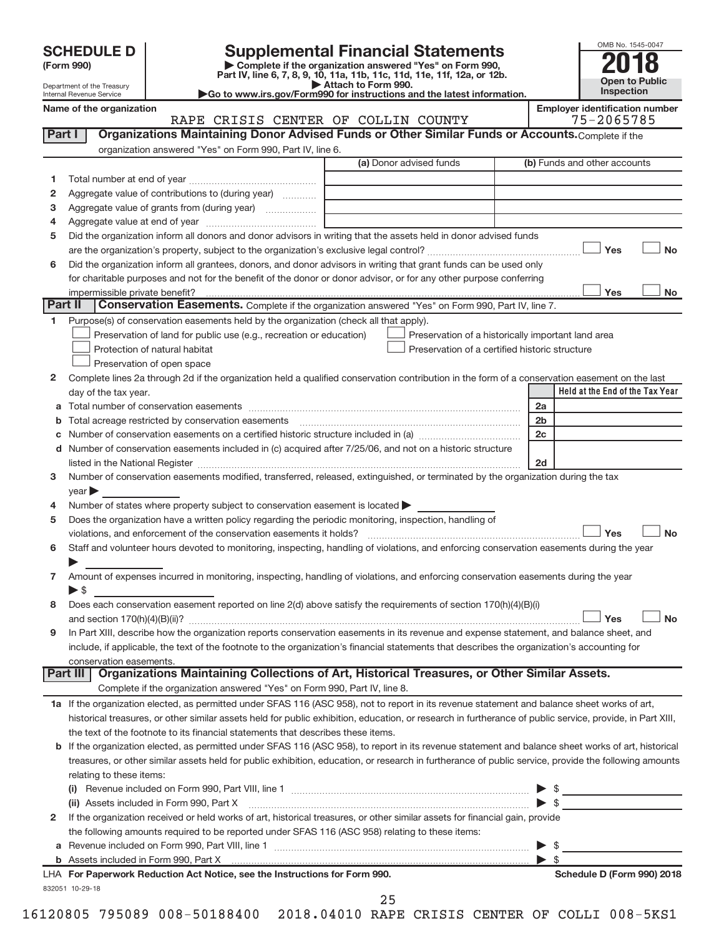| <b>SCHEDULE D</b> |  |
|-------------------|--|
|-------------------|--|

# **SCHEDULE D Supplemental Financial Statements**<br> **Form 990 2018**<br> **Part IV** line 6.7.8.9.10, 11a, 11b, 11c, 11d, 11e, 11f, 12a, or 12b

**(Form 990) | Complete if the organization answered "Yes" on Form 990, Part IV, line 6, 7, 8, 9, 10, 11a, 11b, 11c, 11d, 11e, 11f, 12a, or 12b.**

**| Attach to Form 990. |Go to www.irs.gov/Form990 for instructions and the latest information.**



Department of the Treasury Internal Revenue Service

**Name of the organization Employer identification number**

|         | ו ושמוווכ טו נווכ טו שמווובמנוטוו<br>RAPE CRISIS CENTER OF COLLIN COUNTY                                                                                                                                                                                                                                                                                          |                                                    |                     | Employer luentincation number<br>75-2065785 |
|---------|-------------------------------------------------------------------------------------------------------------------------------------------------------------------------------------------------------------------------------------------------------------------------------------------------------------------------------------------------------------------|----------------------------------------------------|---------------------|---------------------------------------------|
| Part I  | Organizations Maintaining Donor Advised Funds or Other Similar Funds or Accounts. Complete if the                                                                                                                                                                                                                                                                 |                                                    |                     |                                             |
|         | organization answered "Yes" on Form 990, Part IV, line 6.                                                                                                                                                                                                                                                                                                         |                                                    |                     |                                             |
|         |                                                                                                                                                                                                                                                                                                                                                                   | (a) Donor advised funds                            |                     | (b) Funds and other accounts                |
| 1       |                                                                                                                                                                                                                                                                                                                                                                   |                                                    |                     |                                             |
| 2       | Aggregate value of contributions to (during year)                                                                                                                                                                                                                                                                                                                 |                                                    |                     |                                             |
| з       | Aggregate value of grants from (during year)                                                                                                                                                                                                                                                                                                                      |                                                    |                     |                                             |
| 4       |                                                                                                                                                                                                                                                                                                                                                                   |                                                    |                     |                                             |
| 5       | Did the organization inform all donors and donor advisors in writing that the assets held in donor advised funds                                                                                                                                                                                                                                                  |                                                    |                     |                                             |
|         |                                                                                                                                                                                                                                                                                                                                                                   |                                                    |                     | Yes<br><b>No</b>                            |
| 6       | Did the organization inform all grantees, donors, and donor advisors in writing that grant funds can be used only                                                                                                                                                                                                                                                 |                                                    |                     |                                             |
|         | for charitable purposes and not for the benefit of the donor or donor advisor, or for any other purpose conferring                                                                                                                                                                                                                                                |                                                    |                     |                                             |
|         | impermissible private benefit?                                                                                                                                                                                                                                                                                                                                    |                                                    |                     | Yes<br>No                                   |
| Part II | Conservation Easements. Complete if the organization answered "Yes" on Form 990, Part IV, line 7.                                                                                                                                                                                                                                                                 |                                                    |                     |                                             |
| 1.      | Purpose(s) of conservation easements held by the organization (check all that apply).                                                                                                                                                                                                                                                                             |                                                    |                     |                                             |
|         | Preservation of land for public use (e.g., recreation or education)                                                                                                                                                                                                                                                                                               | Preservation of a historically important land area |                     |                                             |
|         | Protection of natural habitat                                                                                                                                                                                                                                                                                                                                     | Preservation of a certified historic structure     |                     |                                             |
|         | Preservation of open space                                                                                                                                                                                                                                                                                                                                        |                                                    |                     |                                             |
| 2       | Complete lines 2a through 2d if the organization held a qualified conservation contribution in the form of a conservation easement on the last                                                                                                                                                                                                                    |                                                    |                     |                                             |
|         | day of the tax year.                                                                                                                                                                                                                                                                                                                                              |                                                    |                     | Held at the End of the Tax Year             |
|         |                                                                                                                                                                                                                                                                                                                                                                   |                                                    | 2a                  |                                             |
|         | Total acreage restricted by conservation easements                                                                                                                                                                                                                                                                                                                |                                                    | 2 <sub>b</sub>      |                                             |
| b       |                                                                                                                                                                                                                                                                                                                                                                   |                                                    | 2c                  |                                             |
| С       | d Number of conservation easements included in (c) acquired after 7/25/06, and not on a historic structure                                                                                                                                                                                                                                                        |                                                    |                     |                                             |
|         |                                                                                                                                                                                                                                                                                                                                                                   |                                                    | 2d                  |                                             |
|         | listed in the National Register [111] Marshall Register [11] Marshall Register [11] Marshall Register [11] Marshall Register [11] Marshall Register [11] Marshall Register [11] Marshall Register [11] Marshall Register [11]<br>Number of conservation easements modified, transferred, released, extinguished, or terminated by the organization during the tax |                                                    |                     |                                             |
| 3.      |                                                                                                                                                                                                                                                                                                                                                                   |                                                    |                     |                                             |
|         | year                                                                                                                                                                                                                                                                                                                                                              |                                                    |                     |                                             |
| 4       | Number of states where property subject to conservation easement is located >                                                                                                                                                                                                                                                                                     |                                                    |                     |                                             |
| 5       | Does the organization have a written policy regarding the periodic monitoring, inspection, handling of                                                                                                                                                                                                                                                            |                                                    |                     | Yes<br><b>No</b>                            |
|         | violations, and enforcement of the conservation easements it holds?                                                                                                                                                                                                                                                                                               |                                                    |                     |                                             |
| 6       | Staff and volunteer hours devoted to monitoring, inspecting, handling of violations, and enforcing conservation easements during the year                                                                                                                                                                                                                         |                                                    |                     |                                             |
| 7       | Amount of expenses incurred in monitoring, inspecting, handling of violations, and enforcing conservation easements during the year                                                                                                                                                                                                                               |                                                    |                     |                                             |
|         | $\triangleright$ \$                                                                                                                                                                                                                                                                                                                                               |                                                    |                     |                                             |
|         | Does each conservation easement reported on line 2(d) above satisfy the requirements of section 170(h)(4)(B)(i)                                                                                                                                                                                                                                                   |                                                    |                     |                                             |
| 8       |                                                                                                                                                                                                                                                                                                                                                                   |                                                    |                     | Yes<br><b>No</b>                            |
|         | In Part XIII, describe how the organization reports conservation easements in its revenue and expense statement, and balance sheet, and                                                                                                                                                                                                                           |                                                    |                     |                                             |
| 9       |                                                                                                                                                                                                                                                                                                                                                                   |                                                    |                     |                                             |
|         | include, if applicable, the text of the footnote to the organization's financial statements that describes the organization's accounting for                                                                                                                                                                                                                      |                                                    |                     |                                             |
|         | conservation easements.<br>Part III   Organizations Maintaining Collections of Art, Historical Treasures, or Other Similar Assets.                                                                                                                                                                                                                                |                                                    |                     |                                             |
|         | Complete if the organization answered "Yes" on Form 990, Part IV, line 8.                                                                                                                                                                                                                                                                                         |                                                    |                     |                                             |
|         | 1a If the organization elected, as permitted under SFAS 116 (ASC 958), not to report in its revenue statement and balance sheet works of art,                                                                                                                                                                                                                     |                                                    |                     |                                             |
|         | historical treasures, or other similar assets held for public exhibition, education, or research in furtherance of public service, provide, in Part XIII,                                                                                                                                                                                                         |                                                    |                     |                                             |
|         |                                                                                                                                                                                                                                                                                                                                                                   |                                                    |                     |                                             |
|         | the text of the footnote to its financial statements that describes these items.                                                                                                                                                                                                                                                                                  |                                                    |                     |                                             |
| b       | If the organization elected, as permitted under SFAS 116 (ASC 958), to report in its revenue statement and balance sheet works of art, historical                                                                                                                                                                                                                 |                                                    |                     |                                             |
|         | treasures, or other similar assets held for public exhibition, education, or research in furtherance of public service, provide the following amounts                                                                                                                                                                                                             |                                                    |                     |                                             |
|         | relating to these items:                                                                                                                                                                                                                                                                                                                                          |                                                    |                     |                                             |
|         |                                                                                                                                                                                                                                                                                                                                                                   |                                                    |                     | $\triangleright$ \$                         |
|         | (ii) Assets included in Form 990, Part X [11] Marten and Martin Martin Marten and Martin Martin Marten and Mar                                                                                                                                                                                                                                                    |                                                    |                     | $\triangleright$ \$                         |
| 2       | If the organization received or held works of art, historical treasures, or other similar assets for financial gain, provide                                                                                                                                                                                                                                      |                                                    |                     |                                             |
|         | the following amounts required to be reported under SFAS 116 (ASC 958) relating to these items:                                                                                                                                                                                                                                                                   |                                                    |                     |                                             |
| a       |                                                                                                                                                                                                                                                                                                                                                                   |                                                    |                     | $\triangleright$ \$                         |
|         |                                                                                                                                                                                                                                                                                                                                                                   |                                                    | $\triangleright$ \$ |                                             |
|         | LHA For Paperwork Reduction Act Notice, see the Instructions for Form 990.                                                                                                                                                                                                                                                                                        |                                                    |                     | Schedule D (Form 990) 2018                  |
|         | 832051 10-29-18                                                                                                                                                                                                                                                                                                                                                   |                                                    |                     |                                             |

25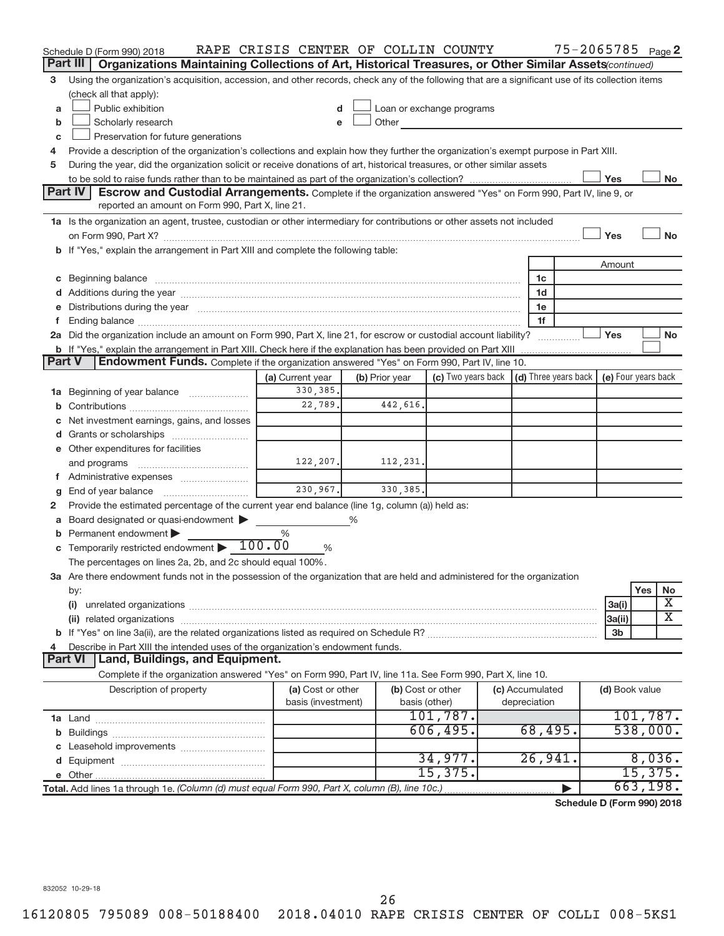|        | Schedule D (Form 990) 2018                                                                                                                                                                                           | RAPE CRISIS CENTER OF COLLIN COUNTY |                |                           |  | 75-2065785 Page 2                    |                     |           |                         |
|--------|----------------------------------------------------------------------------------------------------------------------------------------------------------------------------------------------------------------------|-------------------------------------|----------------|---------------------------|--|--------------------------------------|---------------------|-----------|-------------------------|
|        | Part III<br>Organizations Maintaining Collections of Art, Historical Treasures, or Other Similar Assets (continued)                                                                                                  |                                     |                |                           |  |                                      |                     |           |                         |
| 3      | Using the organization's acquisition, accession, and other records, check any of the following that are a significant use of its collection items                                                                    |                                     |                |                           |  |                                      |                     |           |                         |
|        | (check all that apply):                                                                                                                                                                                              |                                     |                |                           |  |                                      |                     |           |                         |
| a      | Public exhibition                                                                                                                                                                                                    |                                     |                | Loan or exchange programs |  |                                      |                     |           |                         |
| b      | Scholarly research                                                                                                                                                                                                   |                                     | Other          |                           |  |                                      |                     |           |                         |
| C      | Preservation for future generations                                                                                                                                                                                  |                                     |                |                           |  |                                      |                     |           |                         |
| 4      | Provide a description of the organization's collections and explain how they further the organization's exempt purpose in Part XIII.                                                                                 |                                     |                |                           |  |                                      |                     |           |                         |
| 5      | During the year, did the organization solicit or receive donations of art, historical treasures, or other similar assets                                                                                             |                                     |                |                           |  |                                      |                     |           |                         |
|        |                                                                                                                                                                                                                      |                                     |                |                           |  |                                      | Yes                 |           | No                      |
|        | <b>Part IV</b><br><b>Escrow and Custodial Arrangements.</b> Complete if the organization answered "Yes" on Form 990, Part IV, line 9, or<br>reported an amount on Form 990, Part X, line 21.                         |                                     |                |                           |  |                                      |                     |           |                         |
|        | 1a Is the organization an agent, trustee, custodian or other intermediary for contributions or other assets not included                                                                                             |                                     |                |                           |  |                                      |                     |           |                         |
|        |                                                                                                                                                                                                                      |                                     |                |                           |  |                                      | Yes                 |           | <b>No</b>               |
|        | b If "Yes," explain the arrangement in Part XIII and complete the following table:                                                                                                                                   |                                     |                |                           |  |                                      |                     |           |                         |
|        |                                                                                                                                                                                                                      |                                     |                |                           |  |                                      | Amount              |           |                         |
| C      | Beginning balance measurements and contain the contract of the contract of the contract of the contract of the                                                                                                       |                                     |                |                           |  | 1c                                   |                     |           |                         |
|        |                                                                                                                                                                                                                      |                                     |                |                           |  | 1d                                   |                     |           |                         |
|        | e Distributions during the year measurement contained and all the year measurement of the state of the year me                                                                                                       |                                     |                |                           |  | 1e                                   |                     |           |                         |
|        |                                                                                                                                                                                                                      |                                     |                |                           |  | 1f                                   |                     |           |                         |
|        | 2a Did the organization include an amount on Form 990, Part X, line 21, for escrow or custodial account liability?                                                                                                   |                                     |                |                           |  |                                      | Yes                 |           | No                      |
| Part V | <b>b</b> If "Yes," explain the arrangement in Part XIII. Check here if the explanation has been provided on Part XIII<br>Endowment Funds. Complete if the organization answered "Yes" on Form 990, Part IV, line 10. |                                     |                |                           |  |                                      |                     |           |                         |
|        |                                                                                                                                                                                                                      |                                     |                | (c) Two years back        |  | $\vert$ (d) Three years back $\vert$ | (e) Four years back |           |                         |
|        |                                                                                                                                                                                                                      | (a) Current year<br>330, 385.       | (b) Prior year |                           |  |                                      |                     |           |                         |
| ٦а     | Beginning of year balance                                                                                                                                                                                            | 22,789.                             | 442,616.       |                           |  |                                      |                     |           |                         |
|        | Net investment earnings, gains, and losses                                                                                                                                                                           |                                     |                |                           |  |                                      |                     |           |                         |
|        | d Grants or scholarships                                                                                                                                                                                             |                                     |                |                           |  |                                      |                     |           |                         |
|        | e Other expenditures for facilities                                                                                                                                                                                  |                                     |                |                           |  |                                      |                     |           |                         |
|        |                                                                                                                                                                                                                      | 122,207.                            | 112,231.       |                           |  |                                      |                     |           |                         |
|        | f Administrative expenses                                                                                                                                                                                            |                                     |                |                           |  |                                      |                     |           |                         |
| g      |                                                                                                                                                                                                                      | 230,967.                            | 330, 385.      |                           |  |                                      |                     |           |                         |
| 2      | Provide the estimated percentage of the current year end balance (line 1g, column (a)) held as:                                                                                                                      |                                     |                |                           |  |                                      |                     |           |                         |
| а      | Board designated or quasi-endowment >                                                                                                                                                                                |                                     | ℅              |                           |  |                                      |                     |           |                         |
|        | Permanent endowment                                                                                                                                                                                                  | %                                   |                |                           |  |                                      |                     |           |                         |
|        | <b>c</b> Temporarily restricted endowment $\blacktriangleright$ 100.00                                                                                                                                               | %                                   |                |                           |  |                                      |                     |           |                         |
|        | The percentages on lines 2a, 2b, and 2c should equal 100%.                                                                                                                                                           |                                     |                |                           |  |                                      |                     |           |                         |
|        | 3a Are there endowment funds not in the possession of the organization that are held and administered for the organization                                                                                           |                                     |                |                           |  |                                      |                     |           |                         |
|        | by:                                                                                                                                                                                                                  |                                     |                |                           |  |                                      |                     | Yes       | No                      |
|        | (i)                                                                                                                                                                                                                  |                                     |                |                           |  |                                      | 3a(i)               |           | х                       |
|        |                                                                                                                                                                                                                      |                                     |                |                           |  |                                      | 3a(ii)              |           | $\overline{\textbf{X}}$ |
|        |                                                                                                                                                                                                                      |                                     |                |                           |  |                                      | 3 <sub>b</sub>      |           |                         |
|        | Describe in Part XIII the intended uses of the organization's endowment funds.                                                                                                                                       |                                     |                |                           |  |                                      |                     |           |                         |
|        | Land, Buildings, and Equipment.<br><b>Part VI</b>                                                                                                                                                                    |                                     |                |                           |  |                                      |                     |           |                         |
|        | Complete if the organization answered "Yes" on Form 990, Part IV, line 11a. See Form 990, Part X, line 10.                                                                                                           |                                     |                |                           |  |                                      |                     |           |                         |
|        | Description of property                                                                                                                                                                                              | (a) Cost or other                   |                | (b) Cost or other         |  | (c) Accumulated                      | (d) Book value      |           |                         |
|        |                                                                                                                                                                                                                      | basis (investment)                  |                | basis (other)             |  | depreciation                         |                     |           |                         |
|        |                                                                                                                                                                                                                      |                                     |                | 101,787.                  |  |                                      |                     | 101,787.  |                         |
| b      |                                                                                                                                                                                                                      |                                     |                | 606, 495.                 |  | 68,495.                              |                     | 538,000.  |                         |
|        |                                                                                                                                                                                                                      |                                     |                |                           |  |                                      |                     |           |                         |
|        |                                                                                                                                                                                                                      |                                     |                | 34,977.                   |  | 26,941.                              |                     | 8,036.    |                         |
|        |                                                                                                                                                                                                                      |                                     |                | 15,375.                   |  |                                      |                     | 15,375.   |                         |
|        | Total. Add lines 1a through 1e. (Column (d) must equal Form 990, Part X, column (B), line 10c.)                                                                                                                      |                                     |                |                           |  |                                      |                     | 663, 198. |                         |
|        |                                                                                                                                                                                                                      |                                     |                |                           |  | Schedule D (Form 990) 2018           |                     |           |                         |

832052 10-29-18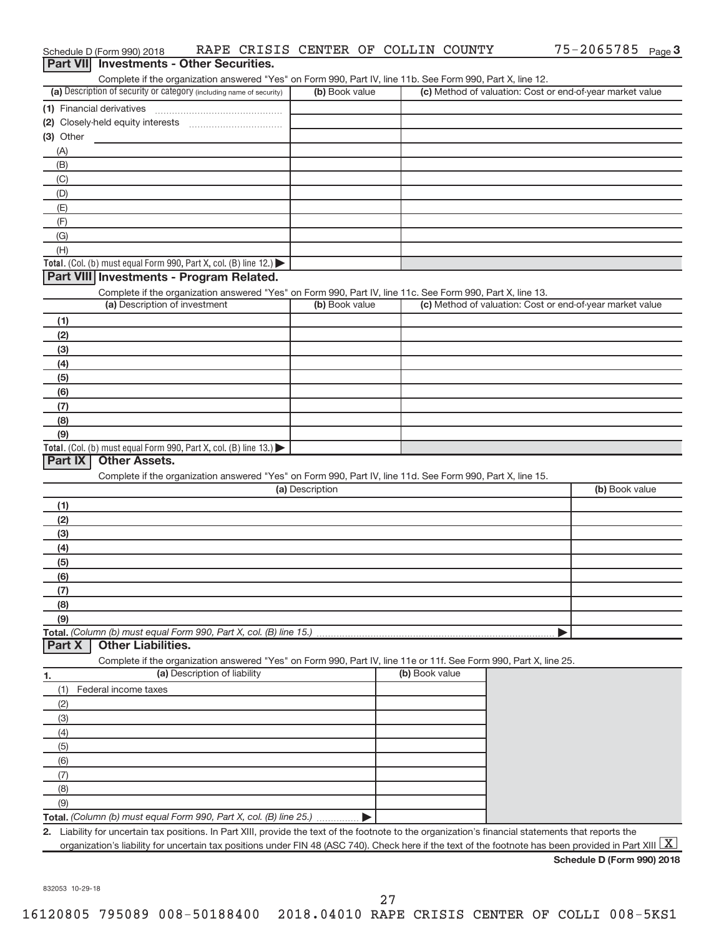|                  | Schedule D (Form 990) 2018                                                                                                                           |                              |                 | RAPE CRISIS CENTER OF COLLIN COUNTY | 75-2065785 Page 3                                                                                                                                                     |
|------------------|------------------------------------------------------------------------------------------------------------------------------------------------------|------------------------------|-----------------|-------------------------------------|-----------------------------------------------------------------------------------------------------------------------------------------------------------------------|
| <b>Part VIII</b> | <b>Investments - Other Securities.</b>                                                                                                               |                              |                 |                                     |                                                                                                                                                                       |
|                  | Complete if the organization answered "Yes" on Form 990, Part IV, line 11b. See Form 990, Part X, line 12.                                           |                              |                 |                                     |                                                                                                                                                                       |
|                  | (a) Description of security or category (including name of security)                                                                                 |                              | (b) Book value  |                                     | (c) Method of valuation: Cost or end-of-year market value                                                                                                             |
|                  | (1) Financial derivatives                                                                                                                            |                              |                 |                                     |                                                                                                                                                                       |
|                  |                                                                                                                                                      |                              |                 |                                     |                                                                                                                                                                       |
| (3) Other        |                                                                                                                                                      |                              |                 |                                     |                                                                                                                                                                       |
| (A)              |                                                                                                                                                      |                              |                 |                                     |                                                                                                                                                                       |
| (B)              |                                                                                                                                                      |                              |                 |                                     |                                                                                                                                                                       |
| (C)<br>(D)       |                                                                                                                                                      |                              |                 |                                     |                                                                                                                                                                       |
| (E)              |                                                                                                                                                      |                              |                 |                                     |                                                                                                                                                                       |
| (F)              |                                                                                                                                                      |                              |                 |                                     |                                                                                                                                                                       |
| (G)              |                                                                                                                                                      |                              |                 |                                     |                                                                                                                                                                       |
| (H)              |                                                                                                                                                      |                              |                 |                                     |                                                                                                                                                                       |
|                  | Total. (Col. (b) must equal Form 990, Part X, col. (B) line 12.)                                                                                     |                              |                 |                                     |                                                                                                                                                                       |
|                  | Part VIII Investments - Program Related.                                                                                                             |                              |                 |                                     |                                                                                                                                                                       |
|                  | Complete if the organization answered "Yes" on Form 990, Part IV, line 11c. See Form 990, Part X, line 13.                                           |                              |                 |                                     |                                                                                                                                                                       |
|                  | (a) Description of investment                                                                                                                        |                              | (b) Book value  |                                     | (c) Method of valuation: Cost or end-of-year market value                                                                                                             |
| (1)              |                                                                                                                                                      |                              |                 |                                     |                                                                                                                                                                       |
| (2)              |                                                                                                                                                      |                              |                 |                                     |                                                                                                                                                                       |
| (3)              |                                                                                                                                                      |                              |                 |                                     |                                                                                                                                                                       |
| (4)              |                                                                                                                                                      |                              |                 |                                     |                                                                                                                                                                       |
| (5)              |                                                                                                                                                      |                              |                 |                                     |                                                                                                                                                                       |
| (6)              |                                                                                                                                                      |                              |                 |                                     |                                                                                                                                                                       |
| (7)              |                                                                                                                                                      |                              |                 |                                     |                                                                                                                                                                       |
| (8)              |                                                                                                                                                      |                              |                 |                                     |                                                                                                                                                                       |
| (9)              | Total. (Col. (b) must equal Form 990, Part X, col. (B) line $13.$ )                                                                                  |                              |                 |                                     |                                                                                                                                                                       |
| Part IX          | <b>Other Assets.</b>                                                                                                                                 |                              |                 |                                     |                                                                                                                                                                       |
|                  | Complete if the organization answered "Yes" on Form 990, Part IV, line 11d. See Form 990, Part X, line 15.                                           |                              |                 |                                     |                                                                                                                                                                       |
|                  |                                                                                                                                                      |                              | (a) Description |                                     | (b) Book value                                                                                                                                                        |
| (1)              |                                                                                                                                                      |                              |                 |                                     |                                                                                                                                                                       |
| (2)              |                                                                                                                                                      |                              |                 |                                     |                                                                                                                                                                       |
| (3)              |                                                                                                                                                      |                              |                 |                                     |                                                                                                                                                                       |
| (4)              |                                                                                                                                                      |                              |                 |                                     |                                                                                                                                                                       |
| (5)              |                                                                                                                                                      |                              |                 |                                     |                                                                                                                                                                       |
| (6)              |                                                                                                                                                      |                              |                 |                                     |                                                                                                                                                                       |
| (7)              |                                                                                                                                                      |                              |                 |                                     |                                                                                                                                                                       |
| (8)              |                                                                                                                                                      |                              |                 |                                     |                                                                                                                                                                       |
| (9)              |                                                                                                                                                      |                              |                 |                                     |                                                                                                                                                                       |
|                  | Total. (Column (b) must equal Form 990, Part X, col. (B) line 15.)                                                                                   |                              |                 |                                     |                                                                                                                                                                       |
| Part X           | <b>Other Liabilities.</b>                                                                                                                            |                              |                 |                                     |                                                                                                                                                                       |
|                  | Complete if the organization answered "Yes" on Form 990, Part IV, line 11e or 11f. See Form 990, Part X, line 25.                                    |                              |                 |                                     |                                                                                                                                                                       |
| 1.               |                                                                                                                                                      | (a) Description of liability |                 | (b) Book value                      |                                                                                                                                                                       |
| (1)              | Federal income taxes                                                                                                                                 |                              |                 |                                     |                                                                                                                                                                       |
| (2)              |                                                                                                                                                      |                              |                 |                                     |                                                                                                                                                                       |
| (3)              |                                                                                                                                                      |                              |                 |                                     |                                                                                                                                                                       |
| (4)<br>(5)       |                                                                                                                                                      |                              |                 |                                     |                                                                                                                                                                       |
| (6)              |                                                                                                                                                      |                              |                 |                                     |                                                                                                                                                                       |
| (7)              |                                                                                                                                                      |                              |                 |                                     |                                                                                                                                                                       |
| (8)              |                                                                                                                                                      |                              |                 |                                     |                                                                                                                                                                       |
| (9)              |                                                                                                                                                      |                              |                 |                                     |                                                                                                                                                                       |
|                  | Total. (Column (b) must equal Form 990, Part X, col. (B) line 25.)                                                                                   |                              |                 |                                     |                                                                                                                                                                       |
|                  | 2. Liability for uncertain tax positions. In Part XIII, provide the text of the footnote to the organization's financial statements that reports the |                              |                 |                                     |                                                                                                                                                                       |
|                  |                                                                                                                                                      |                              |                 |                                     | organization's liability for uncertain tax positions under FIN 48 (ASC 740). Check here if the text of the footnote has been provided in Part XIII $\boxed{\text{X}}$ |
|                  |                                                                                                                                                      |                              |                 |                                     | Schedule D (Form 990) 2018                                                                                                                                            |

832053 10-29-18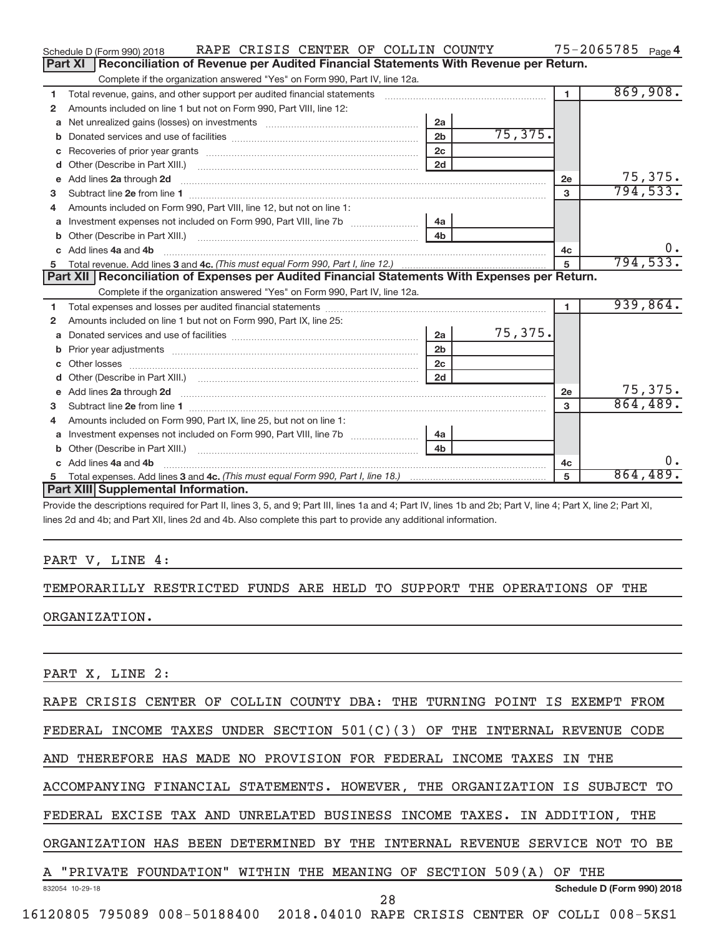|    | RAPE CRISIS CENTER OF COLLIN COUNTY<br>Schedule D (Form 990) 2018                                                                                                                                                                  |                |          |              | $75 - 2065785$ Page 4 |
|----|------------------------------------------------------------------------------------------------------------------------------------------------------------------------------------------------------------------------------------|----------------|----------|--------------|-----------------------|
|    | Reconciliation of Revenue per Audited Financial Statements With Revenue per Return.<br>Part XI                                                                                                                                     |                |          |              |                       |
|    | Complete if the organization answered "Yes" on Form 990, Part IV, line 12a.                                                                                                                                                        |                |          |              |                       |
| 1  | Total revenue, gains, and other support per audited financial statements                                                                                                                                                           |                |          | $\mathbf{1}$ | 869,908.              |
| 2  | Amounts included on line 1 but not on Form 990, Part VIII, line 12:                                                                                                                                                                |                |          |              |                       |
| a  | Net unrealized gains (losses) on investments [111] Net unrealized mains (losses) on investments [11] Metamanian                                                                                                                    | 2a             |          |              |                       |
|    |                                                                                                                                                                                                                                    | 2 <sub>b</sub> | 75, 375. |              |                       |
|    |                                                                                                                                                                                                                                    | 2 <sub>c</sub> |          |              |                       |
| d  |                                                                                                                                                                                                                                    | 2d             |          |              |                       |
| e  | Add lines 2a through 2d                                                                                                                                                                                                            |                |          | 2e           | 75, 375.              |
| з  |                                                                                                                                                                                                                                    |                |          | 3            | 794, 533.             |
| 4  | Amounts included on Form 990. Part VIII, line 12, but not on line 1:                                                                                                                                                               |                |          |              |                       |
|    |                                                                                                                                                                                                                                    | 4a             |          |              |                       |
|    |                                                                                                                                                                                                                                    | 4 <sub>b</sub> |          |              |                       |
| c. | Add lines 4a and 4b                                                                                                                                                                                                                | 4c             | $0$ .    |              |                       |
| 5  |                                                                                                                                                                                                                                    |                |          | 5            | 794, 533.             |
|    |                                                                                                                                                                                                                                    |                |          |              |                       |
|    | Part XII   Reconciliation of Expenses per Audited Financial Statements With Expenses per Return.                                                                                                                                   |                |          |              |                       |
|    | Complete if the organization answered "Yes" on Form 990, Part IV, line 12a.                                                                                                                                                        |                |          |              |                       |
| 1  |                                                                                                                                                                                                                                    |                |          | 1.           | 939,864.              |
| 2  | Amounts included on line 1 but not on Form 990, Part IX, line 25:                                                                                                                                                                  |                |          |              |                       |
| a  |                                                                                                                                                                                                                                    | 2a             | 75,375.  |              |                       |
| b  |                                                                                                                                                                                                                                    | 2 <sub>b</sub> |          |              |                       |
|    |                                                                                                                                                                                                                                    | 2 <sub>c</sub> |          |              |                       |
| d  |                                                                                                                                                                                                                                    | 2d             |          |              |                       |
| e  | Add lines 2a through 2d <b>contract and all anomalisation</b> and all anomalisation of the state of the state of the state of the state of the state of the state of the state of the state of the state of the state of the state |                |          | <b>2e</b>    | 75,375.               |
| 3  |                                                                                                                                                                                                                                    |                |          | $\mathbf{a}$ | 864,489.              |
| 4  | Amounts included on Form 990, Part IX, line 25, but not on line 1:                                                                                                                                                                 |                |          |              |                       |
| a  |                                                                                                                                                                                                                                    | 4a             |          |              |                       |
| b  |                                                                                                                                                                                                                                    | 4 <sub>h</sub> |          |              |                       |
| C. | Add lines 4a and 4b                                                                                                                                                                                                                |                |          | 4с           | $\mathbf{0}$ .        |
| 5  | Part XIII Supplemental Information.                                                                                                                                                                                                |                |          | 5            | 864,489.              |

Provide the descriptions required for Part II, lines 3, 5, and 9; Part III, lines 1a and 4; Part IV, lines 1b and 2b; Part V, line 4; Part X, line 2; Part XI, lines 2d and 4b; and Part XII, lines 2d and 4b. Also complete this part to provide any additional information.

### PART V, LINE 4:

## TEMPORARILLY RESTRICTED FUNDS ARE HELD TO SUPPORT THE OPERATIONS OF THE ORGANIZATION.

PART X, LINE 2:

RAPE CRISIS CENTER OF COLLIN COUNTY DBA: THE TURNING POINT IS EXEMPT FROM

FEDERAL INCOME TAXES UNDER SECTION 501(C)(3) OF THE INTERNAL REVENUE CODE

AND THEREFORE HAS MADE NO PROVISION FOR FEDERAL INCOME TAXES IN THE

ACCOMPANYING FINANCIAL STATEMENTS. HOWEVER, THE ORGANIZATION IS SUBJECT TO

FEDERAL EXCISE TAX AND UNRELATED BUSINESS INCOME TAXES. IN ADDITION, THE

ORGANIZATION HAS BEEN DETERMINED BY THE INTERNAL REVENUE SERVICE NOT TO BE

832054 10-29-18 A "PRIVATE FOUNDATION" WITHIN THE MEANING OF SECTION 509(A) OF THE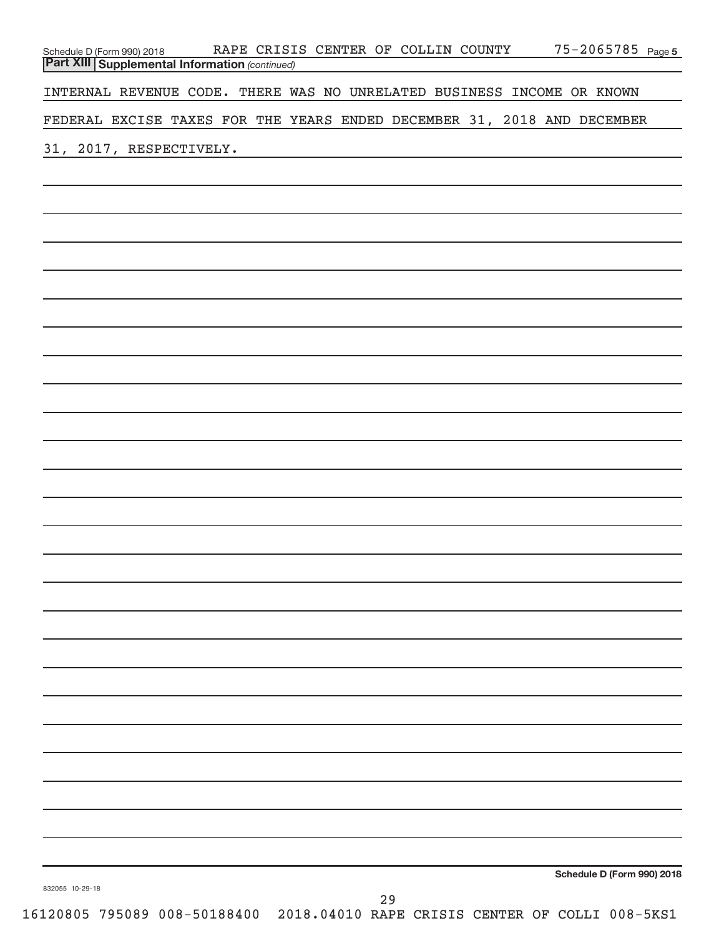| Schedule D (Form 990) 2018 RAPE CRISIS CENTER OF COLLIN COUNTY<br>Part XIII Supplemental Information (continued) |    | 75-2065785 Page 5          |
|------------------------------------------------------------------------------------------------------------------|----|----------------------------|
| INTERNAL REVENUE CODE. THERE WAS NO UNRELATED BUSINESS INCOME OR KNOWN                                           |    |                            |
| FEDERAL EXCISE TAXES FOR THE YEARS ENDED DECEMBER 31, 2018 AND DECEMBER                                          |    |                            |
| 31, 2017, RESPECTIVELY.                                                                                          |    |                            |
|                                                                                                                  |    |                            |
|                                                                                                                  |    |                            |
|                                                                                                                  |    |                            |
|                                                                                                                  |    |                            |
|                                                                                                                  |    |                            |
|                                                                                                                  |    |                            |
|                                                                                                                  |    |                            |
|                                                                                                                  |    |                            |
|                                                                                                                  |    |                            |
|                                                                                                                  |    |                            |
|                                                                                                                  |    |                            |
|                                                                                                                  |    |                            |
|                                                                                                                  |    |                            |
|                                                                                                                  |    |                            |
|                                                                                                                  |    |                            |
|                                                                                                                  |    |                            |
|                                                                                                                  |    |                            |
|                                                                                                                  |    |                            |
|                                                                                                                  |    |                            |
|                                                                                                                  |    |                            |
|                                                                                                                  |    |                            |
|                                                                                                                  |    |                            |
|                                                                                                                  |    |                            |
| 832055 10-29-18                                                                                                  |    | Schedule D (Form 990) 2018 |
|                                                                                                                  | 29 |                            |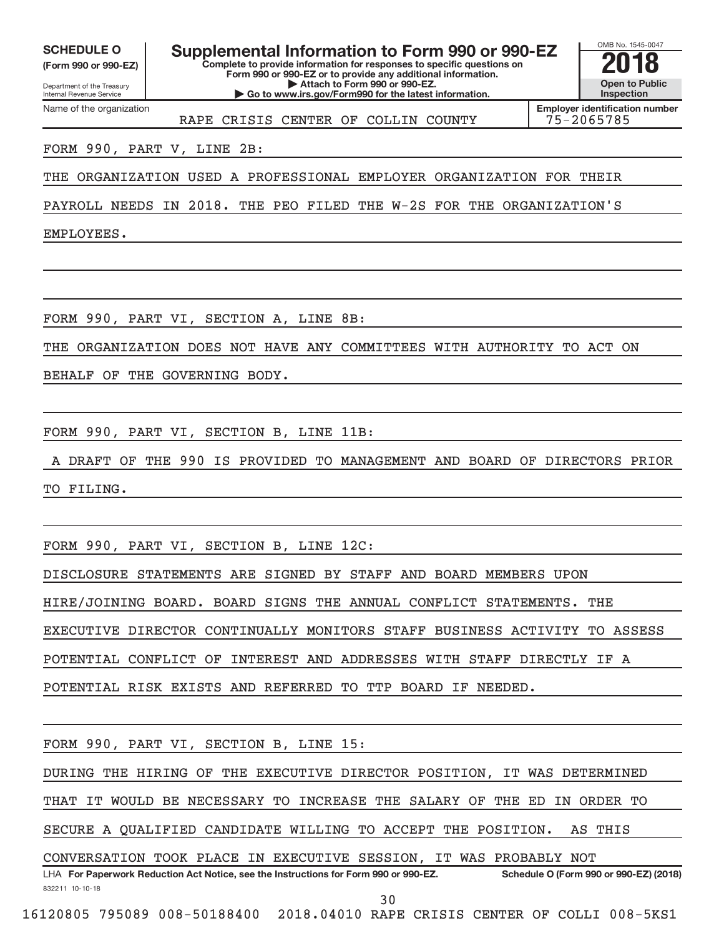Internal Revenue Service

Department of the Treasury **(Form 990 or 990-EZ)**

Name of the organization

**Complete to provide information for responses to specific questions on Form 990 or 990-EZ or to provide any additional information. | Attach to Form 990 or 990-EZ.** SCHEDULE O **Supplemental Information to Form 990 or 990-EZ 2018**<br>(Form 990 or 990-EZ) **2018** 

**| Go to www.irs.gov/Form990 for the latest information.**

OMB No. 1545-0047 **Open to Public Inspection**

RAPE CRISIS CENTER OF COLLIN COUNTY 75-2065785

**Employer identification number**

### FORM 990, PART V, LINE 2B:

THE ORGANIZATION USED A PROFESSIONAL EMPLOYER ORGANIZATION FOR THEIR

PAYROLL NEEDS IN 2018. THE PEO FILED THE W-2S FOR THE ORGANIZATION'S

EMPLOYEES.

FORM 990, PART VI, SECTION A, LINE 8B:

THE ORGANIZATION DOES NOT HAVE ANY COMMITTEES WITH AUTHORITY TO ACT ON

BEHALF OF THE GOVERNING BODY.

FORM 990, PART VI, SECTION B, LINE 11B:

A DRAFT OF THE 990 IS PROVIDED TO MANAGEMENT AND BOARD OF DIRECTORS PRIOR TO FILING.

FORM 990, PART VI, SECTION B, LINE 12C:

DISCLOSURE STATEMENTS ARE SIGNED BY STAFF AND BOARD MEMBERS UPON

HIRE/JOINING BOARD. BOARD SIGNS THE ANNUAL CONFLICT STATEMENTS. THE

EXECUTIVE DIRECTOR CONTINUALLY MONITORS STAFF BUSINESS ACTIVITY TO ASSESS

POTENTIAL CONFLICT OF INTEREST AND ADDRESSES WITH STAFF DIRECTLY IF A

POTENTIAL RISK EXISTS AND REFERRED TO TTP BOARD IF NEEDED.

FORM 990, PART VI, SECTION B, LINE 15:

DURING THE HIRING OF THE EXECUTIVE DIRECTOR POSITION, IT WAS DETERMINED

THAT IT WOULD BE NECESSARY TO INCREASE THE SALARY OF THE ED IN ORDER TO

SECURE A QUALIFIED CANDIDATE WILLING TO ACCEPT THE POSITION. AS THIS

CONVERSATION TOOK PLACE IN EXECUTIVE SESSION, IT WAS PROBABLY NOT

832211 10-10-18 **For Paperwork Reduction Act Notice, see the Instructions for Form 990 or 990-EZ. Schedule O (Form 990 or 990-EZ) (2018)** LHA 30